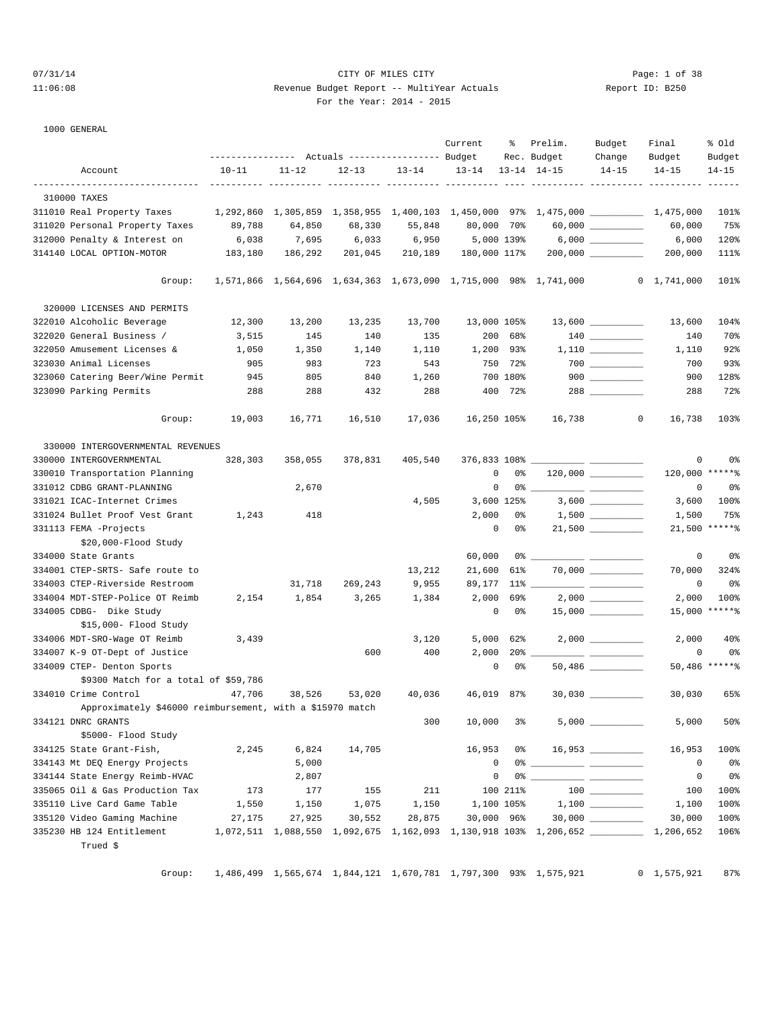#### 07/31/14 Page: 1 of 38 11:06:08 Revenue Budget Report -- MultiYear Actuals Report ID: B250 For the Year: 2014 - 2015

1000 GENERAL

|                                                                                                                     | --------------- Actuals ---------------- Budget |                    |           |           | Current      | ႜ        | Prelim.<br>Rec. Budget                                                            | Budget<br>Change                        | Final<br>Budget     | % old<br>Budget |
|---------------------------------------------------------------------------------------------------------------------|-------------------------------------------------|--------------------|-----------|-----------|--------------|----------|-----------------------------------------------------------------------------------|-----------------------------------------|---------------------|-----------------|
| Account                                                                                                             | $10 - 11$                                       | $11 - 12$          | $12 - 13$ | $13 - 14$ | $13 - 14$    |          | $13 - 14$ $14 - 15$                                                               | $14 - 15$                               | $14 - 15$           | $14 - 15$       |
|                                                                                                                     |                                                 | __________________ |           |           |              |          |                                                                                   |                                         |                     |                 |
| 310000 TAXES                                                                                                        |                                                 |                    |           |           |              |          |                                                                                   |                                         |                     |                 |
| 311010 Real Property Taxes     1,292,860 1,305,859 1,358,955 1,400,103 1,450,000 97% 1,475,000 __________ 1,475,000 |                                                 |                    |           |           |              |          |                                                                                   |                                         |                     | 101%            |
| 311020 Personal Property Taxes                                                                                      | 89,788                                          | 64,850             | 68,330    | 55,848    | 80,000 70%   |          |                                                                                   |                                         | 60,000              | 75%             |
| 312000 Penalty & Interest on                                                                                        | 6,038                                           | 7,695              | 6,033     | 6,950     | 5,000 139%   |          |                                                                                   | 6,000 ___________                       | 6,000               | 120%            |
| 314140 LOCAL OPTION-MOTOR                                                                                           | 183,180                                         | 186,292            | 201,045   | 210,189   | 180,000 117% |          |                                                                                   |                                         | 200,000             | 111%            |
| Group:                                                                                                              |                                                 |                    |           |           |              |          | 1,571,866    1,564,696    1,634,363    1,673,090    1,715,000    98%    1,741,000 |                                         | $0\quad 1,741,000$  | 101%            |
| 320000 LICENSES AND PERMITS                                                                                         |                                                 |                    |           |           |              |          |                                                                                   |                                         |                     |                 |
| 322010 Alcoholic Beverage                                                                                           | 12,300                                          | 13,200             | 13,235    | 13,700    | 13,000 105%  |          |                                                                                   |                                         | 13,600              | 104%            |
| 322020 General Business /                                                                                           | 3,515                                           | 145                | 140       | 135       |              | 200 68%  |                                                                                   |                                         | 140                 | 70%             |
| 322050 Amusement Licenses &                                                                                         | 1,050                                           | 1,350              | 1,140     | 1,110     | 1,200 93%    |          |                                                                                   |                                         | 1,110               | 92%             |
| 323030 Animal Licenses                                                                                              | 905                                             | 983                | 723       | 543       |              | 750 72%  |                                                                                   |                                         | 700                 | 93%             |
| 323060 Catering Beer/Wine Permit                                                                                    | 945                                             | 805                | 840       | 1,260     |              | 700 180% |                                                                                   | $900$                                   | 900                 | 128%            |
| 323090 Parking Permits                                                                                              | 288                                             | 288                | 432       | 288       |              | 400 72%  |                                                                                   |                                         | 288                 | 72%             |
| Group:                                                                                                              | 19,003                                          | 16,771             | 16,510    | 17,036    | 16,250 105%  |          | 16,738                                                                            | $\mathbf 0$                             | 16,738              | 103%            |
| 330000 INTERGOVERNMENTAL REVENUES                                                                                   |                                                 |                    |           |           |              |          |                                                                                   |                                         |                     |                 |
| 330000 INTERGOVERNMENTAL                                                                                            | 328,303                                         | 358,055            | 378,831   | 405,540   |              |          |                                                                                   |                                         | 0                   | 0%              |
| 330010 Transportation Planning                                                                                      |                                                 |                    |           |           | $\mathbf 0$  | 0%       |                                                                                   |                                         | 120,000 ******      |                 |
| 331012 CDBG GRANT-PLANNING                                                                                          |                                                 | 2,670              |           |           | 0            |          | 0 %                                                                               |                                         | 0                   | 0%              |
| 331021 ICAC-Internet Crimes                                                                                         |                                                 |                    |           | 4,505     | 3,600 125%   |          |                                                                                   | $3,600$ _________                       | 3,600               | 100%            |
| 331024 Bullet Proof Vest Grant                                                                                      | 1,243                                           | 418                |           |           | 2,000        | 0 %      |                                                                                   |                                         | 1,500               | 75%             |
| 331113 FEMA -Projects<br>\$20,000-Flood Study                                                                       |                                                 |                    |           |           | 0            | 0%       |                                                                                   |                                         |                     | 21,500 ******   |
| 334000 State Grants                                                                                                 |                                                 |                    |           |           | 60,000       |          |                                                                                   |                                         | 0                   | 0%              |
| 334001 CTEP-SRTS- Safe route to                                                                                     |                                                 |                    |           | 13,212    | 21,600       | 61%      |                                                                                   | $70,000$ ___________                    | 70,000              | 324%            |
| 334003 CTEP-Riverside Restroom                                                                                      |                                                 | 31,718             | 269,243   | 9,955     |              |          |                                                                                   |                                         | $\mathsf 0$         | 0%              |
| 334004 MDT-STEP-Police OT Reimb                                                                                     | 2,154                                           | 1,854              | 3,265     | 1,384     | 2,000        | 69%      |                                                                                   |                                         | 2,000               | 100%            |
| 334005 CDBG- Dike Study<br>\$15,000- Flood Study                                                                    |                                                 |                    |           |           | $\circ$      | 0%       |                                                                                   |                                         | 15,000 ******       |                 |
| 334006 MDT-SRO-Wage OT Reimb                                                                                        | 3,439                                           |                    |           | 3,120     | 5,000        | 62%      |                                                                                   |                                         | 2,000               | 40 <sub>8</sub> |
| 334007 K-9 OT-Dept of Justice                                                                                       |                                                 |                    | 600       | 400       | 2,000        |          | $20\%$ ___                                                                        |                                         | 0                   | 0%              |
| 334009 CTEP- Denton Sports                                                                                          |                                                 |                    |           |           | $\mathbf 0$  | 0%       |                                                                                   |                                         |                     | 50,486 ******   |
| \$9300 Match for a total of \$59,786                                                                                |                                                 |                    |           |           |              |          |                                                                                   |                                         |                     |                 |
| 334010 Crime Control                                                                                                | 47,706                                          | 38,526             | 53,020    | 40,036    | 46,019 87%   |          |                                                                                   |                                         | 30,030              | 65%             |
| Approximately \$46000 reimbursement, with a \$15970 match                                                           |                                                 |                    |           |           |              |          |                                                                                   |                                         |                     |                 |
| 334121 DNRC GRANTS<br>\$5000- Flood Study                                                                           |                                                 |                    |           | 300       | 10,000       |          | 3 <sup>8</sup>                                                                    | 5,000                                   | 5,000               | 50%             |
| 334125 State Grant-Fish,                                                                                            | 2,245                                           | 6,824              | 14,705    |           | 16,953       |          | $0\%$ 16,953 __________                                                           |                                         | 16,953              | 100%            |
| 334143 Mt DEQ Energy Projects                                                                                       |                                                 | 5,000              |           |           | $\circ$      |          |                                                                                   |                                         | $\mathbf 0$         | 0%              |
| 334144 State Energy Reimb-HVAC                                                                                      |                                                 | 2,807              |           |           | 0            |          |                                                                                   |                                         | 0                   | 0%              |
| 335065 Oil & Gas Production Tax                                                                                     | 173                                             | 177                | 155       | 211       |              | 100 211% |                                                                                   | $\begin{array}{c} 100 \\ - \end{array}$ | 100                 | 100%            |
| 335110 Live Card Game Table                                                                                         | 1,550                                           | 1,150              | 1,075     | 1,150     | 1,100 105%   |          |                                                                                   |                                         | 1,100               | 100%            |
| 335120 Video Gaming Machine                                                                                         | 27,175                                          | 27,925             | 30,552    | 28,875    | 30,000 96%   |          |                                                                                   |                                         | 30,000              | 100%            |
| 335230 HB 124 Entitlement<br>Trued \$                                                                               |                                                 |                    |           |           |              |          | 1,072,511 1,088,550 1,092,675 1,162,093 1,130,918 103% 1,206,652 1,200,0552       |                                         |                     | 106%            |
| Group:                                                                                                              |                                                 |                    |           |           |              |          | 1,486,499 1,565,674 1,844,121 1,670,781 1,797,300 93% 1,575,921                   |                                         | $0 \quad 1,575,921$ | 87%             |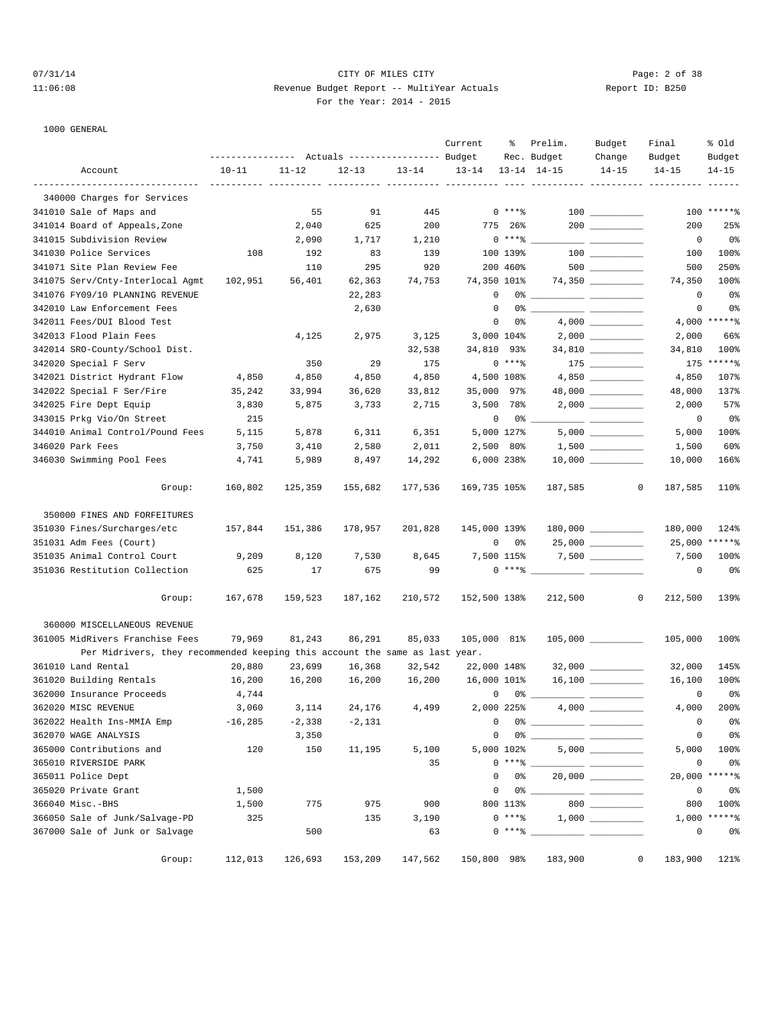1000 GENERAL

# 07/31/14 Page: 2 of 38 11:06:08 Revenue Budget Report -- MultiYear Actuals Report ID: B250 For the Year: 2014 - 2015

|                                                                             | --------------- Actuals ---------------- Budget |                              |                |           | Current                     | ႜ               | Prelim.<br>Rec. Budget | Budget<br>Change                                                                                                                                                                                                                                                                                                                                                                                                                                                                | Final<br>Budget         | % old<br>Budget |
|-----------------------------------------------------------------------------|-------------------------------------------------|------------------------------|----------------|-----------|-----------------------------|-----------------|------------------------|---------------------------------------------------------------------------------------------------------------------------------------------------------------------------------------------------------------------------------------------------------------------------------------------------------------------------------------------------------------------------------------------------------------------------------------------------------------------------------|-------------------------|-----------------|
| Account                                                                     | $10 - 11$                                       | $11 - 12$                    | $12 - 13$      | $13 - 14$ | $13 - 14$                   |                 | $13 - 14$ $14 - 15$    | $14 - 15$                                                                                                                                                                                                                                                                                                                                                                                                                                                                       | $14 - 15$               | $14 - 15$       |
|                                                                             |                                                 | <u>------ ---------- -</u> - | ---- ---       |           | ---- ----                   |                 |                        |                                                                                                                                                                                                                                                                                                                                                                                                                                                                                 |                         |                 |
| 340000 Charges for Services                                                 |                                                 |                              |                |           |                             |                 |                        |                                                                                                                                                                                                                                                                                                                                                                                                                                                                                 |                         |                 |
| 341010 Sale of Maps and                                                     |                                                 | 55                           | 91             | 445       |                             | $0***8$         |                        |                                                                                                                                                                                                                                                                                                                                                                                                                                                                                 |                         | 100 ******      |
| 341014 Board of Appeals, Zone                                               |                                                 | 2,040                        | 625            | 200       |                             | 775 26%         |                        | 200                                                                                                                                                                                                                                                                                                                                                                                                                                                                             | 200                     | 25%             |
| 341015 Subdivision Review                                                   |                                                 | 2,090                        | 1,717          | 1,210     |                             | $0***$ $*$      |                        |                                                                                                                                                                                                                                                                                                                                                                                                                                                                                 | $\mathbf 0$             | 0%              |
| 341030 Police Services                                                      | 108                                             | 192                          | 83             | 139       |                             | 100 139%        |                        |                                                                                                                                                                                                                                                                                                                                                                                                                                                                                 | 100                     | 100%            |
| 341071 Site Plan Review Fee                                                 |                                                 | 110                          | 295            | 920       |                             | 200 460%        |                        |                                                                                                                                                                                                                                                                                                                                                                                                                                                                                 | 500                     | 250%            |
| 341075 Serv/Cnty-Interlocal Agmt                                            | 102,951                                         | 56,401                       | 62,363         | 74,753    | 74,350 101%<br>$\mathbf{0}$ |                 |                        |                                                                                                                                                                                                                                                                                                                                                                                                                                                                                 | 74,350                  | 100%            |
| 341076 FY09/10 PLANNING REVENUE                                             |                                                 |                              | 22,283         |           | $\mathbf 0$                 |                 |                        |                                                                                                                                                                                                                                                                                                                                                                                                                                                                                 | 0                       | 0 <sub>8</sub>  |
| 342010 Law Enforcement Fees                                                 |                                                 |                              | 2,630          |           |                             |                 |                        |                                                                                                                                                                                                                                                                                                                                                                                                                                                                                 | $\mathsf 0$             | 0 <sub>8</sub>  |
| 342011 Fees/DUI Blood Test                                                  |                                                 |                              |                |           | 0                           | 0%              |                        |                                                                                                                                                                                                                                                                                                                                                                                                                                                                                 | 4,000                   | $*****$         |
| 342013 Flood Plain Fees                                                     |                                                 | 4,125                        | 2,975          | 3,125     | 3,000 104%                  |                 |                        |                                                                                                                                                                                                                                                                                                                                                                                                                                                                                 | 2,000                   | 66%             |
| 342014 SRO-County/School Dist.                                              |                                                 |                              |                | 32,538    | 34,810 93%                  |                 |                        |                                                                                                                                                                                                                                                                                                                                                                                                                                                                                 | 34,810                  | 100%<br>$*****$ |
| 342020 Special F Serv                                                       |                                                 | 350                          | 29             | 175       |                             | $0***8$         |                        | 175 _________                                                                                                                                                                                                                                                                                                                                                                                                                                                                   | 175                     |                 |
| 342021 District Hydrant Flow                                                | 4,850                                           | 4,850                        | 4,850          | 4,850     |                             | 4,500 108%      |                        |                                                                                                                                                                                                                                                                                                                                                                                                                                                                                 | 4,850                   | 107%            |
| 342022 Special F Ser/Fire                                                   | 35,242                                          | 33,994                       | 36,620         | 33,812    | 35,000 97%                  |                 |                        | 48,000 __________                                                                                                                                                                                                                                                                                                                                                                                                                                                               | 48,000                  | 137%            |
| 342025 Fire Dept Equip                                                      | 3,830                                           | 5,875                        | 3,733          | 2,715     |                             | 3,500 78%       |                        |                                                                                                                                                                                                                                                                                                                                                                                                                                                                                 | 2,000                   | 57%             |
| 343015 Prkg Vio/On Street                                                   | 215                                             |                              |                |           | 0                           | 0 %             |                        | $\frac{1}{1-\frac{1}{1-\frac{1}{1-\frac{1}{1-\frac{1}{1-\frac{1}{1-\frac{1}{1-\frac{1}{1-\frac{1}{1-\frac{1}{1-\frac{1}{1-\frac{1}{1-\frac{1}{1-\frac{1}{1-\frac{1}{1-\frac{1}{1-\frac{1}{1-\frac{1}{1-\frac{1}{1-\frac{1}{1-\frac{1}{1-\frac{1}{1-\frac{1}{1-\frac{1}{1-\frac{1}{1-\frac{1}{1-\frac{1}{1-\frac{1}{1-\frac{1}{1-\frac{1}{1-\frac{1}{1-\frac{1}{1-\frac{1}{1-\frac{1}{1-\frac{1}{1-\frac{1}{1-\frac{1$                                                           | $\mathbf 0$             | 0 <sub>8</sub>  |
| 344010 Animal Control/Pound Fees                                            | 5,115                                           | 5,878                        | 6,311          | 6,351     |                             | 5,000 127%      |                        |                                                                                                                                                                                                                                                                                                                                                                                                                                                                                 | 5,000                   | 100%            |
| 346020 Park Fees                                                            | 3,750                                           | 3,410                        | 2,580          | 2,011     |                             | 2,500 80%       |                        |                                                                                                                                                                                                                                                                                                                                                                                                                                                                                 | 1,500                   | 60%             |
| 346030 Swimming Pool Fees                                                   | 4,741                                           | 5,989                        | 8,497          | 14,292    |                             | 6,000 238%      |                        |                                                                                                                                                                                                                                                                                                                                                                                                                                                                                 | 10,000                  | 166%            |
| Group:                                                                      | 160,802                                         | 125,359                      | 155,682        | 177,536   | 169,735 105%                |                 | 187,585                |                                                                                                                                                                                                                                                                                                                                                                                                                                                                                 | 0<br>187,585            | 110%            |
| 350000 FINES AND FORFEITURES                                                |                                                 |                              |                |           |                             |                 |                        |                                                                                                                                                                                                                                                                                                                                                                                                                                                                                 |                         |                 |
| 351030 Fines/Surcharges/etc                                                 | 157,844                                         | 151,386                      | 178,957        | 201,828   | 145,000 139%                |                 |                        |                                                                                                                                                                                                                                                                                                                                                                                                                                                                                 | 180,000                 | 124%            |
| 351031 Adm Fees (Court)                                                     |                                                 |                              |                |           |                             | $0\qquad 0$ %   |                        | $25,000$ __________                                                                                                                                                                                                                                                                                                                                                                                                                                                             | 25,000                  | $****$ $-$      |
| 351035 Animal Control Court                                                 | 9,209                                           | 8,120                        | 7,530          | 8,645     |                             | 7,500 115%      |                        |                                                                                                                                                                                                                                                                                                                                                                                                                                                                                 | 7,500                   | 100%            |
| 351036 Restitution Collection                                               | 625                                             | 17                           | 675            | 99        |                             | $0***8$         |                        |                                                                                                                                                                                                                                                                                                                                                                                                                                                                                 | 0                       | 0 <sub>8</sub>  |
| Group:                                                                      | 167,678                                         | 159,523                      | 187,162        | 210,572   | 152,500 138%                |                 | 212,500                |                                                                                                                                                                                                                                                                                                                                                                                                                                                                                 | $\mathbf{0}$<br>212,500 | 139%            |
| 360000 MISCELLANEOUS REVENUE                                                |                                                 |                              |                |           |                             |                 |                        |                                                                                                                                                                                                                                                                                                                                                                                                                                                                                 |                         |                 |
| 361005 MidRivers Franchise Fees                                             | 79,969                                          | 81,243                       | 86,291         | 85,033    | 105,000 81%                 |                 |                        |                                                                                                                                                                                                                                                                                                                                                                                                                                                                                 | 105,000                 | 100%            |
| Per Midrivers, they recommended keeping this account the same as last year. |                                                 |                              |                |           |                             |                 |                        |                                                                                                                                                                                                                                                                                                                                                                                                                                                                                 |                         |                 |
| 361010 Land Rental                                                          | 20,880                                          | 23,699                       | 16,368         | 32,542    | 22,000 148%                 |                 |                        | $32,000$ __________                                                                                                                                                                                                                                                                                                                                                                                                                                                             | 32,000                  | 145%            |
| 361020 Building Rentals                                                     | 16,200                                          | 16,200                       | 16,200         | 16,200    | 16,000 101%                 |                 |                        |                                                                                                                                                                                                                                                                                                                                                                                                                                                                                 | 16,100                  | 100%            |
| 362000 Insurance Proceeds                                                   | 4,744                                           |                              |                |           |                             |                 |                        | $\overline{\phantom{a}}$ $\overline{\phantom{a}}$ $\overline{\phantom{a}}$ $\overline{\phantom{a}}$ $\overline{\phantom{a}}$ $\overline{\phantom{a}}$ $\overline{\phantom{a}}$ $\overline{\phantom{a}}$ $\overline{\phantom{a}}$ $\overline{\phantom{a}}$ $\overline{\phantom{a}}$ $\overline{\phantom{a}}$ $\overline{\phantom{a}}$ $\overline{\phantom{a}}$ $\overline{\phantom{a}}$ $\overline{\phantom{a}}$ $\overline{\phantom{a}}$ $\overline{\phantom{a}}$ $\overline{\$ | 0                       | 0%              |
| 362020 MISC REVENUE                                                         | 3,060                                           |                              | 3, 114 24, 176 | 4,499     | 2,000 225%                  |                 |                        |                                                                                                                                                                                                                                                                                                                                                                                                                                                                                 | 4,000                   | 200%            |
| 362022 Health Ins-MMIA Emp                                                  | $-16, 285$                                      | $-2,338$                     | $-2,131$       |           | 0                           |                 | 0 %                    |                                                                                                                                                                                                                                                                                                                                                                                                                                                                                 | 0                       | 0 <sub>8</sub>  |
| 362070 WAGE ANALYSIS                                                        |                                                 | 3,350                        |                |           | 0                           |                 |                        |                                                                                                                                                                                                                                                                                                                                                                                                                                                                                 | $\mathsf 0$             | 0 <sub>8</sub>  |
| 365000 Contributions and                                                    | 120                                             | 150                          | 11,195         | 5,100     |                             | 5,000 102%      |                        | 5,000                                                                                                                                                                                                                                                                                                                                                                                                                                                                           | 5,000                   | 100%            |
| 365010 RIVERSIDE PARK                                                       |                                                 |                              |                | 35        |                             | $0***$ $*$      |                        |                                                                                                                                                                                                                                                                                                                                                                                                                                                                                 | 0                       | 0%              |
| 365011 Police Dept                                                          |                                                 |                              |                |           | $\mathbf 0$                 | 0%              |                        |                                                                                                                                                                                                                                                                                                                                                                                                                                                                                 | 20,000                  | $*****$         |
| 365020 Private Grant                                                        | 1,500                                           |                              |                |           | 0                           |                 | $0\,$ $\,$             | $\frac{1}{1-\frac{1}{2}}\left( \frac{1}{\sqrt{2}}\right) \left( \frac{1}{\sqrt{2}}\right) \left( \frac{1}{\sqrt{2}}\right) \left( \frac{1}{\sqrt{2}}\right) \left( \frac{1}{\sqrt{2}}\right) \left( \frac{1}{\sqrt{2}}\right) \left( \frac{1}{\sqrt{2}}\right) \left( \frac{1}{\sqrt{2}}\right) \left( \frac{1}{\sqrt{2}}\right) \left( \frac{1}{\sqrt{2}}\right) \left( \frac{1}{\sqrt{2}}\right) \left( \frac{1}{\sqrt{2}}\right) \left( \frac{1}{\sqrt{2}}\right$            | $\mathbf 0$             | 0 <sub>8</sub>  |
| 366040 Misc.-BHS                                                            | 1,500                                           | 775                          | 975            | 900       |                             | 800 113%        |                        | 800                                                                                                                                                                                                                                                                                                                                                                                                                                                                             | 800                     | 100%            |
| 366050 Sale of Junk/Salvage-PD                                              | 325                                             |                              | 135            | 3,190     |                             | $0***8$         |                        |                                                                                                                                                                                                                                                                                                                                                                                                                                                                                 | 1,000                   | *****%          |
| 367000 Sale of Junk or Salvage                                              |                                                 | 500                          |                | 63        |                             | $0$ **** $^{-}$ |                        |                                                                                                                                                                                                                                                                                                                                                                                                                                                                                 | 0                       | 0%              |
| Group:                                                                      | 112,013                                         | 126,693                      | 153,209        | 147,562   | 150,800 98%                 |                 | 183,900                |                                                                                                                                                                                                                                                                                                                                                                                                                                                                                 | 0<br>183,900            | 121%            |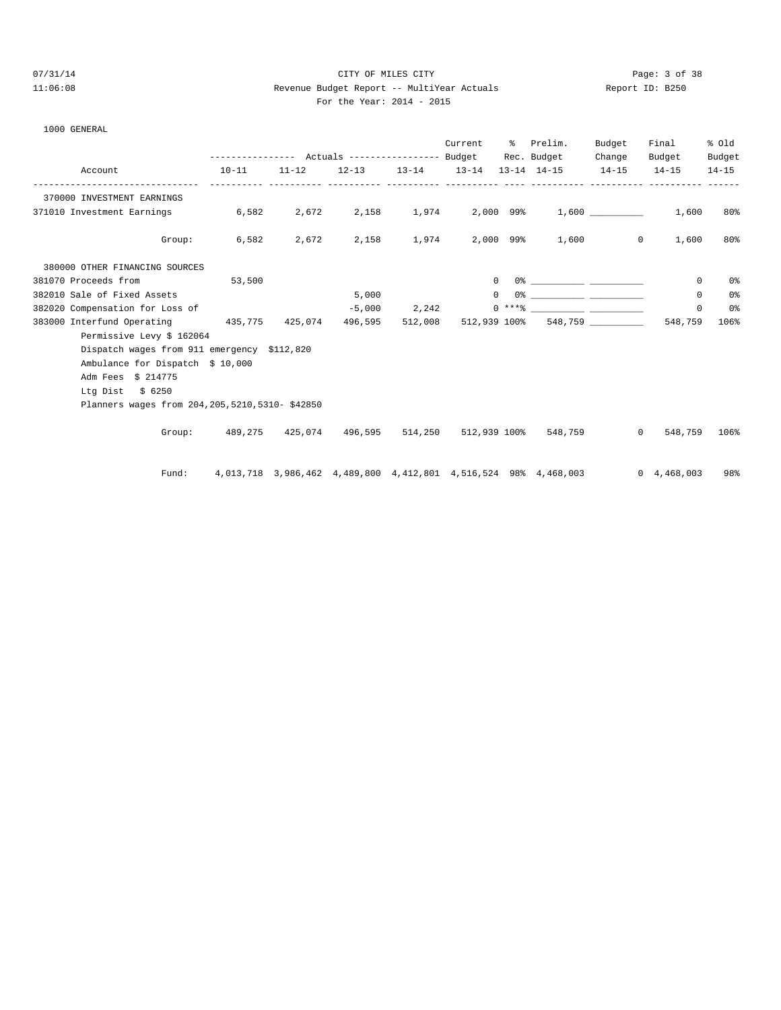# 07/31/14 Page: 3 of 38 11:06:08 Revenue Budget Report -- MultiYear Actuals Report ID: B250 For the Year: 2014 - 2015

| $\sim$ | ror une m |  |
|--------|-----------|--|
|        |           |  |

| 1000 GENERAL                                     |           |                 |                                                                 |                       |                   |                                        |                  |                |                |
|--------------------------------------------------|-----------|-----------------|-----------------------------------------------------------------|-----------------------|-------------------|----------------------------------------|------------------|----------------|----------------|
|                                                  |           |                 |                                                                 |                       | Current % Prelim. |                                        | Budget           | Final          | % old          |
|                                                  |           |                 |                                                                 |                       |                   | Rec. Budget                            | Change           | Budget         | Budget         |
| Account                                          | $10 - 11$ | $11 - 12$       | $12 - 13$                                                       | $13 - 14$             | $13 - 14$         | $13 - 14$ $14 - 15$                    | $14 - 15$        | $14 - 15$      | $14 - 15$      |
| 370000 INVESTMENT EARNINGS                       |           |                 |                                                                 |                       |                   |                                        |                  |                |                |
| 371010 Investment Earnings                       | 6,582     | 2,672           |                                                                 |                       |                   | 2,158 1,974 2,000 99% 1,600            |                  | 1,600          | 80%            |
| Group:                                           | 6,582     | 2,672           |                                                                 | 2,158 1,974 2,000 99% |                   |                                        | 1,600<br>$\circ$ | 1,600          | 80%            |
| 380000 OTHER FINANCING SOURCES                   |           |                 |                                                                 |                       |                   |                                        |                  |                |                |
| 381070 Proceeds from                             | 53,500    |                 |                                                                 |                       | $\mathbf{0}$      | $0$ 왕 아이는 아이들은 아이들의 사람들은 아이들이 아이들이 있다. |                  | $^{\circ}$     | 0 <sub>8</sub> |
| 382010 Sale of Fixed Assets                      |           |                 | 5,000                                                           |                       | $\Omega$          |                                        |                  | 0              | 0%             |
| 382020 Compensation for Loss of                  |           |                 | $-5,000$                                                        | 2,242                 |                   |                                        |                  | $\Omega$       | 0 <sup>°</sup> |
| 383000 Interfund Operating                       |           | 435,775 425,074 | 496,595                                                         | 512,008               | 512,939 100%      |                                        | 548,759          | 548,759        | 106%           |
| Permissive Levy \$ 162064                        |           |                 |                                                                 |                       |                   |                                        |                  |                |                |
| Dispatch wages from 911 emergency \$112,820      |           |                 |                                                                 |                       |                   |                                        |                  |                |                |
| Ambulance for Dispatch \$ 10,000                 |           |                 |                                                                 |                       |                   |                                        |                  |                |                |
| Adm Fees \$ 214775                               |           |                 |                                                                 |                       |                   |                                        |                  |                |                |
| Ltg Dist $$6250$                                 |           |                 |                                                                 |                       |                   |                                        |                  |                |                |
| Planners wages from 204, 205, 5210, 5310-\$42850 |           |                 |                                                                 |                       |                   |                                        |                  |                |                |
|                                                  |           |                 | Group: 489,275 425,074 496,595 514,250                          |                       | 512,939 100%      | 548,759                                | $\circ$          | 548,759        | 106%           |
| Fund:                                            |           |                 | 4,013,718 3,986,462 4,489,800 4,412,801 4,516,524 98% 4,468,003 |                       |                   |                                        |                  | 0, 4, 468, 003 | 98%            |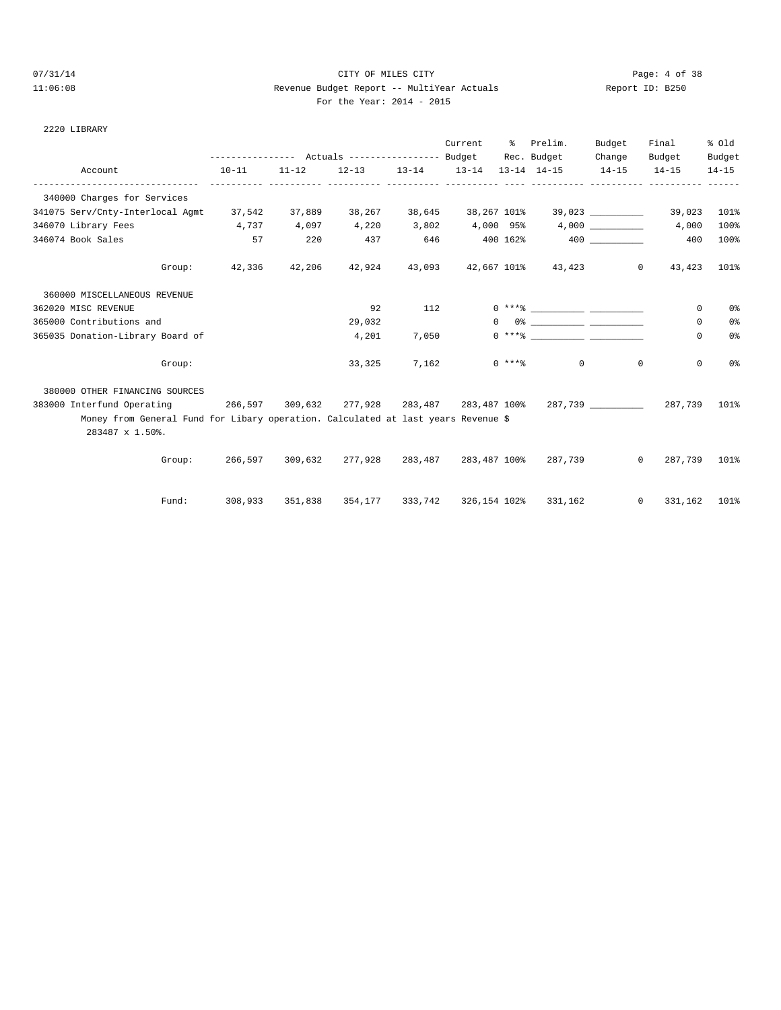#### 07/31/14 Page: 4 of 38 11:06:08 Revenue Budget Report -- MultiYear Actuals Report ID: B250 For the Year: 2014 - 2015

|  | For the Year: $2014 - 20$ |  |  |
|--|---------------------------|--|--|
|  |                           |  |  |

| Report ID: B25 |  |  |
|----------------|--|--|
|                |  |  |

|                                                                                                      |           |           |           |        | Current              | ွေ | Prelim.<br>Rec. Budget                                       | Budget<br>Change                 | Final<br>Budget | % old<br>Budget |
|------------------------------------------------------------------------------------------------------|-----------|-----------|-----------|--------|----------------------|----|--------------------------------------------------------------|----------------------------------|-----------------|-----------------|
| Account                                                                                              | $10 - 11$ | $11 - 12$ | $12 - 13$ |        | $13 - 14$ $13 - 14$  |    | $13 - 14$ $14 - 15$                                          | $14 - 15$                        | $14 - 15$       | $14 - 15$       |
| 340000 Charges for Services                                                                          |           |           |           |        |                      |    |                                                              |                                  |                 |                 |
| 341075 Serv/Cnty-Interlocal Agmt 37,542                                                              |           | 37,889    | 38,267    | 38,645 |                      |    |                                                              |                                  | 39,023          | 101%            |
| 346070 Library Fees<br>4,737 4,097                                                                   |           |           | 4,220     | 3,802  |                      |    | 4,000 95% 4,000                                              |                                  | 4,000           | 100%            |
| 346074 Book Sales                                                                                    | 57        | 220       | 437       | 646    |                      |    | 400 162% 400                                                 |                                  | 400             | 100%            |
| Group:                                                                                               | 42,336    | 42,206    | 42,924    | 43,093 |                      |    | 42,667 101% 43,423                                           | $\overline{0}$                   | 43,423          | 101%            |
| 360000 MISCELLANEOUS REVENUE                                                                         |           |           |           |        |                      |    |                                                              |                                  |                 |                 |
| 362020 MISC REVENUE                                                                                  |           |           | 92        | 112    |                      |    | $0***$ $\qquad \qquad \qquad$                                |                                  | 0               | 0%              |
| 365000 Contributions and                                                                             |           |           | 29,032    |        | $\circ$              |    |                                                              |                                  | 0               | 0%              |
| 365035 Donation-Library Board of                                                                     |           |           | 4,201     | 7,050  |                      |    |                                                              |                                  | 0               | 0%              |
| Group:                                                                                               |           |           | 33,325    | 7,162  |                      |    | $0$ *** $8$                                                  | $0 \qquad \qquad$<br>$\mathbf 0$ | $\mathbf 0$     | 0%              |
| 380000 OTHER FINANCING SOURCES                                                                       |           |           |           |        |                      |    |                                                              |                                  |                 |                 |
| 383000 Interfund Operating                                                                           |           |           |           |        |                      |    | 266,597 309,632 277,928 283,487 283,487 100% 287,739 287,739 |                                  |                 | 101%            |
| Money from General Fund for Libary operation. Calculated at last years Revenue \$<br>283487 x 1.50%. |           |           |           |        |                      |    |                                                              |                                  |                 |                 |
| Group:                                                                                               | 266,597   | 309,632   | 277,928   |        | 283,487 283,487 100% |    | 287,739                                                      | $\overline{0}$                   | 287,739         | 101%            |
| Fund:                                                                                                | 308,933   | 351,838   |           |        |                      |    | 354,177 333,742 326,154 102% 331,162                         | $\mathbf{0}$                     | 331,162         | 101%            |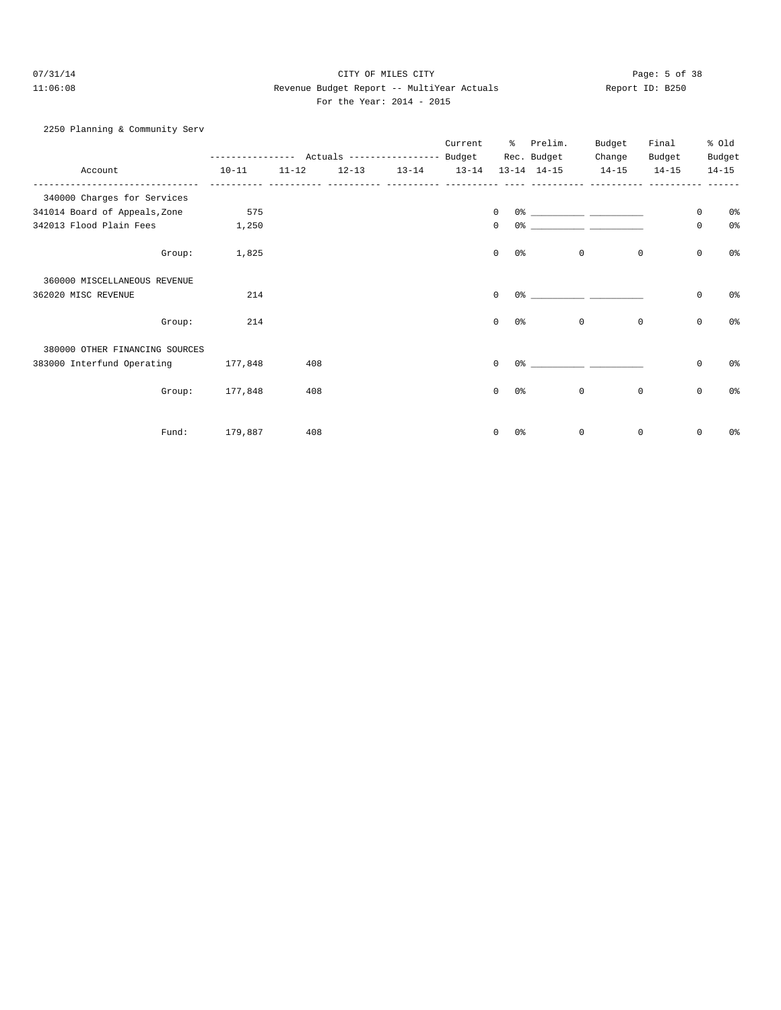# 07/31/14 Page: 5 of 38 11:06:08 Revenue Budget Report -- MultiYear Actuals Report ID: B250 For the Year: 2014 - 2015

| 2250 Planning & Community Serv |                                                             |           |  |         |              |                        |                                                                                                                                                                                                                             |             |             |                |
|--------------------------------|-------------------------------------------------------------|-----------|--|---------|--------------|------------------------|-----------------------------------------------------------------------------------------------------------------------------------------------------------------------------------------------------------------------------|-------------|-------------|----------------|
|                                |                                                             |           |  | Current |              | % Prelim.              | Budget                                                                                                                                                                                                                      | Final       |             | % old          |
|                                | --------------- Actuals ---------------- Budget Rec. Budget |           |  |         |              |                        | Change                                                                                                                                                                                                                      | Budget      |             | Budget         |
| Account                        | $10 - 11$                                                   | $11 - 12$ |  |         |              |                        | $12-13$ $13-14$ $13-14$ $13-14$ $14-15$ $14-15$                                                                                                                                                                             | $14 - 15$   |             | $14 - 15$      |
| 340000 Charges for Services    |                                                             |           |  |         |              |                        |                                                                                                                                                                                                                             |             |             |                |
| 341014 Board of Appeals, Zone  | 575                                                         |           |  |         | $\Omega$     |                        |                                                                                                                                                                                                                             |             | $\mathbf 0$ | 0 <sup>8</sup> |
| 342013 Flood Plain Fees 1,250  |                                                             |           |  |         | $\mathbf{0}$ |                        |                                                                                                                                                                                                                             |             | $\mathbf 0$ | 0%             |
| Group:                         | 1,825                                                       |           |  |         | $\Omega$     | 0 응                    | $\circ$                                                                                                                                                                                                                     | $\mathbf 0$ | 0           | 0 <sup>8</sup> |
| 360000 MISCELLANEOUS REVENUE   |                                                             |           |  |         |              |                        |                                                                                                                                                                                                                             |             |             |                |
| 362020 MISC REVENUE            | 214                                                         |           |  |         | $\Omega$     |                        | $0$ % and $0$ % and $0$ % and $0$ % and $0$ % and $0$ % and $0$ % and $0$ % and $0$ % and $0$ % and $0$ % and $0$ % and $0$ % and $0$ % and $0$ % and $0$ % and $0$ % and $0$ % and $0$ % and $0$ % and $0$ % and $0$ % and |             | $\mathbf 0$ | 0%             |
| Group:                         | 214                                                         |           |  |         | $\Omega$     | 0 응                    | $\Omega$                                                                                                                                                                                                                    | 0           | 0           | 0%             |
| 380000 OTHER FINANCING SOURCES |                                                             |           |  |         |              |                        |                                                                                                                                                                                                                             |             |             |                |
| 383000 Interfund Operating     | 177,848                                                     | 408       |  |         | $\Omega$     | $0$ % 이 아이에 이 아이에 있어요. |                                                                                                                                                                                                                             |             | 0           | 0 <sup>8</sup> |
| Group:                         | 177,848                                                     | 408       |  |         | $\Omega$     | 0 응                    | $\mathbf{0}$                                                                                                                                                                                                                | 0           | 0           | 0 <sup>°</sup> |
|                                |                                                             |           |  |         |              |                        |                                                                                                                                                                                                                             |             |             |                |
| Fund:                          | 179,887                                                     | 408       |  |         | $\Omega$     | 0%                     | $\mathbf 0$                                                                                                                                                                                                                 | $\mathbf 0$ | 0           | በ%             |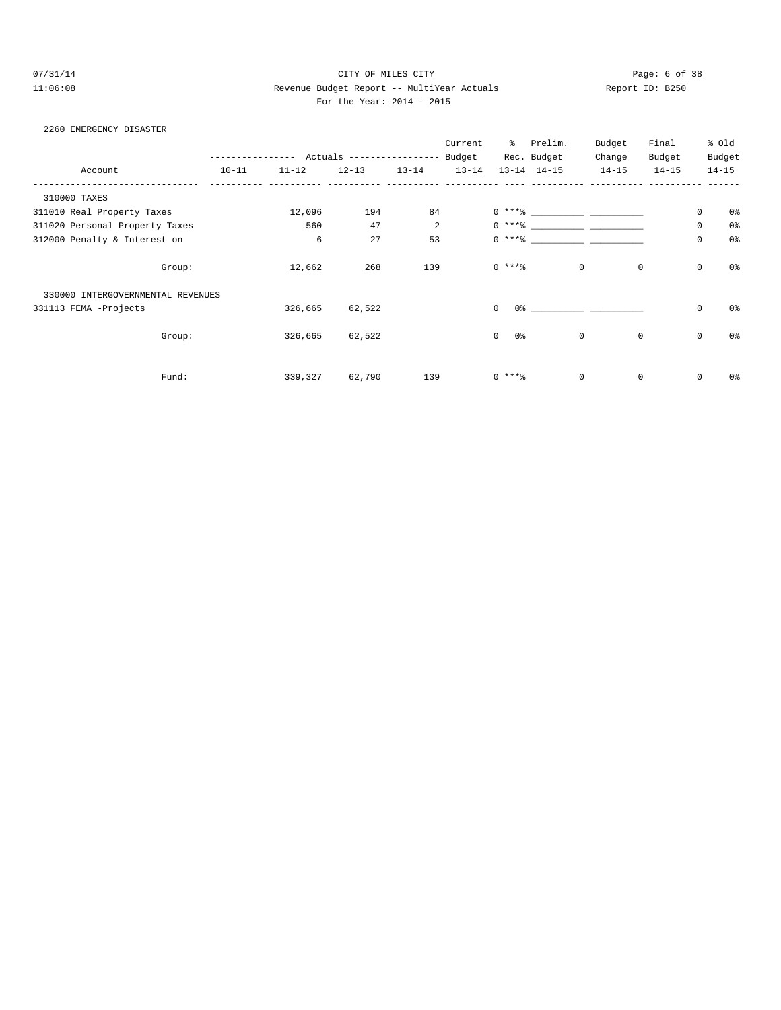# 07/31/14 Page: 6 of 38 11:06:08 Revenue Budget Report -- MultiYear Actuals Report ID: B250 For the Year: 2014 - 2015

#### 2260 EMERGENCY DISASTER

|                                   |           |                 |                           |                | Current   | ွေ                         | Prelim.             | Budget      | Final     |             | % old          |
|-----------------------------------|-----------|-----------------|---------------------------|----------------|-----------|----------------------------|---------------------|-------------|-----------|-------------|----------------|
|                                   |           | $- - - - - - -$ | Actuals ----------------- |                | Budget    |                            | Rec. Budget         | Change      | Budget    |             | Budget         |
| Account                           | $10 - 11$ | $11 - 12$       | $12 - 13$                 | $13 - 14$      | $13 - 14$ |                            | $13 - 14$ $14 - 15$ | $14 - 15$   | $14 - 15$ |             | $14 - 15$      |
| 310000 TAXES                      |           |                 |                           |                |           |                            |                     |             |           |             |                |
| 311010 Real Property Taxes        |           | 12,096          | 194                       | 84             |           |                            | $0$ *** $8$         |             |           | $\mathbf 0$ | 0%             |
| 311020 Personal Property Taxes    |           | 560             | 47                        | $\overline{2}$ |           | $0***8$                    |                     |             |           | $\mathbf 0$ | 0 <sup>o</sup> |
| 312000 Penalty & Interest on      |           | 6               | 27                        | 53             |           | $0***8$                    |                     |             |           | $\mathbf 0$ | 0 <sup>o</sup> |
|                                   | Group:    | 12,662          | 268                       | 139            |           | $0$ ****                   | $\mathbf 0$         | $\mathbf 0$ |           | $\mathbb O$ | 0 <sup>o</sup> |
| 330000 INTERGOVERNMENTAL REVENUES |           |                 |                           |                |           |                            |                     |             |           |             |                |
| 331113 FEMA -Projects             |           | 326,665         | 62,522                    |                |           | 0 %<br>$\Omega$            |                     |             |           | $\mathbf 0$ | 0 <sup>o</sup> |
|                                   | Group:    | 326,665         | 62,522                    |                |           | 0 <sup>°</sup><br>$\Omega$ | $\mathbf 0$         | $\mathbf 0$ |           | $\mathbb O$ | 0 <sup>o</sup> |
|                                   | Fund:     | 339,327         | 62,790                    | 139            |           | $0***8$                    | $\mathbf 0$         | 0           |           | $\mathbb O$ | 0%             |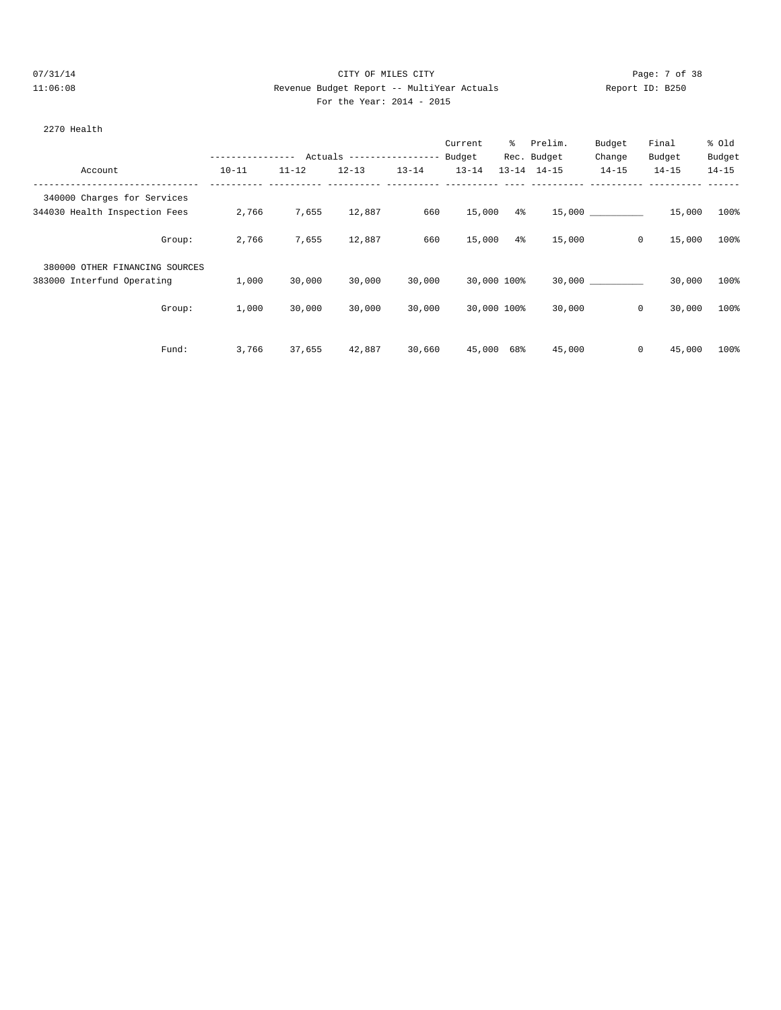# 07/31/14 Page: 7 of 38 11:06:08 Revenue Budget Report -- MultiYear Actuals Report ID: B250 For the Year: 2014 - 2015

#### 2270 Health

|                                |                  |           |                            |           | Current     | $\frac{1}{6}$ | Prelim.             | Budget    | Final     | % old     |
|--------------------------------|------------------|-----------|----------------------------|-----------|-------------|---------------|---------------------|-----------|-----------|-----------|
|                                | ---------------- |           | Actuals ------------------ |           | Budget      |               | Rec. Budget         | Change    | Budget    | Budget    |
| Account                        | $10 - 11$        | $11 - 12$ | $12 - 13$                  | $13 - 14$ | $13 - 14$   |               | $13 - 14$ $14 - 15$ | $14 - 15$ | $14 - 15$ | $14 - 15$ |
| 340000 Charges for Services    |                  |           |                            |           |             |               |                     |           |           |           |
| 344030 Health Inspection Fees  | 2,766            | 7,655     | 12,887                     | 660       | 15,000      | $4\%$         |                     | 15,000    | 15,000    | 100%      |
| Group:                         | 2,766            | 7,655     | 12,887                     | 660       | 15,000      | $4\%$         | 15,000              | 0         | 15,000    | 100%      |
| 380000 OTHER FINANCING SOURCES |                  |           |                            |           |             |               |                     |           |           |           |
| 383000 Interfund Operating     | 1,000            | 30,000    | 30,000                     | 30,000    | 30,000 100% |               |                     | 30,000    | 30,000    | 100%      |
| Group:                         | 1,000            | 30,000    | 30,000                     | 30,000    | 30,000 100% |               | 30,000              | 0         | 30,000    | 100%      |
| Fund:                          | 3,766            | 37,655    | 42,887                     | 30,660    | 45,000 68%  |               | 45,000              | 0         | 45,000    | 100%      |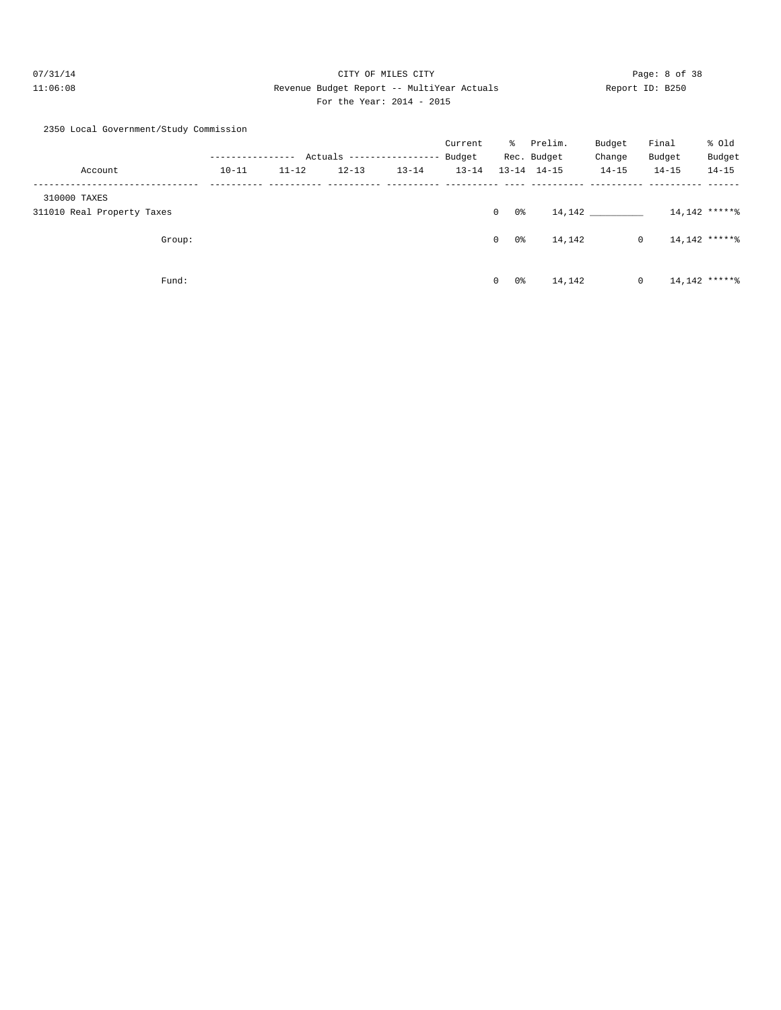# 07/31/14 Page: 8 of 38 11:06:08 Revenue Budget Report -- MultiYear Actuals Report ID: B250 For the Year: 2014 - 2015

|  | 2350 Local Government/Study Commission |  |
|--|----------------------------------------|--|

|                            |           |           |                           |           | Current   | ႜႜၟ           | Prelim.             | Budget      | Final           | % old           |
|----------------------------|-----------|-----------|---------------------------|-----------|-----------|---------------|---------------------|-------------|-----------------|-----------------|
|                            |           |           | Actuals ----------------- |           | Budget    |               | Rec. Budget         | Change      | Budget          | Budget          |
| Account                    | $10 - 11$ | $11 - 12$ | $12 - 13$                 | $13 - 14$ | $13 - 14$ |               | $13 - 14$ $14 - 15$ | $14 - 15$   | $14 - 15$       | $14 - 15$       |
| 310000 TAXES               |           |           |                           |           |           |               |                     |             |                 |                 |
| 311010 Real Property Taxes |           |           |                           |           |           | 0%<br>$\circ$ |                     | 14, 142     | $14,142$ ****** |                 |
| Group:                     |           |           |                           |           |           | 0%<br>$\circ$ | 14,142              | $\mathbf 0$ | $14,142$ ****** |                 |
| Fund:                      |           |           |                           |           |           | 0%<br>$\circ$ | 14,142              | 0           |                 | $14,142$ ****** |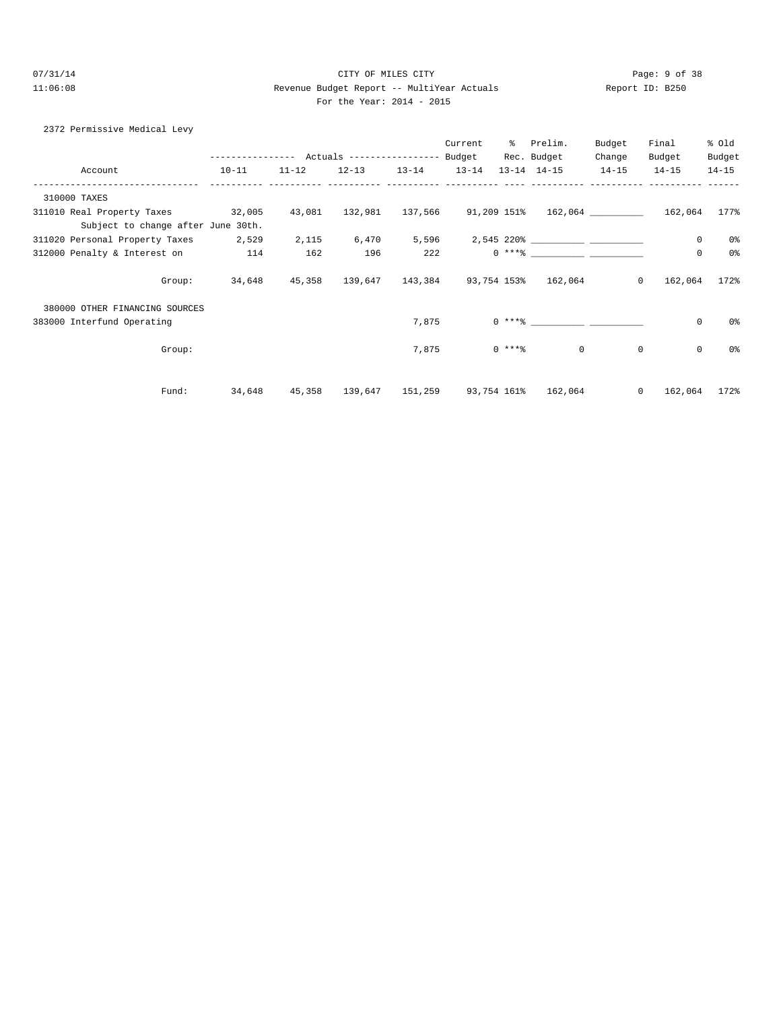# 07/31/14 Page: 9 of 38 11:06:08 Revenue Budget Report -- MultiYear Actuals Report ID: B250 For the Year: 2014 - 2015

| 2372 Permissive Medical Levy                                                              |                                                             |           |                         |       |                   |                                                         |                |              |           |
|-------------------------------------------------------------------------------------------|-------------------------------------------------------------|-----------|-------------------------|-------|-------------------|---------------------------------------------------------|----------------|--------------|-----------|
|                                                                                           |                                                             |           |                         |       | Current % Prelim. |                                                         | Budget         | Final        | % old     |
|                                                                                           | --------------- Actuals ---------------- Budget Rec. Budget |           |                         |       |                   |                                                         | Change         | Budget       | Budget    |
| Account                                                                                   | $10 - 11$                                                   | $11 - 12$ | $12-13$ $13-14$ $13-14$ |       |                   | 13-14 14-15 14-15                                       |                | $14 - 15$    | $14 - 15$ |
| 310000 TAXES                                                                              |                                                             |           |                         |       |                   |                                                         |                |              |           |
| 311010 Real Property Taxes 32,005 43,081 132,981 137,566 91,209 151% 162,064 162,064 177% |                                                             |           |                         |       |                   |                                                         |                |              |           |
| Subject to change after June 30th.                                                        |                                                             |           |                         |       |                   |                                                         |                |              |           |
| 311020 Personal Property Taxes 2,529                                                      |                                                             |           |                         |       |                   |                                                         |                | $\mathbf 0$  | 0%        |
| 312000 Penalty & Interest on 114                                                          |                                                             | 162       | 196                     |       |                   |                                                         |                | $\mathbf 0$  | 0%        |
|                                                                                           | Group: 34,648 45,358 139,647 143,384 93,754 153% 162,064 0  |           |                         |       |                   |                                                         |                | 162,064 172% |           |
| 380000 OTHER FINANCING SOURCES                                                            |                                                             |           |                         |       |                   |                                                         |                |              |           |
| 383000 Interfund Operating                                                                |                                                             |           |                         |       | 7,875             |                                                         |                | 0            | 0%        |
| Group:                                                                                    |                                                             |           |                         | 7,875 |                   | $0$ ****                                                | $\mathbf{0}$   | $\mathbf 0$  | 0 %       |
| Fund:                                                                                     |                                                             |           |                         |       |                   | 34,648  45,358  139,647  151,259  93,754  161%  162,064 | $\overline{0}$ | 162,064 172% |           |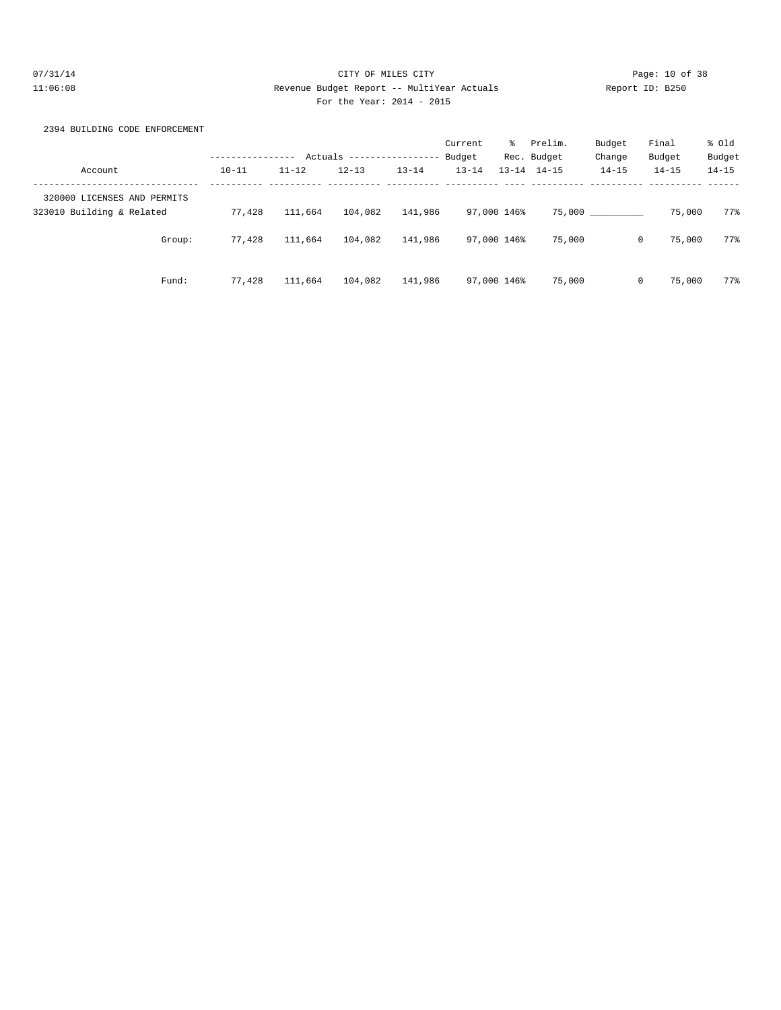# 07/31/14 Page: 10 of 38 11:06:08 Revenue Budget Report -- MultiYear Actuals Report ID: B250 For the Year: 2014 - 2015

# 2394 BUILDING CODE ENFORCEMENT

|                             | ---------------- |           | Actuals ------------------ |           | Current<br>Budget | ိ | Prelim.<br>Rec. Budget | Budget<br>Change | Final<br>Budget | % old<br>Budget |
|-----------------------------|------------------|-----------|----------------------------|-----------|-------------------|---|------------------------|------------------|-----------------|-----------------|
| Account                     | $10 - 11$        | $11 - 12$ | $12 - 13$                  | $13 - 14$ | $13 - 14$         |   | $13 - 14$ $14 - 15$    | $14 - 15$        | $14 - 15$       | $14 - 15$       |
| 320000 LICENSES AND PERMITS |                  |           |                            |           |                   |   |                        |                  |                 |                 |
| 323010 Building & Related   | 77,428           | 111,664   | 104,082                    | 141,986   | 97,000 146%       |   |                        | 75,000           | 75,000          | 77%             |
| Group:                      | 77.428           | 111,664   | 104,082                    | 141,986   | 97,000 146%       |   | 75,000                 | $\mathbf{0}$     | 75,000          | 77%             |
| Fund:                       | 77.428           | 111,664   | 104,082                    | 141,986   | 97,000 146%       |   | 75,000                 | $\mathbf{0}$     | 75,000          | 77%             |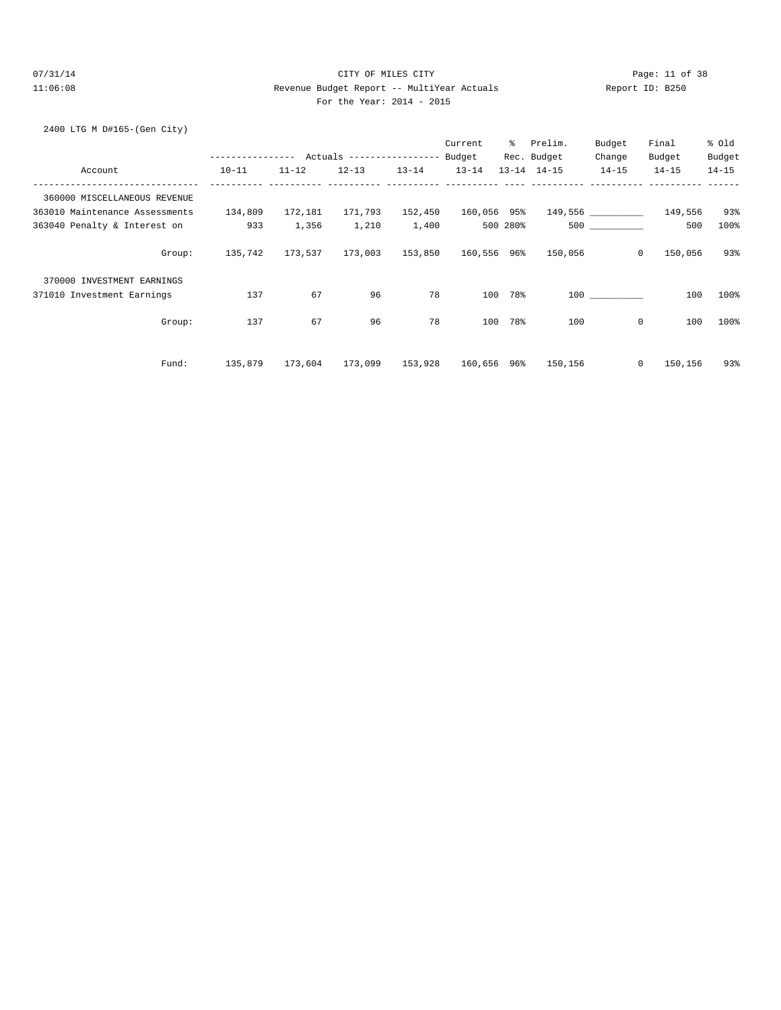# 07/31/14 Page: 11 of 38 11:06:08 Revenue Budget Report -- MultiYear Actuals Report ID: B250 For the Year: 2014 - 2015

#### 2400 LTG M D#165-(Gen City)

|                                  |                                            |           |                                             |           | Current   | ႜႜၟ      | Prelim.             | Budget      | Final           | % old     |
|----------------------------------|--------------------------------------------|-----------|---------------------------------------------|-----------|-----------|----------|---------------------|-------------|-----------------|-----------|
|                                  | ---------------- Actuals ----------------- |           |                                             |           | Budget    |          | Rec. Budget         | Change      | Budget          | Budget    |
| Account                          | $10 - 11$                                  | $11 - 12$ | $12 - 13$                                   | $13 - 14$ | $13 - 14$ |          | $13 - 14$ $14 - 15$ | $14 - 15$   | $14 - 15$       | $14 - 15$ |
| 360000 MISCELLANEOUS REVENUE     |                                            |           |                                             |           |           |          |                     |             |                 |           |
| 363010 Maintenance Assessments   | 134,809                                    | 172,181   | 171,793  152,450  160,056  95%              |           |           |          |                     |             | 149,556 149,556 | 93%       |
| 363040 Penalty & Interest on 933 |                                            | 1,356     | 1,210                                       | 1,400     |           | 500 280% |                     | 500 000     | 500             | 100%      |
| Group:                           |                                            |           | 135,742 173,537 173,003 153,850 160,556 96% |           |           |          | 150,056             | $^{\circ}$  | 150,056         | 93%       |
| 370000 INVESTMENT EARNINGS       |                                            |           |                                             |           |           |          |                     |             |                 |           |
| 371010 Investment Earnings       | 137                                        | 67        | 96                                          | 78        | 100       | 78%      |                     | 100         | 100             | 100%      |
| Group:                           | 137                                        | 67        | 96                                          | 78        | 100       | 78%      | 100                 | $\mathbf 0$ | 100             | 100%      |
| Fund:                            | 135,879                                    | 173,604   | 173,099 153,928 160,656 96%                 |           |           |          | 150,156             | $\circ$     | 150,156         | 93%       |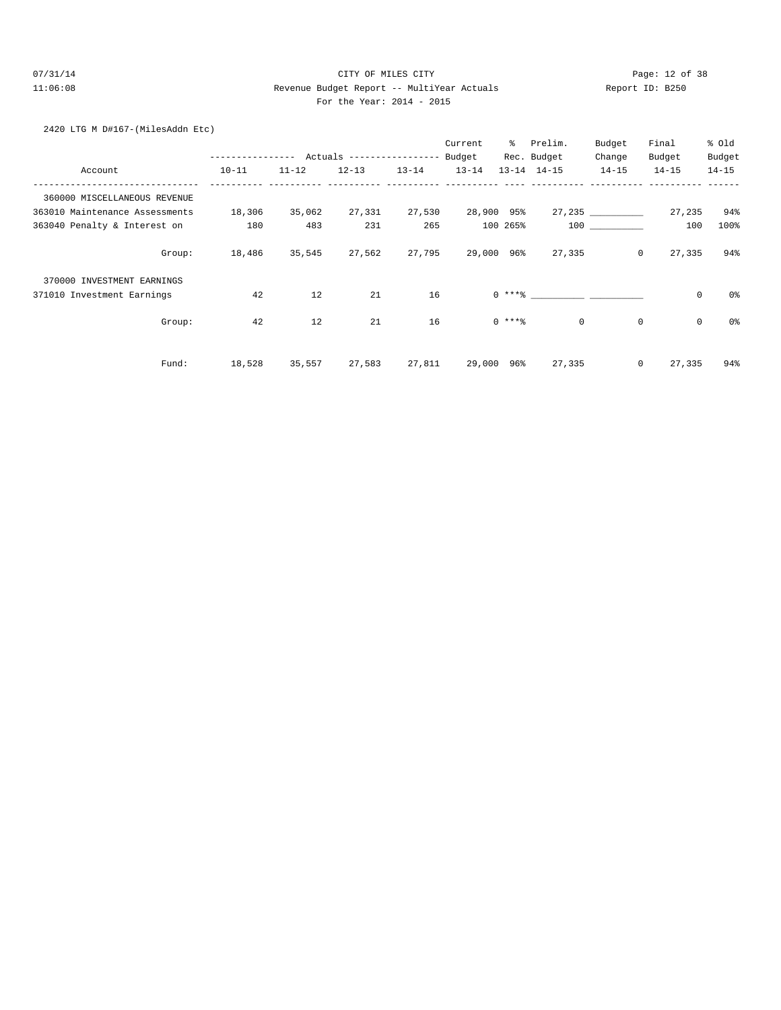# 07/31/14 Page: 12 of 38 11:06:08 Revenue Budget Report -- MultiYear Actuals Report ID: B250 For the Year: 2014 - 2015

# 2420 LTG M D#167-(MilesAddn Etc)

|                                |           |               |           |           | Current   | ႜၟ         | Prelim.             | Budget    | Final                    | % old     |
|--------------------------------|-----------|---------------|-----------|-----------|-----------|------------|---------------------|-----------|--------------------------|-----------|
|                                |           |               |           |           |           |            | Rec. Budget         | Change    | Budget                   | Budget    |
| Account                        | $10 - 11$ | $11 - 12$     | $12 - 13$ | $13 - 14$ | $13 - 14$ |            | $13 - 14$ $14 - 15$ | $14 - 15$ | $14 - 15$                | $14 - 15$ |
| 360000 MISCELLANEOUS REVENUE   |           |               |           |           |           |            |                     |           |                          |           |
| 363010 Maintenance Assessments | 18,306    | 35,062        | 27,331    | 27,530    |           | 28,900 95% |                     | 27, 235   | 27,235                   | 94%       |
| 363040 Penalty & Interest on   | 180       | 483           | 231       | 265       |           | 100 265%   |                     | 100 000   | 100                      | 100%      |
| Group:                         |           | 18,486 35,545 | 27,562    | 27,795    |           |            | 29,000 96% 27,335   |           | $\overline{0}$<br>27,335 | 94%       |
| 370000 INVESTMENT EARNINGS     |           |               |           |           |           |            |                     |           |                          |           |
| 371010 Investment Earnings     | 42        | 12            | 21        | 16        |           |            | $0$ *** $8$         |           | $\mathsf 0$              | 0%        |
| Group:                         | 42        | 12            | 21        | 16        |           | $0$ ****   | $\mathbf{0}$        |           | 0<br>0                   | 0%        |
| Fund:                          | 18,528    | 35,557        | 27,583    | 27,811    |           | 29,000 96% | 27,335              |           | $\circ$<br>27,335        | 94%       |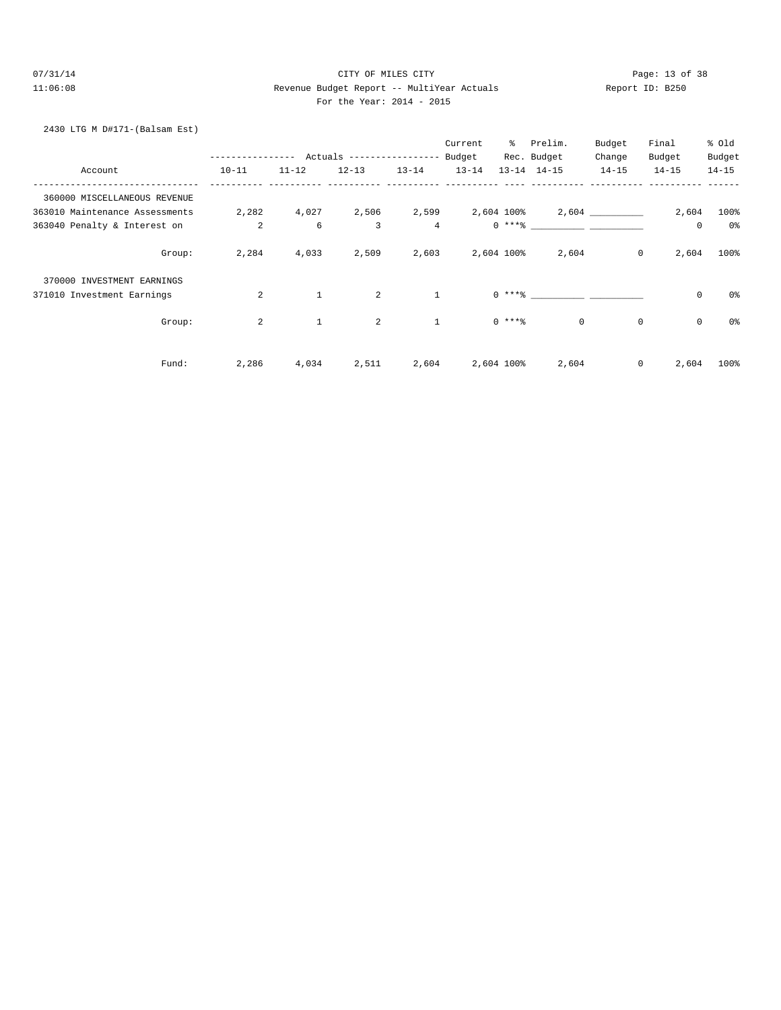# 07/31/14 Page: 13 of 38 11:06:08 Revenue Budget Report -- MultiYear Actuals Report ID: B250 For the Year: 2014 - 2015

# 2430 LTG M D#171-(Balsam Est)

|                                |                |              |                            |                | Current          | ွေ         | Prelim.                                    | Budget    | Final                      | % Old     |
|--------------------------------|----------------|--------------|----------------------------|----------------|------------------|------------|--------------------------------------------|-----------|----------------------------|-----------|
|                                | -------------  |              | Actuals ------------------ |                | Budget           |            | Rec. Budget                                | Change    | Budget                     | Budget    |
| Account                        | $10 - 11$      | $11 - 12$    | $12 - 13$                  | $13 - 14$      | $13 - 14$        |            | $13 - 14$ $14 - 15$                        | $14 - 15$ | $14 - 15$                  | $14 - 15$ |
| 360000 MISCELLANEOUS REVENUE   |                |              |                            |                |                  |            |                                            |           |                            |           |
| 363010 Maintenance Assessments | 2,282          |              |                            |                |                  |            | $4,027$ 2,506 2,599 2,604 100% 2,604 2,604 |           | 2,604                      | $100\%$   |
| 363040 Penalty & Interest on   | $\overline{a}$ | 6            | $\overline{3}$             | $\overline{4}$ |                  |            | $0***$ $****$                              |           | $\mathbb O$                | 0%        |
| Group:                         | 2,284          | 4,033        | 2,509                      |                | 2,603 2,604 100% |            | 2,604                                      |           | $\circ$<br>2,604           | 100%      |
| 370000 INVESTMENT EARNINGS     |                |              |                            |                |                  |            |                                            |           |                            |           |
| 371010 Investment Earnings     | 2              | $\mathbf{1}$ | 2                          | <sup>1</sup>   |                  |            |                                            |           | $\mathsf 0$                | 0%        |
| Group:                         | $\overline{a}$ | $\mathbf{1}$ | 2                          | $\mathbf{1}$   |                  | $0$ ****   | $\Omega$                                   |           | $\mathbf 0$<br>$\mathbf 0$ | 0%        |
| Fund:                          | 2,286          | 4,034        | 2,511                      | 2,604          |                  | 2,604 100% | 2,604                                      |           | 0<br>2,604                 | 100%      |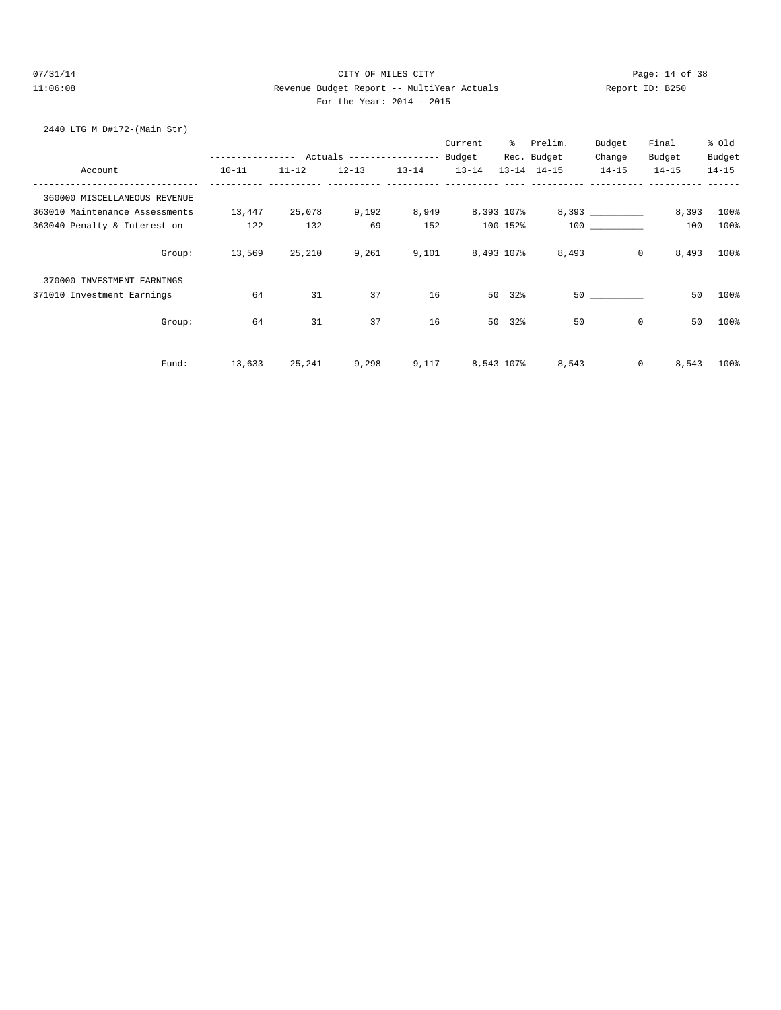# 07/31/14 Page: 14 of 38 11:06:08 Revenue Budget Report -- MultiYear Actuals Report ID: B250 For the Year: 2014 - 2015

# 2440 LTG M D#172-(Main Str)

|                                |                                            |           |           |           | Current   | ိ          | Prelim.             | Budget                                                                                                                                                                                                                          | Final                | % old     |
|--------------------------------|--------------------------------------------|-----------|-----------|-----------|-----------|------------|---------------------|---------------------------------------------------------------------------------------------------------------------------------------------------------------------------------------------------------------------------------|----------------------|-----------|
|                                | ---------------- Actuals ----------------- |           |           |           | Budget    |            | Rec. Budget         | Change                                                                                                                                                                                                                          | Budget               | Budget    |
| Account                        | $10 - 11$                                  | $11 - 12$ | $12 - 13$ | $13 - 14$ | $13 - 14$ |            | $13 - 14$ $14 - 15$ | $14 - 15$                                                                                                                                                                                                                       | $14 - 15$            | $14 - 15$ |
| 360000 MISCELLANEOUS REVENUE   |                                            |           |           |           |           |            |                     |                                                                                                                                                                                                                                 |                      |           |
| 363010 Maintenance Assessments | 13,447                                     | 25,078    | 9,192     | 8,949     |           | 8,393 107% |                     |                                                                                                                                                                                                                                 | 8,393                | 100%      |
| 363040 Penalty & Interest on   | 122                                        | 132       | 69        | 152       |           | 100 152%   |                     | 100 000                                                                                                                                                                                                                         | 100                  | 100%      |
| Group:                         | 13,569                                     | 25,210    | 9,261     | 9,101     |           | 8,493 107% | 8,493               |                                                                                                                                                                                                                                 | $\circ$<br>8,493     | 100%      |
| 370000 INVESTMENT EARNINGS     |                                            |           |           |           |           |            |                     |                                                                                                                                                                                                                                 |                      |           |
| 371010 Investment Earnings     | 64                                         | 31        | 37        | 16        |           | 50 32%     |                     | 50 30 30 30 31 32 33 40 33 40 34 35 40 35 40 35 40 35 40 35 40 35 40 35 40 35 40 35 40 35 40 35 40 35 40 35 40 35 40 35 40 35 40 35 40 35 40 35 40 35 40 35 40 35 40 35 40 35 40 35 40 35 40 35 40 35 40 35 40 35 40 35 40 35 4 | 50                   | 100%      |
| Group:                         | 64                                         | 31        | 37        | 16        |           | 50 32%     | 50                  |                                                                                                                                                                                                                                 | 50<br>$\mathbf 0$    | 100%      |
| Fund:                          | 13,633                                     | 25,241    | 9,298     | 9,117     |           | 8,543 107% | 8,543               |                                                                                                                                                                                                                                 | $\mathbf 0$<br>8,543 | 100%      |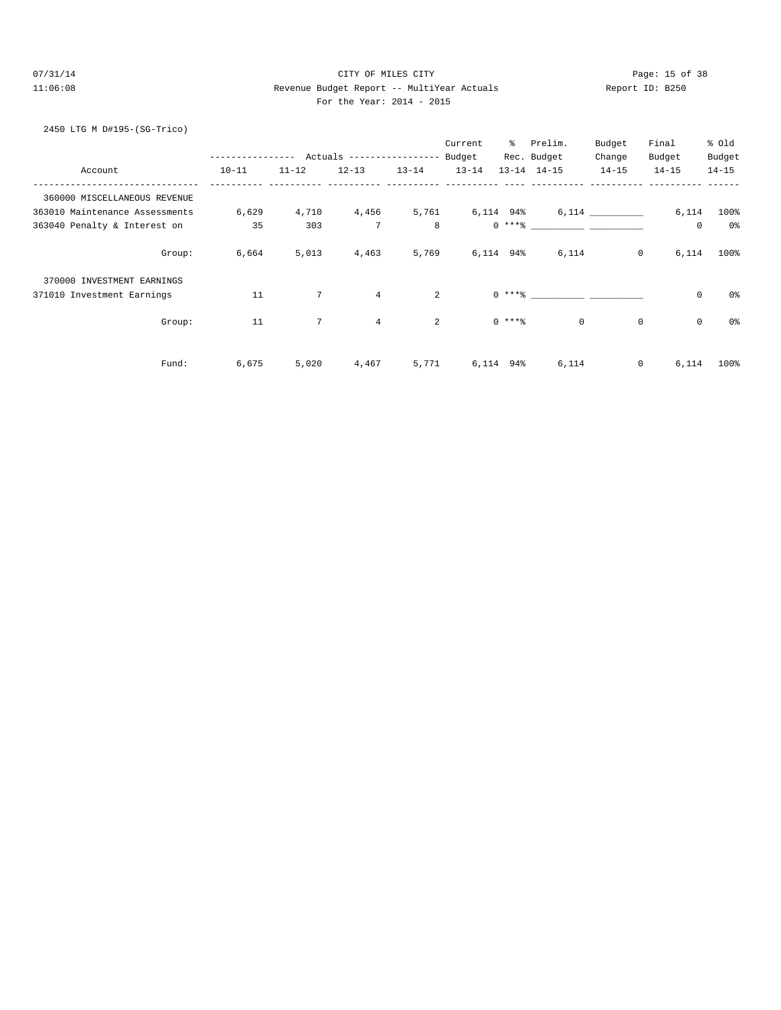# 07/31/14 Page: 15 of 38 11:06:08 Revenue Budget Report -- MultiYear Actuals Report ID: B250 For the Year: 2014 - 2015

# 2450 LTG M D#195-(SG-Trico)

|                                |                  |                 |                           |           | Current   | ့ $\sim$ | Prelim.                                                                                                                                                                                                                                                                                                                                                                                                                                                                                                             | Budget      | Final       | % old          |
|--------------------------------|------------------|-----------------|---------------------------|-----------|-----------|----------|---------------------------------------------------------------------------------------------------------------------------------------------------------------------------------------------------------------------------------------------------------------------------------------------------------------------------------------------------------------------------------------------------------------------------------------------------------------------------------------------------------------------|-------------|-------------|----------------|
|                                | ---------------- |                 | Actuals ----------------- |           | Budget    |          | Rec. Budget                                                                                                                                                                                                                                                                                                                                                                                                                                                                                                         | Change      | Budget      | Budget         |
| Account                        | $10 - 11$        | $11 - 12$       | $12 - 13$                 | $13 - 14$ | $13 - 14$ |          | $13 - 14$ $14 - 15$                                                                                                                                                                                                                                                                                                                                                                                                                                                                                                 | $14 - 15$   | $14 - 15$   | $14 - 15$      |
| 360000 MISCELLANEOUS REVENUE   |                  |                 |                           |           |           |          |                                                                                                                                                                                                                                                                                                                                                                                                                                                                                                                     |             |             |                |
| 363010 Maintenance Assessments | 6,629            | 4,710           | 4,456                     | 5,761     | 6,114 94% |          |                                                                                                                                                                                                                                                                                                                                                                                                                                                                                                                     | 6,114       | 6,114       | $100\%$        |
| 363040 Penalty & Interest on   | 35               | 303             | $7\phantom{.0}$           | 8         |           |          | $0 \xrightarrow{***\text{\texttt{\%}}}\xrightarrow{\hspace*{1.5cm}}\xrightarrow{\hspace*{1.5cm}}\xrightarrow{\hspace*{1.5cm}}\xrightarrow{\hspace*{1.5cm}}\xrightarrow{\hspace*{1.5cm}}\xrightarrow{\hspace*{1.5cm}}\xrightarrow{\hspace*{1.5cm}}\xrightarrow{\hspace*{1.5cm}}\xrightarrow{\hspace*{1.5cm}}\xrightarrow{\hspace*{1.5cm}}\xrightarrow{\hspace*{1.5cm}}\xrightarrow{\hspace*{1.5cm}}\xrightarrow{\hspace*{1.5cm}}\xrightarrow{\hspace*{1.5cm}}\xrightarrow{\hspace*{1.5cm}}\xrightarrow{\hspace*{1.5$ |             | 0           | 0%             |
| Group:                         | 6,664            | 5,013           | 4,463                     | 5,769     | 6,114 94% |          | 6,114                                                                                                                                                                                                                                                                                                                                                                                                                                                                                                               | $\circ$     | 6,114       | 100%           |
| 370000 INVESTMENT EARNINGS     |                  |                 |                           |           |           |          |                                                                                                                                                                                                                                                                                                                                                                                                                                                                                                                     |             |             |                |
| 371010 Investment Earnings     | 11               | $7\phantom{.0}$ | $\overline{4}$            | 2         |           |          | $0***$ $\frac{1}{2}$                                                                                                                                                                                                                                                                                                                                                                                                                                                                                                |             | $\mathsf 0$ | 0%             |
| Group:                         | 11               | $7\overline{ }$ | $\overline{4}$            | 2         |           | $0$ **** | $\circ$                                                                                                                                                                                                                                                                                                                                                                                                                                                                                                             | $\mathbf 0$ | $\mathbf 0$ | 0 <sup>°</sup> |
| Fund:                          | 6,675            | 5,020           | 4,467                     | 5,771     | 6,114 94% |          | 6,114                                                                                                                                                                                                                                                                                                                                                                                                                                                                                                               | 0           | 6,114       | 100%           |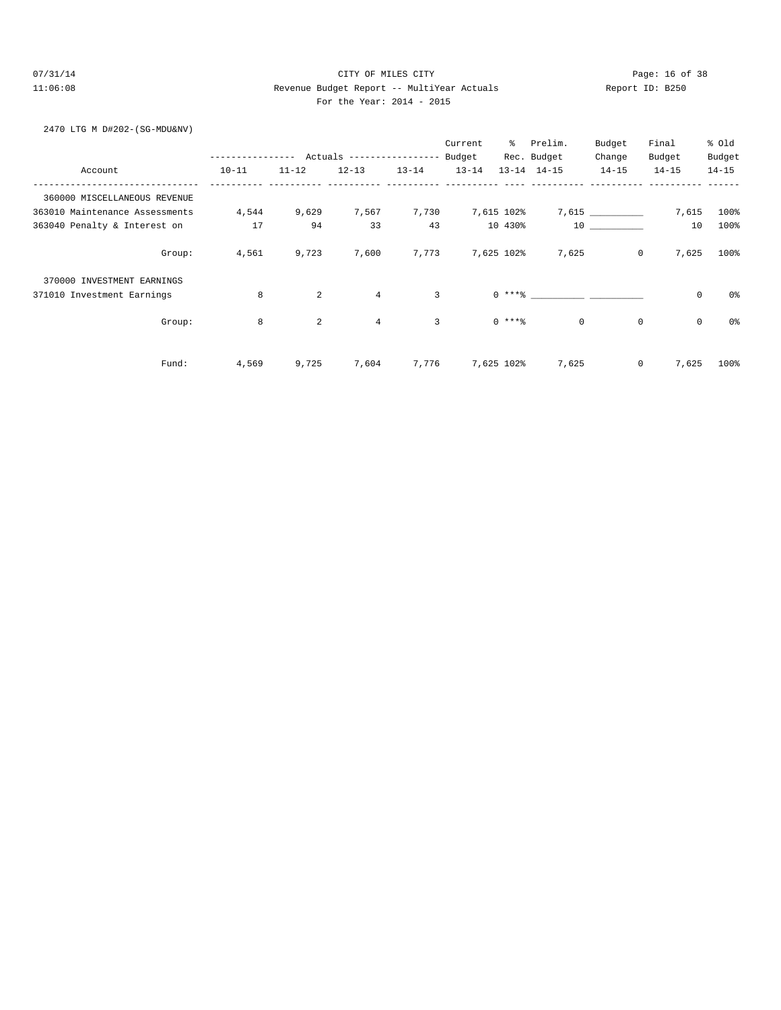# 07/31/14 Page: 16 of 38 11:06:08 Revenue Budget Report -- MultiYear Actuals Report ID: B250 For the Year: 2014 - 2015

#### 2470 LTG M D#202-(SG-MDU&NV)

|                                |           |           |                            |                | Current          | ွေ         | Prelim.               | Budget    | Final                      | % old     |
|--------------------------------|-----------|-----------|----------------------------|----------------|------------------|------------|-----------------------|-----------|----------------------------|-----------|
|                                | .         |           | Actuals ------------------ |                | Budget           |            | Rec. Budget           | Change    | Budget                     | Budget    |
| Account                        | $10 - 11$ | $11 - 12$ | $12 - 13$                  | $13 - 14$      | $13 - 14$        |            | $13 - 14$ $14 - 15$   | $14 - 15$ | $14 - 15$                  | $14 - 15$ |
| 360000 MISCELLANEOUS REVENUE   |           |           |                            |                |                  |            |                       |           |                            |           |
| 363010 Maintenance Assessments | 4,544     | 9,629     | 7,567                      | 7,730          | 7,615 102%       |            |                       | 7,615     | 7,615                      | $100\%$   |
| 363040 Penalty & Interest on   | 17        | 94        | 33                         | 43             |                  | 10 430%    |                       | 10        | 10                         | 100%      |
| Group:                         | 4,561     | 9,723     | 7,600                      |                | 7,773 7,625 102% |            | 7,625                 |           | $\mathbf 0$<br>7,625       | 100%      |
| 370000 INVESTMENT EARNINGS     |           |           |                            |                |                  |            |                       |           |                            |           |
| 371010 Investment Earnings     | 8         | 2         | $\overline{4}$             | $\overline{3}$ |                  |            | $0$ *** $\frac{1}{6}$ |           | $\mathsf 0$                | 0%        |
| Group:                         | 8         | 2         | $\overline{4}$             | $\overline{3}$ |                  | $0***8$    | $\circ$               |           | $\mathbf 0$<br>$\mathbf 0$ | 0%        |
| Fund:                          | 4,569     | 9,725     | 7,604                      | 7,776          |                  | 7,625 102% | 7,625                 |           | $\mathbf 0$<br>7,625       | 100%      |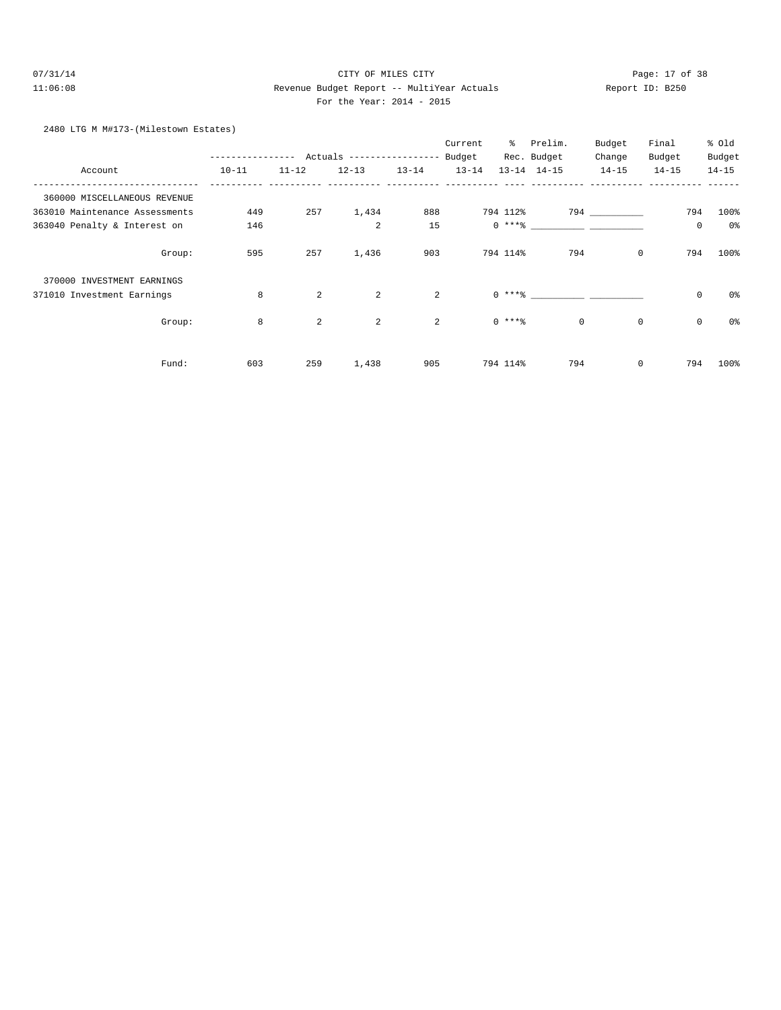# 07/31/14 Page: 17 of 38 11:06:08 Revenue Budget Report -- MultiYear Actuals Report ID: B250 For the Year: 2014 - 2015

#### 2480 LTG M M#173-(Milestown Estates)

|                                |           |           |                           |                | Current   | ៖        | Prelim.             | Budget      | Final       | % old     |
|--------------------------------|-----------|-----------|---------------------------|----------------|-----------|----------|---------------------|-------------|-------------|-----------|
|                                |           |           | Actuals ----------------- |                | Budget    |          | Rec. Budget         | Change      | Budget      | Budget    |
| Account                        | $10 - 11$ | $11 - 12$ | $12 - 13$                 | $13 - 14$      | $13 - 14$ |          | $13 - 14$ $14 - 15$ | $14 - 15$   | $14 - 15$   | $14 - 15$ |
| 360000 MISCELLANEOUS REVENUE   |           |           |                           |                |           |          |                     |             |             |           |
| 363010 Maintenance Assessments | 449       | 257       | 1,434                     | 888            |           | 794 112% |                     | 794 794     | 794         | 100%      |
| 363040 Penalty & Interest on   | 146       |           | $\overline{a}$            | 15             |           |          | $0 \times + *$ 8    |             | $\mathsf 0$ | 0%        |
| Group:                         | 595       | 257       | 1,436                     | 903            |           | 794 114% | 794                 | $\mathbf 0$ | 794         | 100%      |
| 370000 INVESTMENT EARNINGS     |           |           |                           |                |           |          |                     |             |             |           |
| 371010 Investment Earnings     | 8         | 2         | 2                         | $\overline{a}$ |           |          | $0$ *** $8$         |             | $\mathbf 0$ | 0%        |
| Group:                         | 8         | 2         | 2                         | $\overline{a}$ |           | $0***$   | $\mathbf 0$         | $\mathbf 0$ | $\mathbf 0$ | 0%        |
| Fund:                          | 603       | 259       | 1,438                     | 905            |           | 794 114% | 794                 | 0           | 794         | 100%      |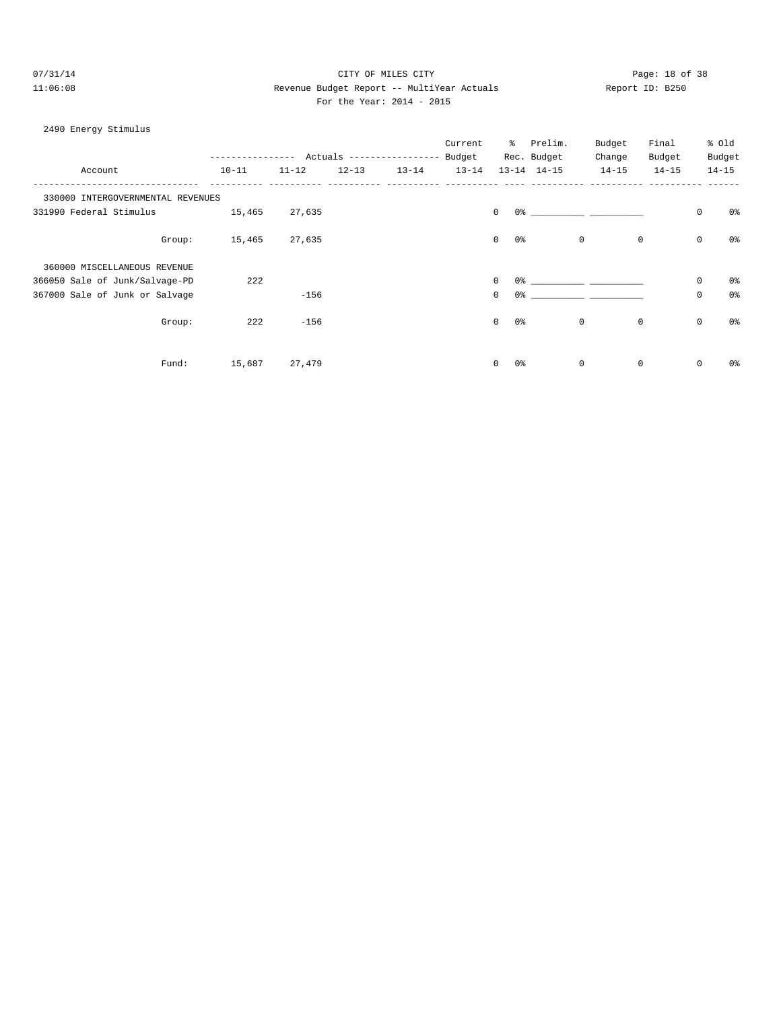# 07/31/14 Page: 18 of 38 11:06:08 Revenue Budget Report -- MultiYear Actuals Report ID: B250 For the Year: 2014 - 2015

#### 2490 Energy Stimulus

|                                   |           |             |           |                            | Current   | ి                              | Prelim.             | Budget                                                                                                                                                                                                                      | Final       |             | % Old          |
|-----------------------------------|-----------|-------------|-----------|----------------------------|-----------|--------------------------------|---------------------|-----------------------------------------------------------------------------------------------------------------------------------------------------------------------------------------------------------------------------|-------------|-------------|----------------|
|                                   |           | $- - - - -$ |           | Actuals ------------------ | Budget    |                                | Rec. Budget         | Change                                                                                                                                                                                                                      | Budget      |             | Budget         |
| Account                           | $10 - 11$ | $11 - 12$   | $12 - 13$ | $13 - 14$                  | $13 - 14$ |                                | $13 - 14$ $14 - 15$ | $14 - 15$                                                                                                                                                                                                                   | $14 - 15$   |             | $14 - 15$      |
| 330000 INTERGOVERNMENTAL REVENUES |           |             |           |                            |           |                                |                     |                                                                                                                                                                                                                             |             |             |                |
| 331990 Federal Stimulus           | 15,465    | 27,635      |           |                            |           | $\mathbf{0}$                   |                     | $0$ % and $0$ % and $0$ % and $0$ % and $0$ % and $0$ % and $0$ % and $0$ % and $0$ % and $0$ % and $0$ % and $0$ % and $0$ % and $0$ % and $0$ % and $0$ % and $0$ % and $0$ % and $0$ % and $0$ % and $0$ % and $0$ % and |             | $\mathbb O$ | 0%             |
| Group:                            | 15,465    | 27,635      |           |                            |           | $\mathbf{0}$<br>0%             |                     | $\mathbf{0}$                                                                                                                                                                                                                | $\mathbf 0$ | $\mathbb O$ | 0%             |
| 360000 MISCELLANEOUS REVENUE      |           |             |           |                            |           |                                |                     |                                                                                                                                                                                                                             |             |             |                |
| 366050 Sale of Junk/Salvage-PD    | 222       |             |           |                            |           | $\mathbf 0$<br>0 %             |                     |                                                                                                                                                                                                                             |             | $\mathbb O$ | 0%             |
| 367000 Sale of Junk or Salvage    |           | $-156$      |           |                            |           | $\mathbf 0$<br>0%              |                     |                                                                                                                                                                                                                             |             | $\mathbf 0$ | 0 <sup>°</sup> |
| Group:                            | 222       | $-156$      |           |                            |           | $\mathbf{0}$<br>0 <sup>°</sup> |                     | $\circ$                                                                                                                                                                                                                     | $\mathbf 0$ | $\mathbf 0$ | 0 <sup>8</sup> |
| Fund:                             | 15,687    | 27,479      |           |                            |           | $\mathbf{0}$<br>0%             |                     | $\mathsf{O}$                                                                                                                                                                                                                | 0           | 0           | 0%             |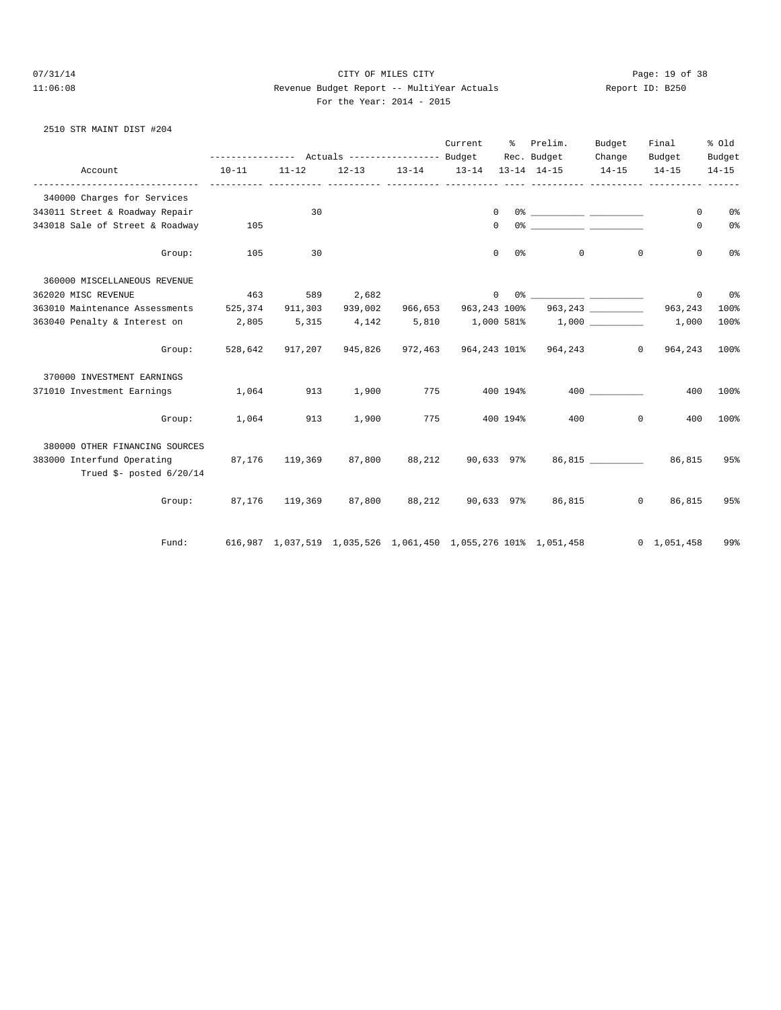# 07/31/14 Page: 19 of 38 11:06:08 Revenue Budget Report -- MultiYear Actuals Report ID: B250 For the Year: 2014 - 2015

2510 STR MAINT DIST #204

|                                                                                                     |           |           |         |                               | Current |                       | % Prelim.<br>Rec. Budget                                       | Budget<br>Change   | Final<br>Budget     | % old<br>Budget |
|-----------------------------------------------------------------------------------------------------|-----------|-----------|---------|-------------------------------|---------|-----------------------|----------------------------------------------------------------|--------------------|---------------------|-----------------|
| Account                                                                                             | $10 - 11$ | $11 - 12$ |         | 12-13 13-14 13-14 13-14 14-15 |         |                       |                                                                | $14 - 15$          | $14 - 15$           | $14 - 15$       |
| 340000 Charges for Services                                                                         |           |           |         |                               |         |                       |                                                                |                    |                     |                 |
| 343011 Street & Roadway Repair                                                                      |           | 30        |         |                               |         | $\mathbf{0}$          |                                                                |                    | $\circ$             | 0%              |
| 343018 Sale of Street & Roadway                                                                     | 105       |           |         |                               |         | $\Omega$              |                                                                |                    | $\Omega$            | 0%              |
| Group:                                                                                              | 105       | 30        |         |                               |         | $\overline{0}$<br>0 응 |                                                                | 0<br>$\mathbf 0$   | $\mathbf 0$         | 0 <sup>°</sup>  |
| 360000 MISCELLANEOUS REVENUE                                                                        |           |           |         |                               |         |                       |                                                                |                    |                     |                 |
| 362020 MISC REVENUE                                                                                 | 463       | 589       | 2,682   |                               |         | 0                     |                                                                |                    | $\circ$             | 0%              |
| 363010 Maintenance Assessments                                                                      | 525,374   | 911,303   | 939,002 | 966,653                       |         |                       |                                                                |                    | 963,243             | 100%            |
| 363040 Penalty & Interest on 2,805                                                                  |           | 5,315     |         |                               |         |                       | $4,142$ $5,810$ $1,000$ $581\%$ $1,000$ $\_\_$                 |                    | 1,000               | 100%            |
| Group:                                                                                              | 528,642   |           |         |                               |         |                       | 917,207  945,826  972,463  964,243  101%  964,243              | $\overline{0}$     | 964,243             | 100%            |
| 370000 INVESTMENT EARNINGS                                                                          |           |           |         |                               |         |                       |                                                                |                    |                     |                 |
| 371010 Investment Earnings                                                                          | 1,064     | 913       | 1,900   |                               | 775     |                       | 400 194%                                                       | 400 000            | 400                 | 100%            |
| Group:                                                                                              | 1,064     | 913       | 1,900   | 775                           |         | 400 194%              |                                                                | 400 000<br>$\circ$ | 400                 | 100%            |
| 380000 OTHER FINANCING SOURCES<br>383000 Interfund Operating 87,176<br>Trued $$$ - posted $6/20/14$ |           | 119,369   | 87,800  |                               |         |                       | 88,212 90,633 97% 86,815 86,815                                |                    |                     | 95%             |
|                                                                                                     |           |           |         |                               |         |                       | Group: 87,176 119,369 87,800 88,212 90,633 97% 86,815          |                    | 0 86,815            | 95%             |
| Fund:                                                                                               |           |           |         |                               |         |                       | 616,987 1,037,519 1,035,526 1,061,450 1,055,276 101% 1,051,458 |                    | $0 \quad 1,051,458$ | 99%             |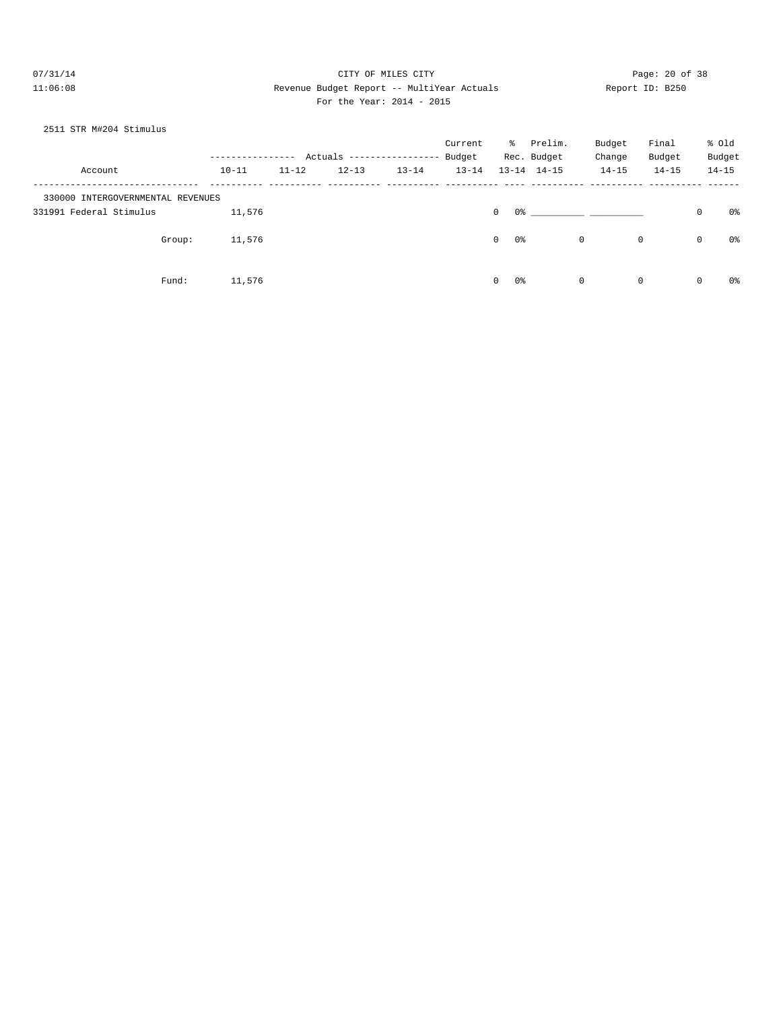# 07/31/14 Page: 20 of 38 11:06:08 Revenue Budget Report -- MultiYear Actuals Report ID: B250 For the Year: 2014 - 2015

#### 2511 STR M#204 Stimulus

|                                   |           |           | Actuals ------------------ |           | Current<br>Budget | ိ                  | Prelim.<br>Rec. Budget | Budget<br>Change | Final<br>Budget |              | % old<br>Budget |
|-----------------------------------|-----------|-----------|----------------------------|-----------|-------------------|--------------------|------------------------|------------------|-----------------|--------------|-----------------|
| Account                           | $10 - 11$ | $11 - 12$ | $12 - 13$                  | $13 - 14$ | $13 - 14$         |                    | $13 - 14$ $14 - 15$    | $14 - 15$        | $14 - 15$       |              | $14 - 15$       |
| 330000 INTERGOVERNMENTAL REVENUES |           |           |                            |           |                   |                    |                        |                  |                 |              |                 |
| 331991 Federal Stimulus           | 11,576    |           |                            |           |                   | 0%<br>$\mathbf{0}$ |                        |                  |                 | $\mathbf 0$  | 0%              |
| Group:                            | 11,576    |           |                            |           |                   | 0%<br>$\circ$      |                        | $\mathbf 0$      | 0               | $\mathbf{0}$ | 0%              |
| Fund:                             | 11,576    |           |                            |           |                   | $\circ$<br>0%      |                        | $\mathbf 0$      | 0               | 0            | 0%              |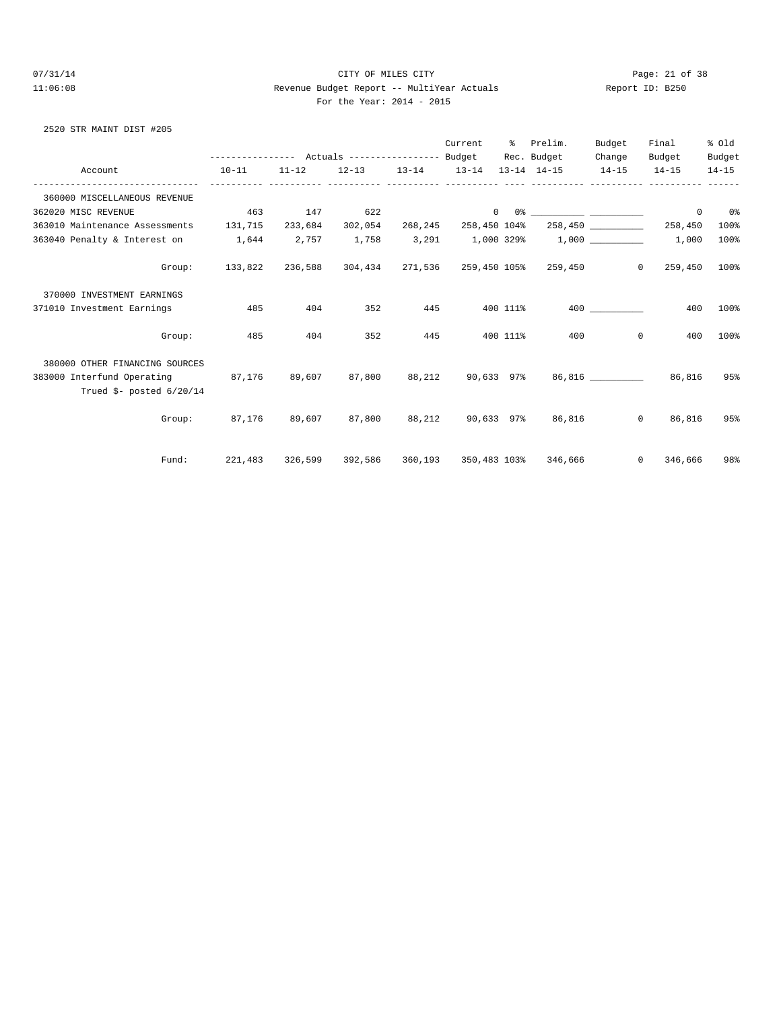# 07/31/14 Page: 21 of 38 11:06:08 Revenue Budget Report -- MultiYear Actuals Report ID: B250 For the Year: 2014 - 2015

#### 2520 STR MAINT DIST #205

|                                                                                                               | --------------- Actuals ---------------- Budget                    |           |                                      |     | Current | ိ        | Prelim.<br>Rec. Budget                                                                                                                                                                                                         | Budget<br>Change | Final<br>Budget           | % old<br>Budget |
|---------------------------------------------------------------------------------------------------------------|--------------------------------------------------------------------|-----------|--------------------------------------|-----|---------|----------|--------------------------------------------------------------------------------------------------------------------------------------------------------------------------------------------------------------------------------|------------------|---------------------------|-----------------|
| Account                                                                                                       | $10 - 11$                                                          | $11 - 12$ |                                      |     |         |          | $12-13$ $13-14$ $13-14$ $13-14$ $14-15$ $14-15$                                                                                                                                                                                |                  | $14 - 15$                 | $14 - 15$       |
| 360000 MISCELLANEOUS REVENUE                                                                                  |                                                                    |           |                                      |     |         |          |                                                                                                                                                                                                                                |                  |                           |                 |
| 362020 MISC REVENUE                                                                                           | 463                                                                |           | 147 622                              |     |         |          |                                                                                                                                                                                                                                |                  | $\circ$                   | 0 <sup>8</sup>  |
| 363010 Maintenance Assessments 131,715                                                                        |                                                                    |           | 233,684 302,054 268,245 258,450 104% |     |         |          |                                                                                                                                                                                                                                |                  | 258,450 258,450           | 100%            |
| 363040 Penalty & Interest on 1,644                                                                            |                                                                    |           |                                      |     |         |          | $2,757$ $1,758$ $3,291$ $1,000$ $329\%$ $1,000$ $1,000$ $1,000$ $1,000$ $1,000$ $1,000$ $1,000$ $1,000$ $1,000$ $1,000$ $1,000$ $1,000$ $1,000$ $1,000$ $1,000$ $1,000$ $1,000$ $1,000$ $1,000$ $1,000$ $1,000$ $1,000$ $1,00$ |                  | 1,000                     | 100%            |
| Group:                                                                                                        | 133,822                                                            | 236,588   |                                      |     |         |          | 304,434 271,536 259,450 105% 259,450                                                                                                                                                                                           |                  | $\overline{0}$<br>259,450 | $100\%$         |
| 370000 INVESTMENT EARNINGS                                                                                    |                                                                    |           |                                      |     |         |          |                                                                                                                                                                                                                                |                  |                           |                 |
| 371010 Investment Earnings                                                                                    | 485                                                                | 404       | 352                                  | 445 |         | 400 111% |                                                                                                                                                                                                                                | 400              | 400                       | 100%            |
| Group:                                                                                                        | 485                                                                | 404       | 352                                  | 445 |         | 400 111% | 400                                                                                                                                                                                                                            | $\Omega$         | 400                       | 100%            |
| 380000 OTHER FINANCING SOURCES                                                                                |                                                                    |           |                                      |     |         |          |                                                                                                                                                                                                                                |                  |                           |                 |
| 383000 Interfund Operating 87,176 89,607 87,800 88,212 90,633 97% 86,816 [199]<br>Trued $$-$ posted $6/20/14$ |                                                                    |           |                                      |     |         |          |                                                                                                                                                                                                                                |                  | 86,816                    | 95%             |
| Group:                                                                                                        | 87,176   89,607   87,800   88,212   90,633 97%   86,816            |           |                                      |     |         |          |                                                                                                                                                                                                                                | $\circ$          | 86,816                    | 95%             |
| Fund:                                                                                                         | 221,483 326,599 392,586 360,193 350,483 103% 346,666     0 346,666 |           |                                      |     |         |          |                                                                                                                                                                                                                                |                  |                           | 98%             |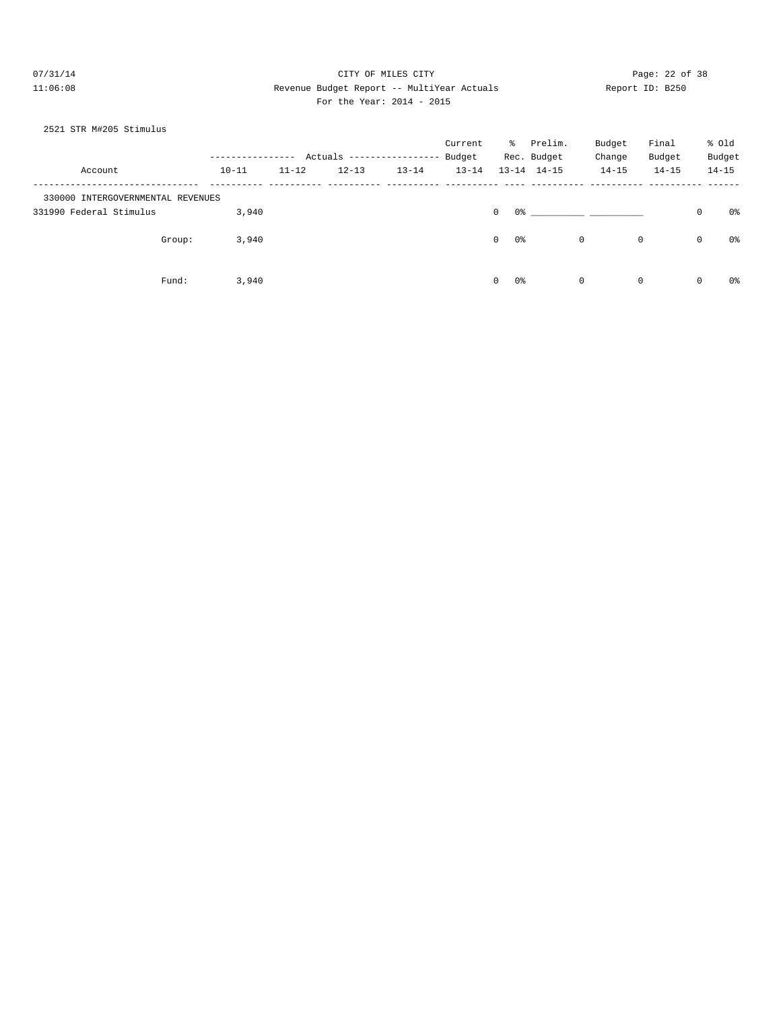# 07/31/14 Page: 22 of 38 11:06:08 Revenue Budget Report -- MultiYear Actuals Report ID: B250 For the Year: 2014 - 2015

#### 2521 STR M#205 Stimulus

|                                   |           |           | Actuals --------------- |           | Current<br>Budget | $\approx$     | Prelim.<br>Rec. Budget |             | Budget<br>Change | Final<br>Budget |              | % old<br>Budget |
|-----------------------------------|-----------|-----------|-------------------------|-----------|-------------------|---------------|------------------------|-------------|------------------|-----------------|--------------|-----------------|
| Account                           | $10 - 11$ | $11 - 12$ | $12 - 13$               | $13 - 14$ | $13 - 14$         |               | $13 - 14$ $14 - 15$    |             | $14 - 15$        | $14 - 15$       |              | $14 - 15$       |
| 330000 INTERGOVERNMENTAL REVENUES |           |           |                         |           |                   |               |                        |             |                  |                 |              |                 |
| 331990 Federal Stimulus           | 3,940     |           |                         |           |                   | $\circ$<br>0% |                        |             |                  |                 | $\mathbf 0$  | 0%              |
| Group:                            | 3,940     |           |                         |           |                   | $\circ$<br>0% |                        | 0           | 0                |                 | 0            | 0%              |
| Fund:                             | 3,940     |           |                         |           |                   | 0%<br>$\circ$ |                        | $\mathbf 0$ | $\mathbf 0$      |                 | $\mathbf{0}$ | 0%              |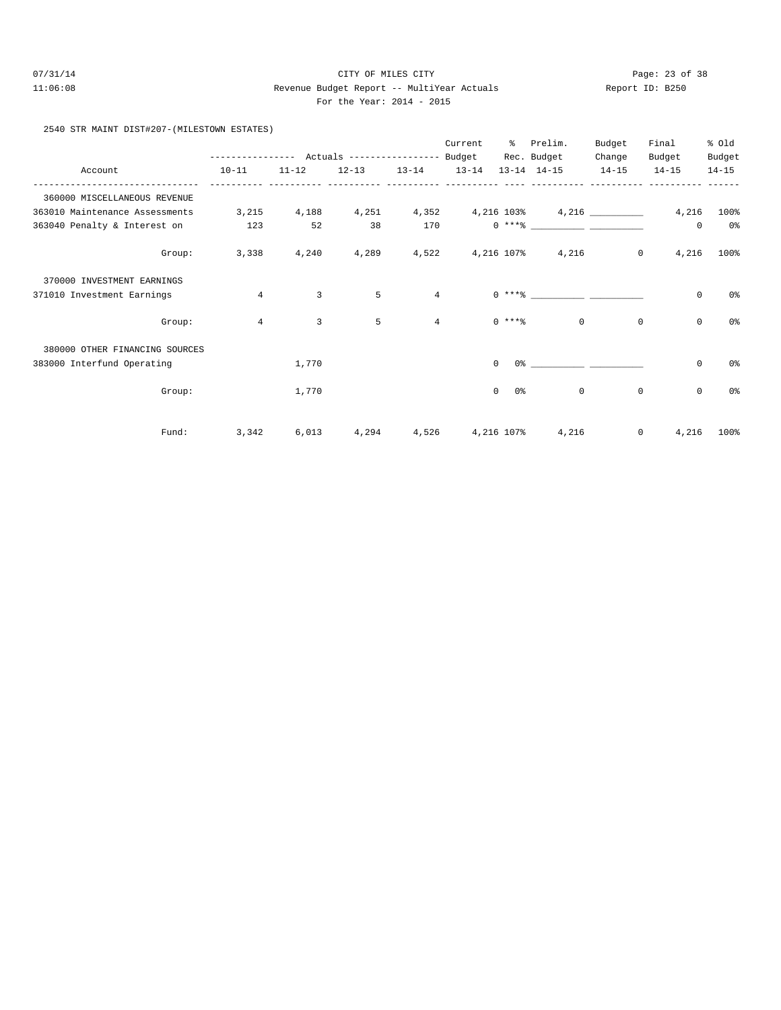# 07/31/14 Page: 23 of 38 11:06:08 Revenue Budget Report -- MultiYear Actuals Report ID: B250 For the Year: 2014 - 2015

#### 2540 STR MAINT DIST#207-(MILESTOWN ESTATES)

|                                  |                                            |                |           |                     | Current  | ႜ              | Prelim.                                                 | Budget      | Final       | % old          |
|----------------------------------|--------------------------------------------|----------------|-----------|---------------------|----------|----------------|---------------------------------------------------------|-------------|-------------|----------------|
|                                  | ---------------- Actuals ----------------- |                |           |                     | Budget   |                | Rec. Budget                                             | Change      | Budget      | Budget         |
| Account                          | $10 - 11$                                  | $11 - 12$      | $12 - 13$ | $13 - 14$ $13 - 14$ |          |                | $13 - 14$ $14 - 15$                                     | $14 - 15$   | $14 - 15$   | $14 - 15$      |
| 360000 MISCELLANEOUS REVENUE     |                                            |                |           |                     |          |                |                                                         |             |             |                |
| 363010 Maintenance Assessments   | 3,215                                      | 4,188          |           |                     |          |                | $4,251$ $4,352$ $4,216$ $103\%$ $4,216$ $103\%$ $4,216$ |             |             | 100%           |
| 363040 Penalty & Interest on 123 |                                            | 52             | 38        | 170                 |          |                | $0***$ $****$                                           |             | 0           | 0 <sup>8</sup> |
| Group:                           | 3,338                                      | 4,240          | 4,289     | 4,522               |          |                | 4,216 107% 4,216                                        | $\circ$     | 4,216       | 100%           |
| 370000 INVESTMENT EARNINGS       |                                            |                |           |                     |          |                |                                                         |             |             |                |
| 371010 Investment Earnings       | $\overline{4}$                             | $\overline{3}$ | 5         | 4                   |          |                | $0***$                                                  |             | $\mathbf 0$ | 0%             |
| Group:                           | $\overline{4}$                             | 3              | 5         | $\overline{4}$      |          | $0$ ****       | $\Omega$                                                | $\mathbf 0$ | 0           | 0 <sup>8</sup> |
| 380000 OTHER FINANCING SOURCES   |                                            |                |           |                     |          |                |                                                         |             |             |                |
| 383000 Interfund Operating       |                                            | 1,770          |           |                     | $\Omega$ |                | $0$ 왕 아이는 아이에게 아이를 하지 않는다.                              |             | $\mathbf 0$ | 0%             |
| Group:                           |                                            | 1,770          |           |                     |          | $\circ$<br>0 % | $\mathbf 0$                                             | $\mathbb O$ | $\mathbf 0$ | 0%             |
| Fund:                            | 3,342                                      | 6,013          | 4,294     | 4,526               |          | 4,216 107%     | 4,216                                                   | 0           | 4,216       | 100%           |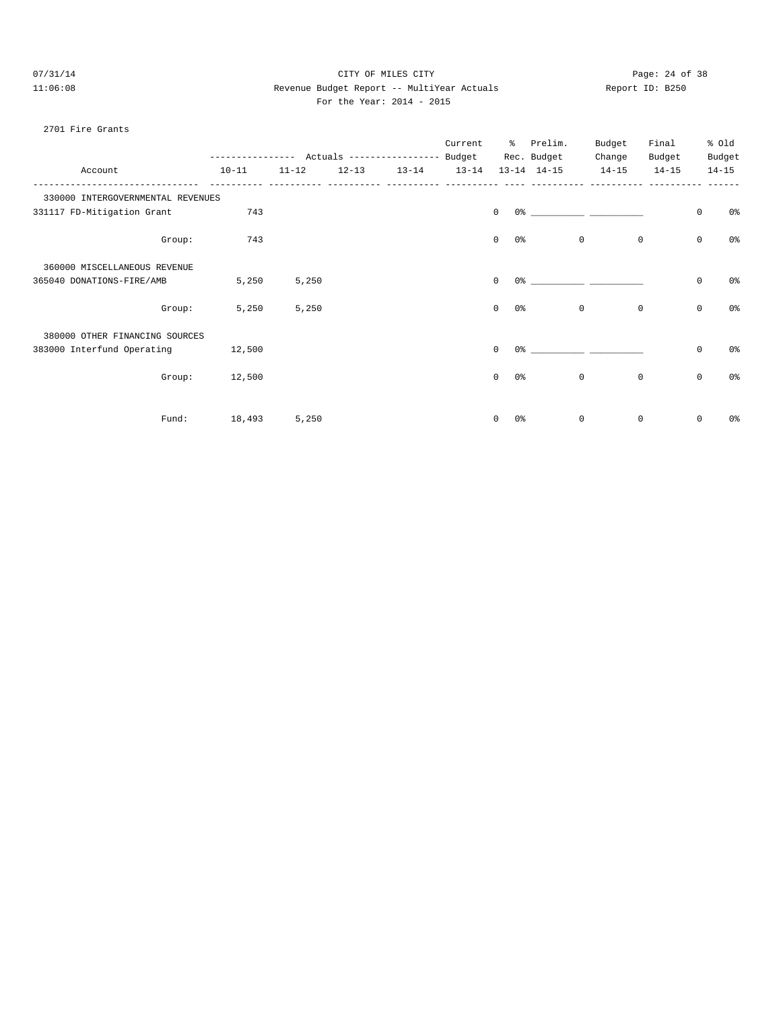# 07/31/14 Page: 24 of 38 11:06:08 Revenue Budget Report -- MultiYear Actuals Report ID: B250 For the Year: 2014 - 2015

#### 2701 Fire Grants

|                                   |        |           |           |           |           | Current   | ႜၟ                  | Prelim.<br>Rec. Budget                                                                                                                                                                                                        | Budget<br>Change | Final<br>Budget |             | % old<br>Budget |
|-----------------------------------|--------|-----------|-----------|-----------|-----------|-----------|---------------------|-------------------------------------------------------------------------------------------------------------------------------------------------------------------------------------------------------------------------------|------------------|-----------------|-------------|-----------------|
| Account                           |        | $10 - 11$ | $11 - 12$ | $12 - 13$ | $13 - 14$ | $13 - 14$ |                     | $13 - 14$ $14 - 15$                                                                                                                                                                                                           | $14 - 15$        | $14 - 15$       |             | $14 - 15$       |
| 330000 INTERGOVERNMENTAL REVENUES |        |           |           |           |           |           |                     |                                                                                                                                                                                                                               |                  |                 |             |                 |
| 331117 FD-Mitigation Grant        |        | 743       |           |           |           |           | $\Omega$            |                                                                                                                                                                                                                               |                  |                 | $\mathbf 0$ | 0%              |
|                                   | Group: | 743       |           |           |           |           | $\mathbf{0}$        | 0 %                                                                                                                                                                                                                           | $\mathbf 0$      | $\mathbf 0$     | $\mathbf 0$ | 0%              |
| 360000 MISCELLANEOUS REVENUE      |        |           |           |           |           |           |                     |                                                                                                                                                                                                                               |                  |                 |             |                 |
| 365040 DONATIONS-FIRE/AMB         |        | 5,250     | 5,250     |           |           |           | $\mathbf 0$         | 0 %                                                                                                                                                                                                                           |                  |                 | $\mathbf 0$ | 0%              |
|                                   | Group: | 5,250     | 5,250     |           |           |           | $\mathbf{0}$<br>0 % |                                                                                                                                                                                                                               | $\circ$          | $\mathbf 0$     | $\mathbb O$ | 0%              |
| 380000 OTHER FINANCING SOURCES    |        |           |           |           |           |           |                     |                                                                                                                                                                                                                               |                  |                 |             |                 |
| 383000 Interfund Operating        |        | 12,500    |           |           |           |           | $\Omega$            | 0.3 - 0.3 - 0.3 - 0.3 - 0.3 - 0.3 - 0.3 - 0.3 - 0.3 - 0.3 - 0.3 - 0.3 - 0.3 - 0.3 - 0.3 - 0.3 - 0.3 - 0.3 - 0.3 - 0.3 - 0.3 - 0.3 - 0.3 - 0.3 - 0.3 - 0.3 - 0.3 - 0.3 - 0.3 - 0.3 - 0.3 - 0.3 - 0.3 - 0.3 - 0.3 - 0.3 - 0.3 - |                  |                 | $\mathbf 0$ | 0%              |
|                                   | Group: | 12,500    |           |           |           |           | $\mathbf{0}$        | 0%                                                                                                                                                                                                                            | 0                | 0               | $\mathbf 0$ | 0%              |
|                                   | Fund:  | 18,493    | 5,250     |           |           |           | $\mathbf 0$         | 0 <sup>8</sup>                                                                                                                                                                                                                | $\mathbf{0}$     | $\mathbf 0$     | $\mathbf 0$ | 0%              |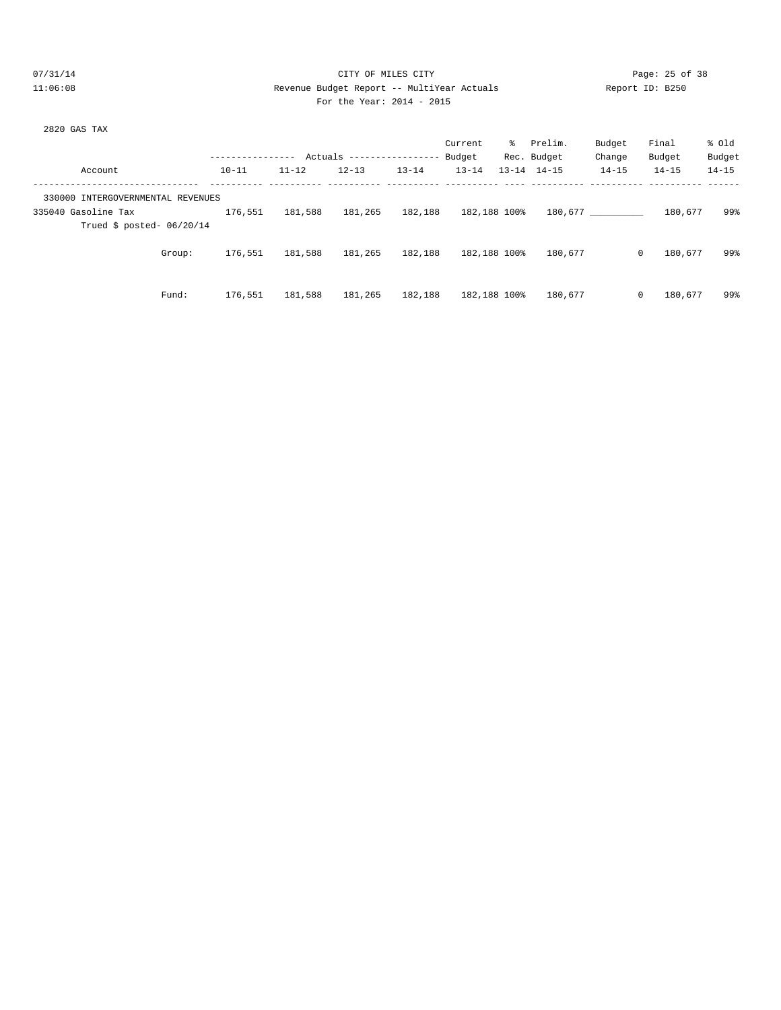# 07/31/14 Page: 25 of 38 11:06:08 Revenue Budget Report -- MultiYear Actuals Report ID: B250 For the Year: 2014 - 2015

| 2820 GAS TAX |  |  |
|--------------|--|--|
|              |  |  |

|           |                                            | Current                       | Prelim.                                                     | Budget                                                                        | Final                         | % old     |
|-----------|--------------------------------------------|-------------------------------|-------------------------------------------------------------|-------------------------------------------------------------------------------|-------------------------------|-----------|
|           |                                            | Budget                        |                                                             | Change                                                                        | Budget                        | Budget    |
| $12 - 13$ | $13 - 14$                                  | $13 - 14$                     | $14 - 15$                                                   | $14 - 15$                                                                     | $14 - 15$                     | $14 - 15$ |
|           |                                            |                               |                                                             |                                                                               |                               |           |
|           |                                            |                               |                                                             |                                                                               | 180,677                       | 99%       |
|           |                                            |                               |                                                             |                                                                               |                               |           |
|           |                                            |                               |                                                             |                                                                               | 180,677                       | 99%       |
|           |                                            |                               |                                                             |                                                                               |                               |           |
|           |                                            |                               |                                                             |                                                                               | 180,677                       | 99%       |
|           | $11 - 12$<br>181,588<br>181,588<br>181,588 | 181,265<br>181,265<br>181,265 | Actuals ------------------<br>182,188<br>182,188<br>182,188 | ိ<br>Rec. Budget<br>$13 - 14$<br>182,188 100%<br>182,188 100%<br>182,188 100% | 180,677<br>180,677<br>180,677 | 0<br>0    |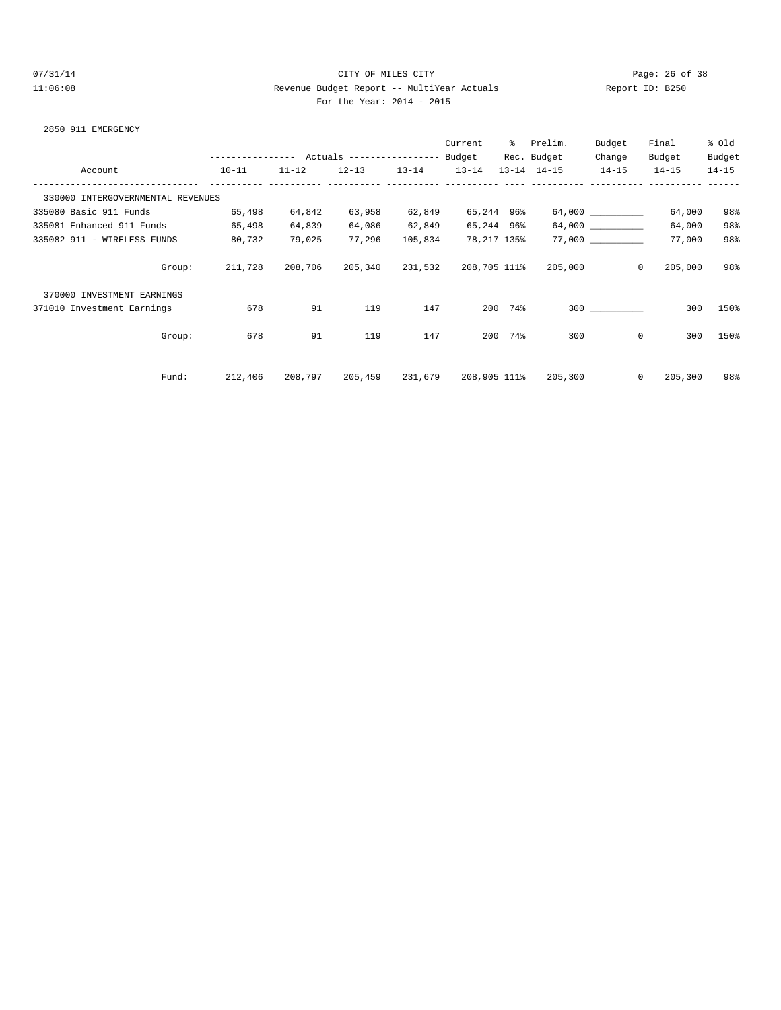# 07/31/14 Page: 26 of 38 11:06:08 Revenue Budget Report -- MultiYear Actuals Report ID: B250 For the Year: 2014 - 2015

#### 2850 911 EMERGENCY

|                                   |        |                   |           |                            |           | Current      | ွေ      | Prelim.             | Budget    | Final     | % old     |
|-----------------------------------|--------|-------------------|-----------|----------------------------|-----------|--------------|---------|---------------------|-----------|-----------|-----------|
|                                   |        | ----------------- |           | Actuals ------------------ |           | Budget       |         | Rec. Budget         | Change    | Budget    | Budget    |
| Account                           |        | $10 - 11$         | $11 - 12$ | $12 - 13$                  | $13 - 14$ | $13 - 14$    |         | $13 - 14$ $14 - 15$ | $14 - 15$ | $14 - 15$ | $14 - 15$ |
| 330000 INTERGOVERNMENTAL REVENUES |        |                   |           |                            |           |              |         |                     |           |           |           |
| 335080 Basic 911 Funds            |        | 65,498            | 64,842    | 63,958                     | 62,849    | 65,244 96%   |         |                     | 64,000    | 64,000    | 98%       |
| 335081 Enhanced 911 Funds         |        | 65,498            | 64,839    | 64,086                     | 62,849    | 65,244 96%   |         |                     |           | 64,000    | 98%       |
| 335082 911 - WIRELESS FUNDS       |        | 80,732            | 79,025    | 77,296                     | 105,834   | 78,217 135%  |         |                     |           | 77,000    | 98%       |
|                                   | Group: | 211,728           | 208,706   | 205,340                    | 231,532   | 208,705 111% |         | 205,000             | $\Omega$  | 205,000   | 98%       |
| 370000 INVESTMENT EARNINGS        |        |                   |           |                            |           |              |         |                     |           |           |           |
| 371010 Investment Earnings        |        | 678               | 91        | 119                        | 147       |              | 200 74% |                     | 300       | 300       | 150%      |
|                                   | Group: | 678               | 91        | 119                        | 147       | 200          | 74%     | 300                 | 0         | 300       | 150%      |
|                                   | Fund:  | 212,406           | 208,797   | 205,459                    | 231,679   | 208,905 111% |         | 205,300             | 0         | 205,300   | 98%       |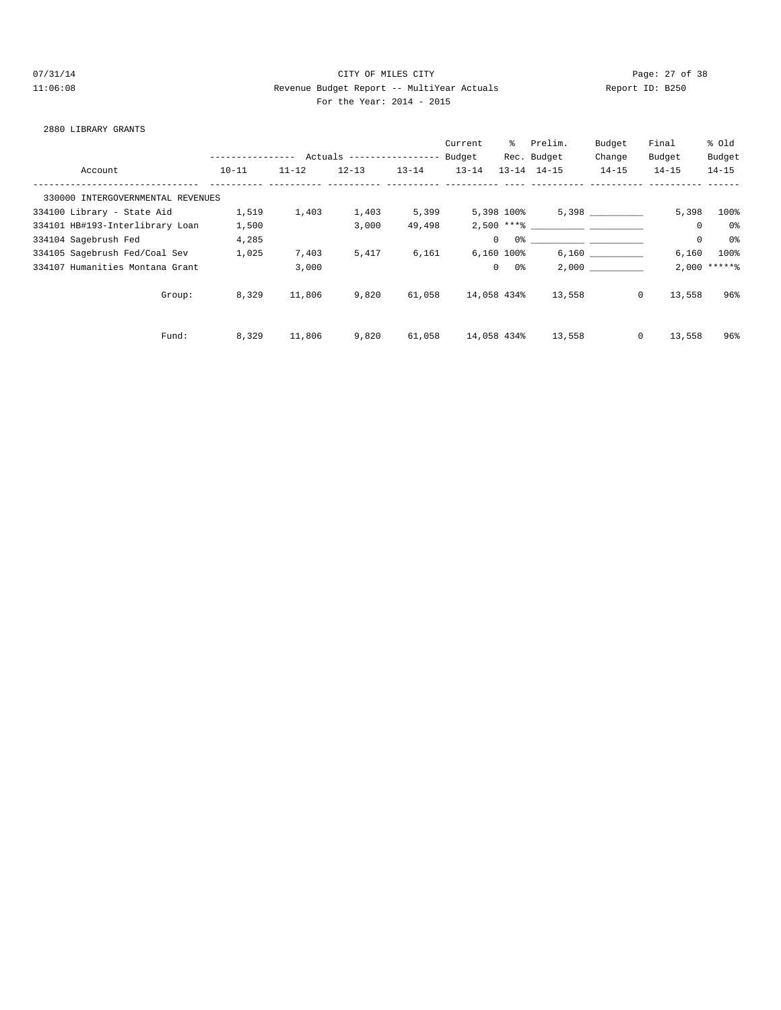# 07/31/14 Page: 27 of 38 11:06:08 Revenue Budget Report -- MultiYear Actuals Report ID: B250 For the Year: 2014 - 2015

#### 2880 LIBRARY GRANTS

|                                   |                  |           |                            |           | Current     | ႜၟ         | Prelim.                            | Budget    | Final                  | % old           |
|-----------------------------------|------------------|-----------|----------------------------|-----------|-------------|------------|------------------------------------|-----------|------------------------|-----------------|
|                                   | ---------------- |           | Actuals ------------------ |           | Budget      |            | Rec. Budget                        | Change    | Budget                 | Budget          |
| Account                           | $10 - 11$        | $11 - 12$ | $12 - 13$                  | $13 - 14$ | $13 - 14$   |            | $13 - 14$ $14 - 15$                | $14 - 15$ | $14 - 15$              | $14 - 15$       |
| 330000 INTERGOVERNMENTAL REVENUES |                  |           |                            |           |             |            |                                    |           |                        |                 |
| 334100 Library - State Aid        | 1,519            | 1,403     | 1,403                      | 5,399     |             | 5,398 100% |                                    | 5,398     | 5,398                  | 100%            |
| 334101 HB#193-Interlibrary Loan   | 1,500            |           | 3,000                      | 49,498    |             |            | $2,500$ *** \;                     |           | $\mathbf 0$            | 0%              |
| 334104 Sagebrush Fed              | 4,285            |           |                            |           | $\Omega$    |            | 0.왕 - 이 그는 아이들은 아이들은 아이들이 아이들이 없다. |           | $\mathbb O$            | 0%              |
| 334105 Sagebrush Fed/Coal Sev     | 1,025            | 7,403     | 5,417                      | 6,161     | 6,160 100%  |            |                                    | 6,160     | 6,160                  | 100%            |
| 334107 Humanities Montana Grant   |                  | 3,000     |                            |           | $\Omega$    | 0 %        |                                    | 2.000     |                        | $2,000$ ***** % |
| Group:                            | 8,329            | 11,806    | 9,820                      | 61,058    | 14,058 434% |            | 13,558                             |           | $\mathbf{0}$<br>13,558 | 96%             |
| Fund:                             | 8,329            | 11,806    | 9,820                      | 61,058    | 14,058 434% |            | 13,558                             |           | $\mathbf{0}$<br>13,558 | 96%             |
|                                   |                  |           |                            |           |             |            |                                    |           |                        |                 |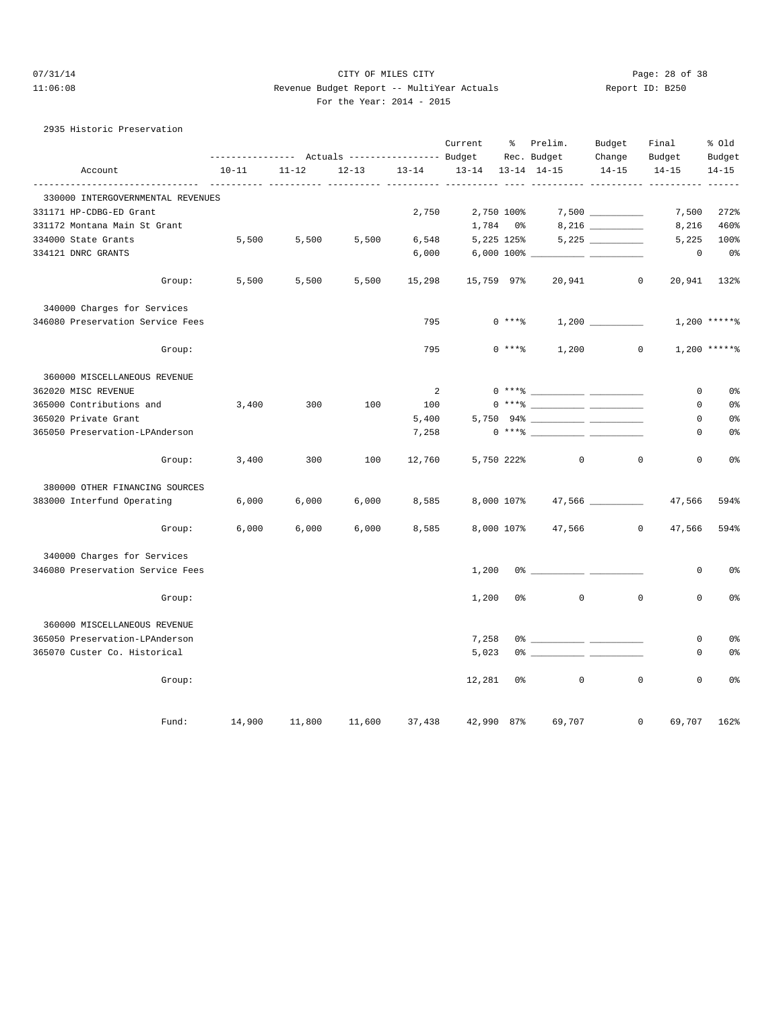2935 Historic Preservation

#### 07/31/14 Page: 28 of 38 11:06:08 Revenue Budget Report -- MultiYear Actuals Report ID: B250 For the Year: 2014 - 2015

|  | For the Year: 2014 | r. |
|--|--------------------|----|
|  |                    |    |

|                                   |           |           |           |           | Current    | - 옹      | Prelim.<br>Rec. Budget                  | Budget<br>Change | Final<br>Budget            | % Old<br>Budget |
|-----------------------------------|-----------|-----------|-----------|-----------|------------|----------|-----------------------------------------|------------------|----------------------------|-----------------|
| Account                           | $10 - 11$ | $11 - 12$ | $12 - 13$ | $13 - 14$ | $13 - 14$  |          | $13 - 14$ $14 - 15$                     | $14 - 15$        | $14 - 15$                  | $14 - 15$       |
| 330000 INTERGOVERNMENTAL REVENUES |           |           |           |           |            |          |                                         |                  |                            |                 |
| 331171 HP-CDBG-ED Grant           |           |           |           | 2,750     | 2,750 100% |          |                                         |                  | 7,500                      | 272%            |
| 331172 Montana Main St Grant      |           |           |           |           | 1,784 0%   |          |                                         |                  | 8,216                      | 460%            |
| 334000 State Grants               | 5,500     | 5,500     | 5,500     | 6,548     | 5,225 125% |          |                                         |                  | 5,225                      | 100%            |
| 334121 DNRC GRANTS                |           |           |           | 6,000     |            |          |                                         |                  | $\mathbf 0$                | 0 <sub>8</sub>  |
| Group:                            | 5,500     | 5,500     | 5,500     | 15,298    | 15,759 97% |          | 20,941                                  |                  | $\circ$                    | 20,941 132%     |
| 340000 Charges for Services       |           |           |           |           |            |          |                                         |                  |                            |                 |
| 346080 Preservation Service Fees  |           |           |           | 795       |            | $0***$ 8 |                                         | 1,200            |                            | $1,200$ *****%  |
| Group:                            |           |           |           | 795       |            | $0***8$  | 1,200                                   |                  | $\mathbf{0}$               | $1,200$ *****%  |
| 360000 MISCELLANEOUS REVENUE      |           |           |           |           |            |          |                                         |                  |                            |                 |
| 362020 MISC REVENUE               |           |           |           | 2         |            |          |                                         |                  | 0                          | 0 <sub>8</sub>  |
| 365000 Contributions and          | 3,400     | 300       | 100       | 100       |            |          | $0***$ $\frac{20}{10}$                  |                  | 0                          | 0%              |
| 365020 Private Grant              |           |           |           | 5,400     |            |          |                                         |                  | 0                          | 0 <sup>°</sup>  |
| 365050 Preservation-LPAnderson    |           |           |           | 7,258     |            |          | $0 \xrightarrow{***\,8} \xrightarrow{}$ |                  | 0                          | 0 <sub>8</sub>  |
| Group:                            | 3,400     | 300       | 100       | 12,760    |            |          | 5,750 222%<br>$\mathbf 0$               |                  | $\mathbf 0$<br>$\mathbf 0$ | 0%              |
| 380000 OTHER FINANCING SOURCES    |           |           |           |           |            |          |                                         |                  |                            |                 |
| 383000 Interfund Operating        | 6,000     | 6,000     | 6,000     | 8,585     |            |          | 8,000 107% 47,566 __________            |                  | 47,566                     | 594%            |
| Group:                            | 6,000     | 6,000     | 6,000     | 8,585     |            |          | 8,000 107% 47,566 0                     |                  | 47,566                     | 594%            |
| 340000 Charges for Services       |           |           |           |           |            |          |                                         |                  |                            |                 |
| 346080 Preservation Service Fees  |           |           |           |           | 1,200      |          |                                         |                  | 0                          | 0%              |
| Group:                            |           |           |           |           | 1,200      | 0%       | 0                                       |                  | $\mathbf 0$<br>$\mathbf 0$ | 0 <sub>8</sub>  |
| 360000 MISCELLANEOUS REVENUE      |           |           |           |           |            |          |                                         |                  |                            |                 |
| 365050 Preservation-LPAnderson    |           |           |           |           | 7,258      |          |                                         |                  | 0                          | 0 <sub>8</sub>  |
| 365070 Custer Co. Historical      |           |           |           |           | 5,023      |          |                                         |                  | $\Omega$                   | 0 <sub>8</sub>  |
| Group:                            |           |           |           |           | 12,281     | 0%       | $\mathbf{0}$                            |                  | $\mathbf 0$<br>$\mathbf 0$ | 0%              |
|                                   |           |           |           |           |            |          |                                         |                  |                            |                 |

Fund: 14,900 11,800 11,600 37,438 42,990 87% 69,707 0 69,707 162%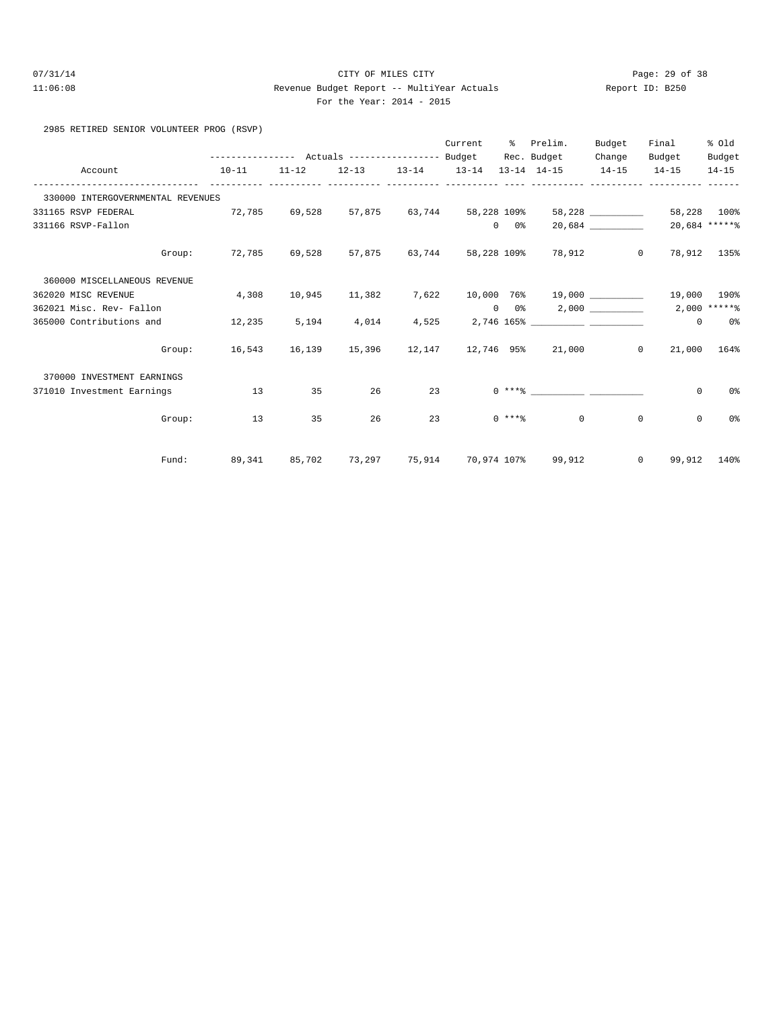# 07/31/14 Page: 29 of 38 11:06:08 Revenue Budget Report -- MultiYear Actuals Report ID: B250 For the Year: 2014 - 2015

2985 RETIRED SENIOR VOLUNTEER PROG (RSVP)

|                                   | --------------- Actuals ---------------- Budget Rec. Budget                     |    |    | Current       |               | % Prelim.                            | Budget<br>Change | Final<br>Budget                                                         | % Old<br>Budget |
|-----------------------------------|---------------------------------------------------------------------------------|----|----|---------------|---------------|--------------------------------------|------------------|-------------------------------------------------------------------------|-----------------|
| Account                           | $10-11$                                                                         |    |    |               |               |                                      |                  | $11-12$ $12-13$ $13-14$ $13-14$ $13-14$ $14-15$ $14-15$ $14-15$ $14-15$ |                 |
| 330000 INTERGOVERNMENTAL REVENUES |                                                                                 |    |    |               |               |                                      |                  |                                                                         |                 |
| 331165 RSVP FEDERAL               | $72,785$ $69,528$ $57,875$ $63,744$ $58,228$ $109\%$ $58,228$ $\ldots$ $\ldots$ |    |    |               |               |                                      |                  |                                                                         | 58,228 100%     |
| 331166 RSVP-Fallon                |                                                                                 |    |    |               | $0\qquad 0\%$ |                                      | 20,684           |                                                                         | 20,684 ******   |
|                                   | Group: 72,785 69,528 57,875 63,744 58,228 109% 78,912 0 78,912 135%             |    |    |               |               |                                      |                  |                                                                         |                 |
| 360000 MISCELLANEOUS REVENUE      |                                                                                 |    |    |               |               |                                      |                  |                                                                         |                 |
| 362020 MISC REVENUE               | 4,308                                                                           |    |    |               |               |                                      |                  | 10,945 11,382 7,622 10,000 76% 19,000 _________ 19,000 190%             |                 |
| 362021 Misc. Rev- Fallon          |                                                                                 |    |    |               |               | $0 \t 0$ $0 \t 2,000$                |                  |                                                                         | $2,000$ *****%  |
| 365000 Contributions and          | 12,235                                                                          |    |    |               |               | $5,194$ $4,014$ $4,525$ $2,746$ 165% |                  | $\overline{0}$                                                          | $0\,$ %         |
|                                   | Group: 16,543 16,139 15,396 12,147 12,746 95% 21,000 0                          |    |    |               |               |                                      |                  |                                                                         | 21,000 164%     |
| 370000 INVESTMENT EARNINGS        |                                                                                 |    |    |               |               |                                      |                  |                                                                         |                 |
| 371010 Investment Earnings        | $\sim$ 13                                                                       | 35 | 26 | 23 and $\sim$ |               |                                      |                  | $\circ$                                                                 | 0%              |
|                                   | Group: 13                                                                       | 35 | 26 | $23$ 0 ****   |               |                                      | $\Omega$         | $\circ$<br>$\mathbf{0}$                                                 | 0%              |
|                                   | Fund: 89,341 85,702 73,297 75,914 70,974 107% 99,912 0 99,912 140%              |    |    |               |               |                                      |                  |                                                                         |                 |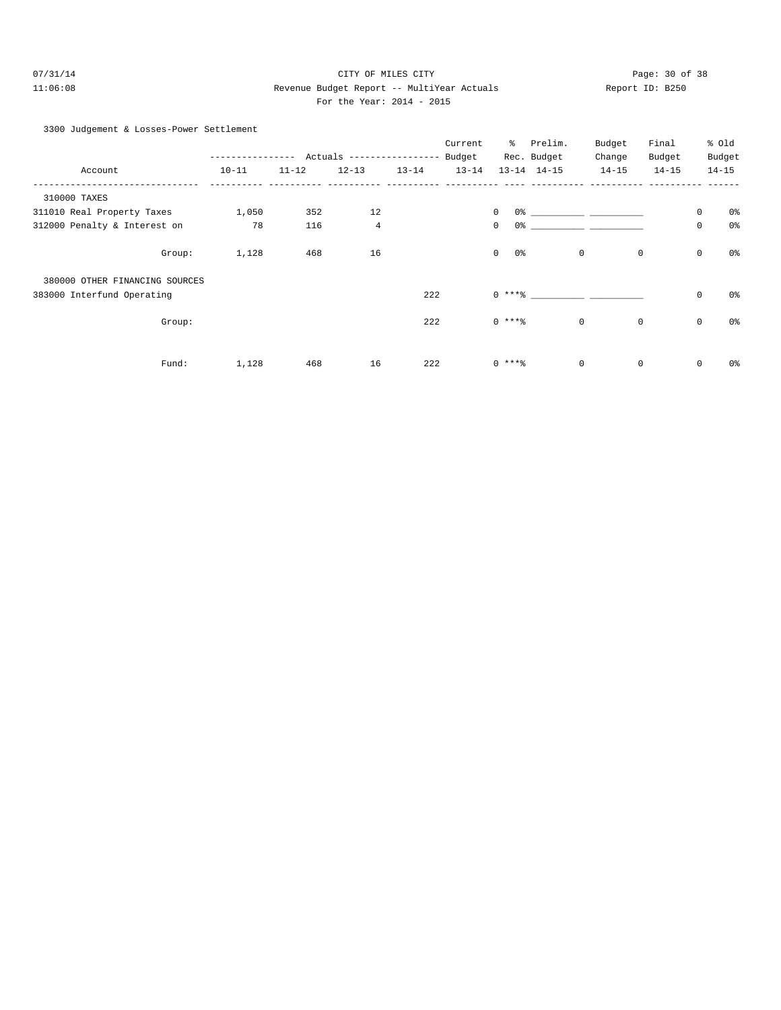# 07/31/14 Page: 30 of 38 11:06:08 Revenue Budget Report -- MultiYear Actuals Report ID: B250 For the Year: 2014 - 2015

|  |  | 3300 Judgement & Losses-Power Settlement |  |
|--|--|------------------------------------------|--|
|--|--|------------------------------------------|--|

|                                |        |           |               |                           |           | Current   | ៖                         | Prelim.                       | Budget      | Final       |             | % old          |
|--------------------------------|--------|-----------|---------------|---------------------------|-----------|-----------|---------------------------|-------------------------------|-------------|-------------|-------------|----------------|
|                                |        |           | $- - - - - -$ | Actuals ----------------- |           | Budget    |                           | Rec. Budget                   | Change      | Budget      |             | Budget         |
| Account                        |        | $10 - 11$ | $11 - 12$     | $12 - 13$                 | $13 - 14$ | $13 - 14$ |                           | $13 - 14$ $14 - 15$           | $14 - 15$   | $14 - 15$   |             | $14 - 15$      |
| 310000 TAXES                   |        |           |               |                           |           |           |                           |                               |             |             |             |                |
| 311010 Real Property Taxes     |        | 1,050     | 352           | 12                        |           |           | $\mathbf{0}$              | 0.왕 - 대한민국의 대학 대학 대학 대학 대학 대학 |             |             | 0           | 0%             |
| 312000 Penalty & Interest on   |        | 78        | 116           | $\overline{4}$            |           |           | $\circ$<br>0%             |                               |             |             | $\mathbb O$ | 0 <sup>°</sup> |
|                                | Group: | 1,128     | 468           | 16                        |           |           | $\overline{0}$<br>$0\,$ s |                               | 0           | $\mathbf 0$ | $\mathbb O$ | 0%             |
| 380000 OTHER FINANCING SOURCES |        |           |               |                           |           |           |                           |                               |             |             |             |                |
| 383000 Interfund Operating     |        |           |               |                           | 222       |           | $0***8$                   |                               |             |             | $\mathsf 0$ | 0%             |
|                                | Group: |           |               |                           | 222       |           | $0***8$                   |                               | $\mathbf 0$ | $\mathbb O$ | $\mathbb O$ | 0%             |
|                                | Fund:  | 1,128     | 468           | 16                        | 222       |           | $0***8$                   |                               | $\mathbf 0$ | $\mathbf 0$ | $\mathbf 0$ | 0%             |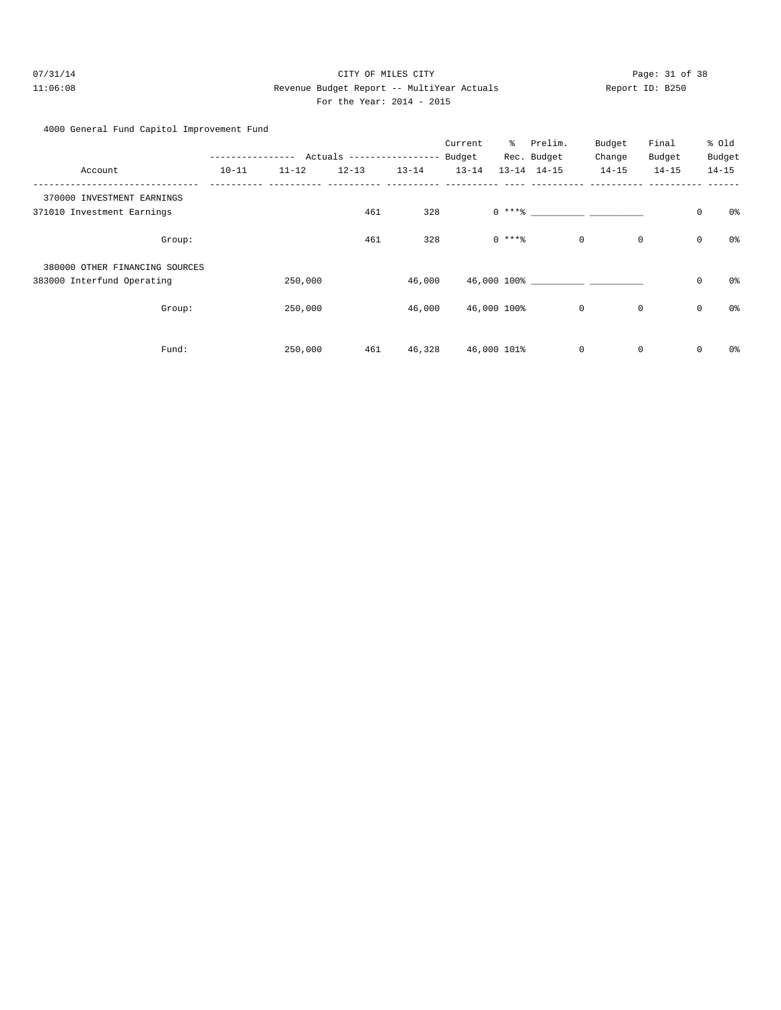# 07/31/14 Page: 31 of 38 11:06:08 Revenue Budget Report -- MultiYear Actuals Report ID: B250 For the Year: 2014 - 2015

| 4000 General Fund Capitol Improvement Fund |  |
|--------------------------------------------|--|
|--------------------------------------------|--|

|                                |               |           |                           |           | Current   | နွ           | Prelim.             | Budget    | Final       |             | % Old     |
|--------------------------------|---------------|-----------|---------------------------|-----------|-----------|--------------|---------------------|-----------|-------------|-------------|-----------|
|                                | ------------- |           | Actuals ----------------- |           | Budget    |              | Rec. Budget         | Change    | Budget      |             | Budget    |
| Account                        | $10 - 11$     | $11 - 12$ | $12 - 13$                 | $13 - 14$ | $13 - 14$ |              | $13 - 14$ $14 - 15$ | $14 - 15$ | $14 - 15$   |             | $14 - 15$ |
| 370000 INVESTMENT EARNINGS     |               |           |                           |           |           |              |                     |           |             |             |           |
| 371010 Investment Earnings     |               |           | 461                       | 328       |           | $0 \; * * *$ |                     |           |             | $\mathbf 0$ | 0%        |
| Group:                         |               |           | 461                       | 328       |           | $0***$       | $\mathsf{O}$        |           | $\mathbf 0$ | $\mathbb O$ | 0%        |
| 380000 OTHER FINANCING SOURCES |               |           |                           |           |           |              |                     |           |             |             |           |
| 383000 Interfund Operating     |               | 250,000   |                           | 46,000    |           |              | 46,000 100%         |           |             | $\mathsf 0$ | 0%        |
| Group:                         |               | 250,000   |                           | 46,000    |           | 46,000 100%  | 0                   |           | 0           | $\mathbb O$ | 0%        |
| Fund:                          |               | 250,000   | 461                       | 46,328    |           | 46,000 101%  | 0                   |           | 0           | 0           | 0%        |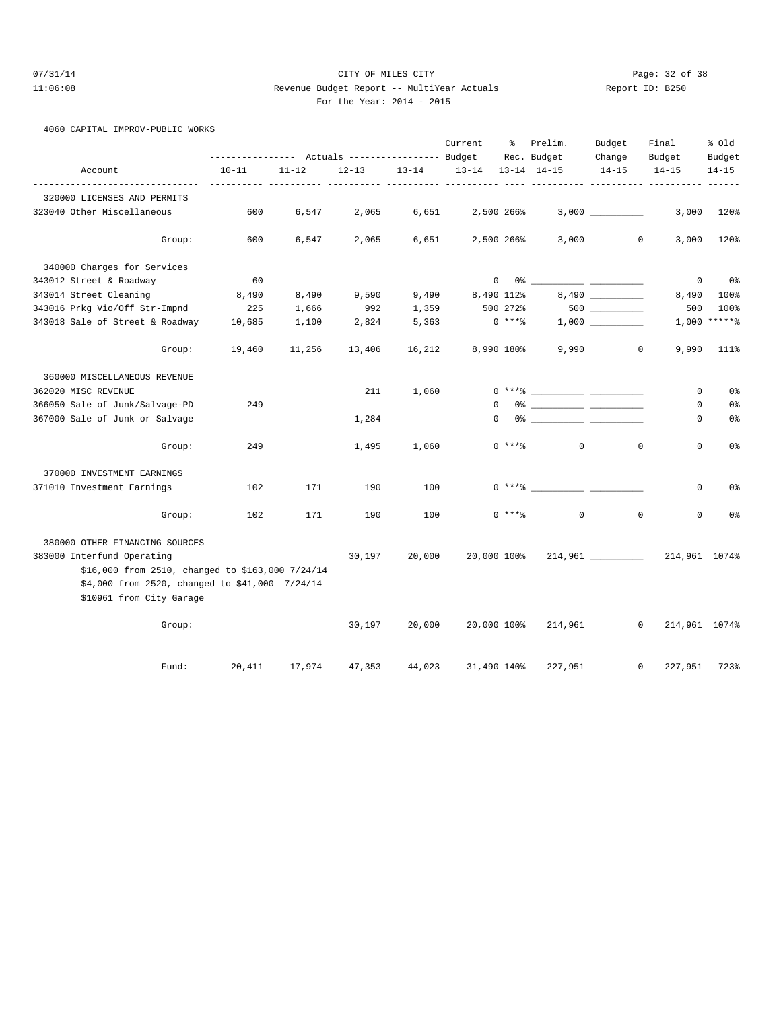# 07/31/14 Page: 32 of 38 11:06:08 Revenue Budget Report -- MultiYear Actuals Report ID: B250 For the Year: 2014 - 2015

4060 CAPITAL IMPROV-PUBLIC WORKS

|                                                                                                                                                              |                                                                    |           |           |           | Current     | ွေ           | Prelim.                            | Budget              | Final               | % old               |
|--------------------------------------------------------------------------------------------------------------------------------------------------------------|--------------------------------------------------------------------|-----------|-----------|-----------|-------------|--------------|------------------------------------|---------------------|---------------------|---------------------|
| Account                                                                                                                                                      | ---------------    Actuals ----------------    Budget<br>$10 - 11$ | $11 - 12$ | $12 - 13$ | $13 - 14$ | $13 - 14$   |              | Rec. Budget<br>$13 - 14$ $14 - 15$ | Change<br>$14 - 15$ | Budget<br>$14 - 15$ | Budget<br>$14 - 15$ |
| -------------                                                                                                                                                |                                                                    |           |           |           |             |              |                                    |                     |                     |                     |
| 320000 LICENSES AND PERMITS                                                                                                                                  |                                                                    |           |           |           |             |              |                                    |                     |                     |                     |
| 323040 Other Miscellaneous                                                                                                                                   | 600                                                                | 6,547     | 2,065     | 6,651     |             | 2,500 266%   |                                    |                     | 3,000               | 120%                |
| Group:                                                                                                                                                       | 600                                                                | 6,547     | 2,065     | 6,651     |             | 2,500 266%   | 3,000                              |                     | 0<br>3,000          | 120%                |
| 340000 Charges for Services                                                                                                                                  |                                                                    |           |           |           |             |              |                                    |                     |                     |                     |
| 343012 Street & Roadway                                                                                                                                      | 60                                                                 |           |           |           |             | $\mathbf{0}$ | 0 응                                |                     | $\mathbf 0$         | 0%                  |
| 343014 Street Cleaning                                                                                                                                       | 8,490                                                              | 8,490     | 9,590     | 9,490     |             | 8,490 112%   |                                    |                     | 8,490               | 100%                |
| 343016 Prkg Vio/Off Str-Impnd                                                                                                                                | 225                                                                | 1,666     | 992       | 1,359     |             | 500 272%     |                                    |                     | 500                 | 100%                |
| 343018 Sale of Street & Roadway                                                                                                                              | 10,685                                                             | 1,100     | 2,824     | 5,363     |             | $0***8$      |                                    |                     |                     | $1,000$ *****%      |
| Group:                                                                                                                                                       | 19,460                                                             | 11,256    | 13,406    | 16,212    |             | 8,990 180%   | 9,990                              |                     | 0<br>9,990          | 111%                |
| 360000 MISCELLANEOUS REVENUE                                                                                                                                 |                                                                    |           |           |           |             |              |                                    |                     |                     |                     |
| 362020 MISC REVENUE                                                                                                                                          |                                                                    |           | 211       | 1,060     |             |              | $0***$ $****$                      |                     | $\mathbf 0$         | 0%                  |
| 366050 Sale of Junk/Salvage-PD                                                                                                                               | 249                                                                |           |           |           | $\Omega$    |              | 0% _____________ ___________       |                     | 0                   | 0%                  |
| 367000 Sale of Junk or Salvage                                                                                                                               |                                                                    |           | 1,284     |           | $\Omega$    |              | 0% ______________ ________         |                     | 0                   | 0%                  |
| Group:                                                                                                                                                       | 249                                                                |           | 1,495     | 1,060     |             | $0***$       | $\circ$                            |                     | $\mathbf 0$<br>0    | 0%                  |
| 370000 INVESTMENT EARNINGS                                                                                                                                   |                                                                    |           |           |           |             |              |                                    |                     |                     |                     |
| 371010 Investment Earnings                                                                                                                                   | 102                                                                | 171       | 190       | 100       |             |              | $0***8$                            |                     | 0                   | 0%                  |
| Group:                                                                                                                                                       | 102                                                                | 171       | 190       | 100       |             | $0***$       | $\mathbf 0$                        |                     | $\mathbf 0$<br>0    | 0%                  |
| 380000 OTHER FINANCING SOURCES                                                                                                                               |                                                                    |           |           |           |             |              |                                    |                     |                     |                     |
| 383000 Interfund Operating<br>\$16,000 from 2510, changed to \$163,000 7/24/14<br>\$4,000 from 2520, changed to \$41,000 7/24/14<br>\$10961 from City Garage |                                                                    |           | 30,197    | 20,000    | 20,000 100% |              |                                    |                     | 214,961 1074%       |                     |
| Group:                                                                                                                                                       |                                                                    |           | 30,197    | 20,000    | 20,000 100% |              | 214,961                            |                     | $\mathbf 0$         | 214,961 1074%       |
| Fund:                                                                                                                                                        | 20,411                                                             | 17,974    | 47,353    | 44,023    | 31,490 140% |              | 227,951                            |                     | 0<br>227,951        | 723%                |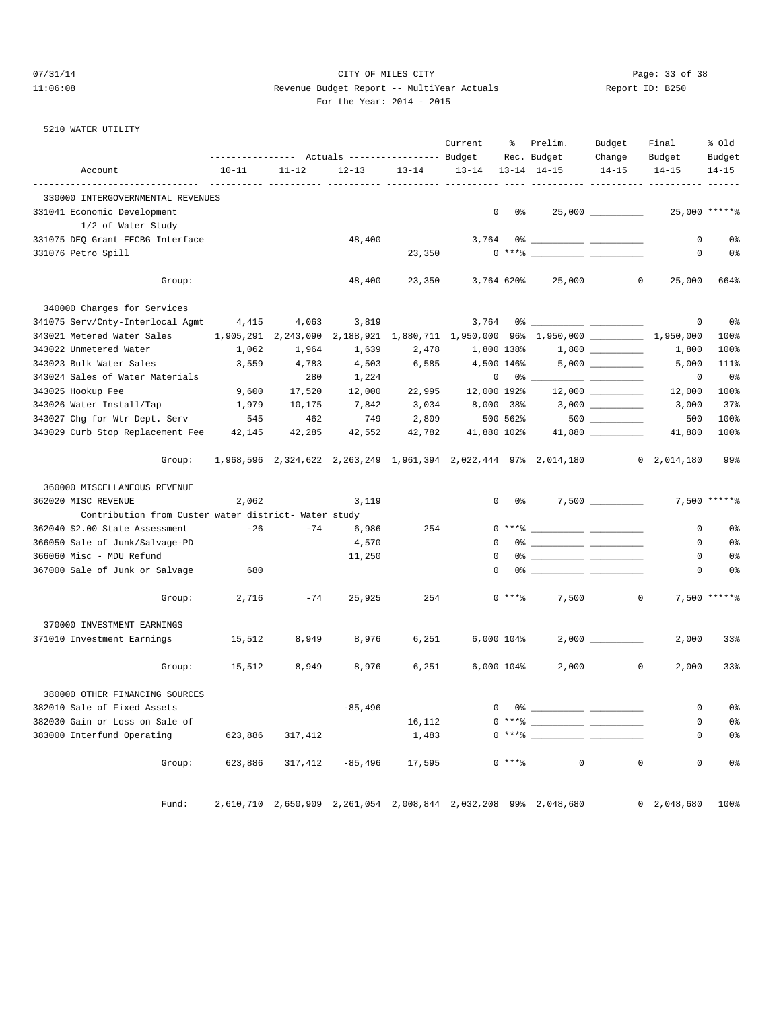#### 07/31/14 Page: 33 of 38 11:06:08 Revenue Budget Report -- MultiYear Actuals Report ID: B250 For the Year: 2014 - 2015

| the Year: 2014 |  | 2 |
|----------------|--|---|
|                |  |   |

#### 5210 WATER UTILITY

|                                                      | --------------- Actuals --------------- Budget |                     |           |           | Current           | ိ              | Prelim.<br>Rec. Budget                                                                                                                                                                                                                                                                                                                                                                                                                                                                                                                                | Budget<br>Change | Final<br>Budget    | % old<br>Budget |
|------------------------------------------------------|------------------------------------------------|---------------------|-----------|-----------|-------------------|----------------|-------------------------------------------------------------------------------------------------------------------------------------------------------------------------------------------------------------------------------------------------------------------------------------------------------------------------------------------------------------------------------------------------------------------------------------------------------------------------------------------------------------------------------------------------------|------------------|--------------------|-----------------|
| Account                                              | $10 - 11$                                      | $11 - 12$           | $12 - 13$ | $13 - 14$ | 13-14 13-14 14-15 |                |                                                                                                                                                                                                                                                                                                                                                                                                                                                                                                                                                       | $14 - 15$        | $14 - 15$          | $14 - 15$       |
| 330000 INTERGOVERNMENTAL REVENUES                    |                                                |                     |           |           |                   |                |                                                                                                                                                                                                                                                                                                                                                                                                                                                                                                                                                       |                  |                    |                 |
| 331041 Economic Development                          |                                                |                     |           |           | 0                 | 0 %            |                                                                                                                                                                                                                                                                                                                                                                                                                                                                                                                                                       |                  |                    | 25,000 ******   |
| 1/2 of Water Study                                   |                                                |                     |           |           |                   |                |                                                                                                                                                                                                                                                                                                                                                                                                                                                                                                                                                       |                  |                    |                 |
| 331075 DEQ Grant-EECBG Interface                     |                                                |                     | 48,400    |           |                   |                |                                                                                                                                                                                                                                                                                                                                                                                                                                                                                                                                                       |                  | 0                  | 0 <sup>8</sup>  |
| 331076 Petro Spill                                   |                                                |                     |           | 23,350    |                   |                | $0***$ $\longleftarrow$ $\longleftarrow$ $\longleftarrow$ $\longleftarrow$ $\longleftarrow$ $\longleftarrow$ $\longleftarrow$ $\longleftarrow$ $\longleftarrow$ $\longleftarrow$ $\longleftarrow$ $\longleftarrow$ $\longleftarrow$ $\longleftarrow$ $\longleftarrow$ $\longleftarrow$ $\longleftarrow$ $\longleftarrow$ $\longleftarrow$ $\longleftarrow$ $\longleftarrow$ $\longleftarrow$ $\longleftarrow$ $\longleftarrow$ $\longleftarrow$ $\longleftarrow$ $\longleftarrow$ $\longleftarrow$ $\longleftarrow$ $\longleftarrow$ $\longleftarrow$ |                  | $\circ$            | 0 <sup>8</sup>  |
| Group:                                               |                                                |                     | 48,400    |           |                   |                | 23,350 3,764 620% 25,000                                                                                                                                                                                                                                                                                                                                                                                                                                                                                                                              | $\mathbf{0}$     | 25,000             | 664%            |
| 340000 Charges for Services                          |                                                |                     |           |           |                   |                |                                                                                                                                                                                                                                                                                                                                                                                                                                                                                                                                                       |                  |                    |                 |
| 341075 Serv/Cnty-Interlocal Agmt                     | 4,415                                          | 4,063               | 3,819     |           | 3,764             |                |                                                                                                                                                                                                                                                                                                                                                                                                                                                                                                                                                       |                  | 0                  | 0 <sup>8</sup>  |
| 343021 Metered Water Sales                           |                                                | 1,905,291 2,243,090 | 2,188,921 |           |                   |                | $1,880,711$ $1,950,000$ $96\frac{1}{950,000}$ $\frac{\_}{\_ \_ \_ \_ \_$                                                                                                                                                                                                                                                                                                                                                                                                                                                                              |                  | 1,950,000          | 100%            |
| 343022 Unmetered Water                               | 1,062                                          | 1,964               | 1,639     | 2,478     | 1,800 138%        |                |                                                                                                                                                                                                                                                                                                                                                                                                                                                                                                                                                       |                  | 1,800              | 100%            |
| 343023 Bulk Water Sales                              | 3,559                                          | 4,783               | 4,503     | 6,585     | 4,500 146%        |                |                                                                                                                                                                                                                                                                                                                                                                                                                                                                                                                                                       |                  | 5,000              | 111%            |
| 343024 Sales of Water Materials                      |                                                | 280                 | 1,224     |           |                   | $0 \t 0$ % ___ |                                                                                                                                                                                                                                                                                                                                                                                                                                                                                                                                                       |                  | 0                  | 0%              |
| 343025 Hookup Fee                                    | 9,600                                          | 17,520              | 12,000    | 22,995    | 12,000 192%       |                |                                                                                                                                                                                                                                                                                                                                                                                                                                                                                                                                                       |                  |                    | 100%            |
|                                                      |                                                |                     |           |           |                   |                |                                                                                                                                                                                                                                                                                                                                                                                                                                                                                                                                                       |                  | 12,000             |                 |
| 343026 Water Install/Tap                             | 1,979                                          | 10,175              | 7,842     | 3,034     | 8,000 38%         |                |                                                                                                                                                                                                                                                                                                                                                                                                                                                                                                                                                       |                  | 3,000              | 37%             |
| 343027 Chg for Wtr Dept. Serv                        | 545                                            | 462                 | 749       | 2,809     |                   | 500 562%       |                                                                                                                                                                                                                                                                                                                                                                                                                                                                                                                                                       | $500$            | 500                | 100%            |
| 343029 Curb Stop Replacement Fee 42,145              |                                                | 42,285              | 42,552    | 42,782    | 41,880 102%       |                |                                                                                                                                                                                                                                                                                                                                                                                                                                                                                                                                                       |                  | 41,880             | 100%            |
| Group:                                               |                                                |                     |           |           |                   |                | 1,968,596 2,324,622 2,263,249 1,961,394 2,022,444 97% 2,014,180 0 2,014,180                                                                                                                                                                                                                                                                                                                                                                                                                                                                           |                  |                    | 99%             |
| 360000 MISCELLANEOUS REVENUE                         |                                                |                     |           |           |                   |                |                                                                                                                                                                                                                                                                                                                                                                                                                                                                                                                                                       |                  |                    |                 |
| 362020 MISC REVENUE                                  | 2,062                                          |                     | 3,119     |           |                   | $0\qquad 0$ %  |                                                                                                                                                                                                                                                                                                                                                                                                                                                                                                                                                       |                  |                    | 7,500 ******    |
| Contribution from Custer water district- Water study |                                                |                     |           |           |                   |                |                                                                                                                                                                                                                                                                                                                                                                                                                                                                                                                                                       |                  |                    |                 |
| 362040 \$2.00 State Assessment                       | $-26$                                          | -74                 | 6,986     | 254       |                   |                | $0***$ $\frac{20}{100}$                                                                                                                                                                                                                                                                                                                                                                                                                                                                                                                               |                  | $\circ$            | 0%              |
| 366050 Sale of Junk/Salvage-PD                       |                                                |                     | 4,570     |           | $\mathbf 0$       |                |                                                                                                                                                                                                                                                                                                                                                                                                                                                                                                                                                       |                  | $\mathbf 0$        | 0%              |
| 366060 Misc - MDU Refund                             |                                                |                     | 11,250    |           | 0                 |                |                                                                                                                                                                                                                                                                                                                                                                                                                                                                                                                                                       |                  | 0                  | 0 <sup>8</sup>  |
| 367000 Sale of Junk or Salvage                       | 680                                            |                     |           |           | $\Omega$          |                |                                                                                                                                                                                                                                                                                                                                                                                                                                                                                                                                                       |                  | 0                  | 0 <sup>8</sup>  |
| Group:                                               | 2,716                                          | $-74$               | 25,925    | 254       |                   | $0***8$        | 7,500                                                                                                                                                                                                                                                                                                                                                                                                                                                                                                                                                 | $\overline{0}$   |                    | 7,500 *****%    |
| 370000 INVESTMENT EARNINGS                           |                                                |                     |           |           |                   |                |                                                                                                                                                                                                                                                                                                                                                                                                                                                                                                                                                       |                  |                    |                 |
| 371010 Investment Earnings                           | 15,512                                         | 8,949               | 8,976     | 6,251     |                   | 6,000 104%     |                                                                                                                                                                                                                                                                                                                                                                                                                                                                                                                                                       | 2,000            | 2,000              | 33%             |
| Group:                                               | 15,512                                         | 8,949               | 8,976     | 6,251     |                   | 6,000 104%     | 2,000                                                                                                                                                                                                                                                                                                                                                                                                                                                                                                                                                 | $\mathbf 0$      | 2,000              | 33%             |
|                                                      |                                                |                     |           |           |                   |                |                                                                                                                                                                                                                                                                                                                                                                                                                                                                                                                                                       |                  |                    |                 |
| 380000 OTHER FINANCING SOURCES                       |                                                |                     |           |           |                   |                |                                                                                                                                                                                                                                                                                                                                                                                                                                                                                                                                                       |                  |                    |                 |
| 382010 Sale of Fixed Assets                          |                                                |                     | $-85,496$ |           | $\overline{0}$    | 0% __          |                                                                                                                                                                                                                                                                                                                                                                                                                                                                                                                                                       |                  | $\overline{0}$     | $0\,$ s         |
| 382030 Gain or Loss on Sale of                       |                                                |                     |           | 16,112    |                   |                |                                                                                                                                                                                                                                                                                                                                                                                                                                                                                                                                                       |                  | 0                  | 0 <sub>8</sub>  |
| 383000 Interfund Operating                           | 623,886                                        | 317,412             |           | 1,483     |                   |                | $0***8$                                                                                                                                                                                                                                                                                                                                                                                                                                                                                                                                               |                  | 0                  | 0 <sup>8</sup>  |
| Group:                                               | 623,886                                        | 317,412             | -85,496   | 17,595    |                   | $0***8$        | 0                                                                                                                                                                                                                                                                                                                                                                                                                                                                                                                                                     | $\mathbf 0$      | $\mathbf 0$        | 0 <sup>8</sup>  |
| Fund:                                                |                                                |                     |           |           |                   |                | 2,610,710 2,650,909 2,261,054 2,008,844 2,032,208 99% 2,048,680                                                                                                                                                                                                                                                                                                                                                                                                                                                                                       |                  | $0\quad 2,048,680$ | 100%            |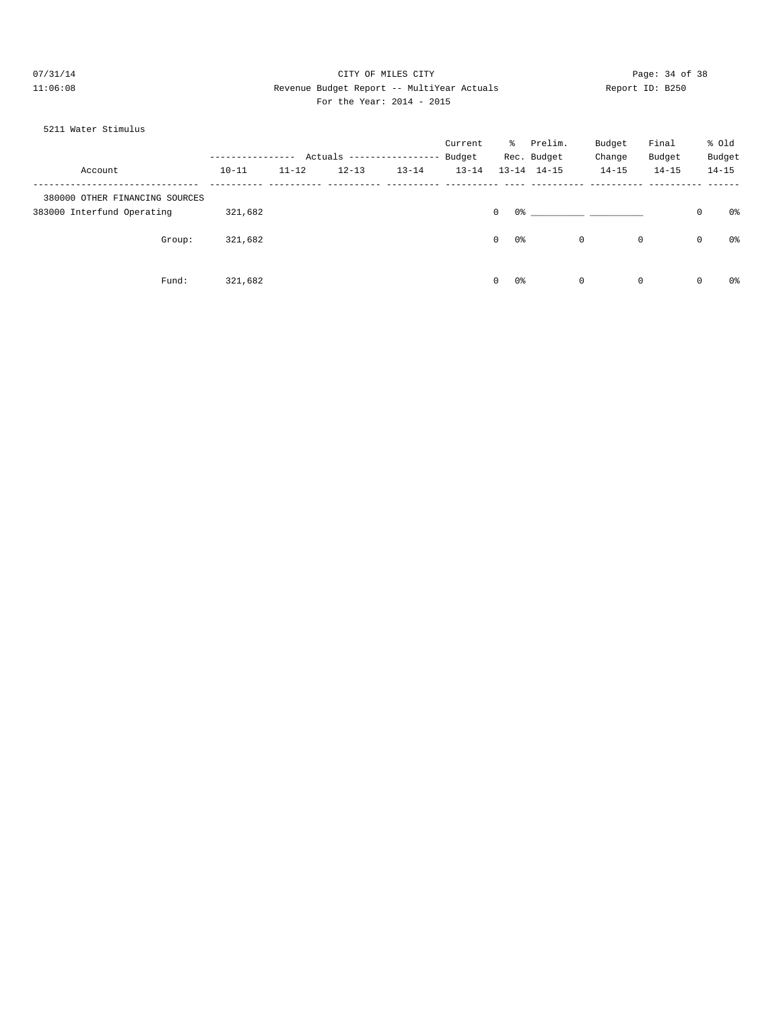# 07/31/14 Page: 34 of 38 11:06:08 Revenue Budget Report -- MultiYear Actuals Report ID: B250 For the Year: 2014 - 2015

#### 5211 Water Stimulus

|                                |           |           |                            |           | Current   | ိ                    | Prelim.             | Budget      | Final     |              | % old     |
|--------------------------------|-----------|-----------|----------------------------|-----------|-----------|----------------------|---------------------|-------------|-----------|--------------|-----------|
|                                |           |           | Actuals ------------------ |           | Budget    |                      | Rec. Budget         | Change      | Budget    |              | Budget    |
| Account                        | $10 - 11$ | $11 - 12$ | $12 - 13$                  | $13 - 14$ | $13 - 14$ |                      | $13 - 14$ $14 - 15$ | $14 - 15$   | $14 - 15$ |              | $14 - 15$ |
| 380000 OTHER FINANCING SOURCES |           |           |                            |           |           |                      |                     |             |           |              |           |
| 383000 Interfund Operating     | 321,682   |           |                            |           |           | 0%<br>$\circ$        |                     |             |           | $\mathbf 0$  | 0%        |
| Group:                         | 321,682   |           |                            |           |           | 0%<br>$\overline{0}$ |                     | $\circ$     | 0         | $\mathbf{0}$ | 0%        |
| Fund:                          | 321,682   |           |                            |           |           | 0%<br>$\overline{0}$ |                     | $\mathbf 0$ | 0         | $\mathbf 0$  | 0%        |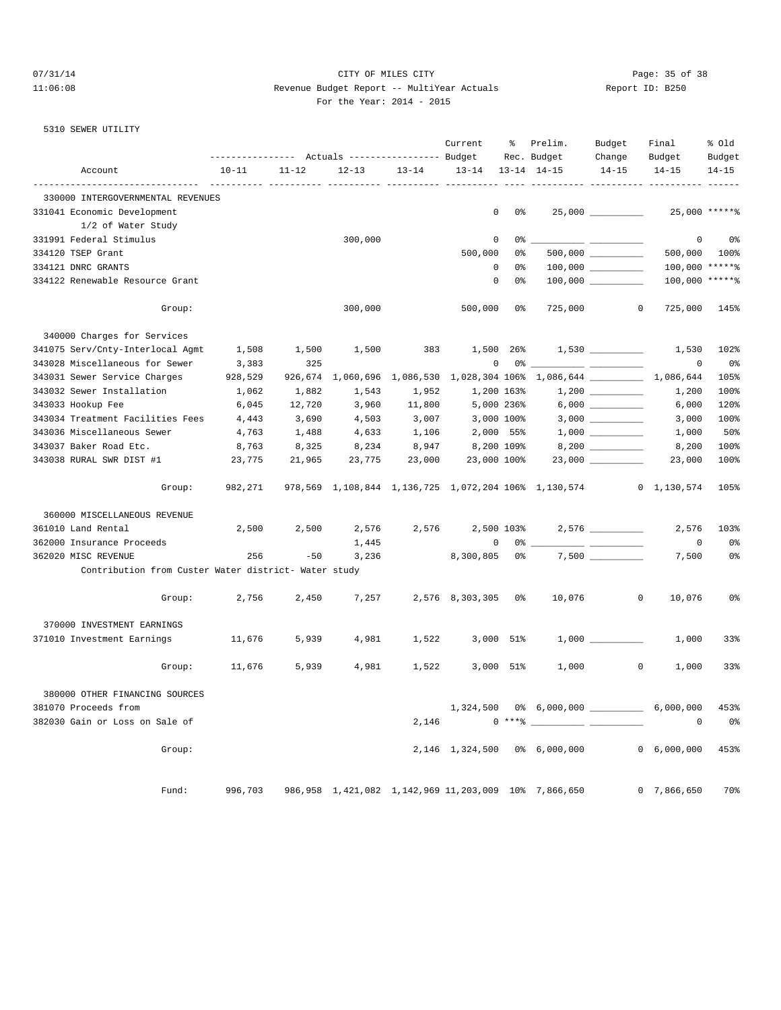#### 07/31/14 Page: 35 of 38 Page: 35 of 38 11:06:08 Revenue Budget Report -- MultiYear Actuals Report ID: B250 For the Year: 2014 - 2015

#### 5310 SEWER UTILITY

|                                                                     | --------------- Actuals ---------------- Budget |           |                             |           | Current            | ွေ             | Prelim.<br>Rec. Budget                               | Budget<br>Change | Final<br>Budget                                                   | % old<br>Budget |
|---------------------------------------------------------------------|-------------------------------------------------|-----------|-----------------------------|-----------|--------------------|----------------|------------------------------------------------------|------------------|-------------------------------------------------------------------|-----------------|
| Account                                                             | $10 - 11$                                       | $11 - 12$ | $12 - 13$                   | $13 - 14$ | $13 - 14$          |                | $13 - 14$ $14 - 15$                                  | $14 - 15$        | $14 - 15$                                                         | $14 - 15$       |
| ------------------------------<br>330000 INTERGOVERNMENTAL REVENUES |                                                 | .         | ___________ __________ ____ |           |                    |                |                                                      |                  |                                                                   |                 |
| 331041 Economic Development                                         |                                                 |           |                             |           | $\mathbf 0$        | 0 <sup>8</sup> |                                                      |                  |                                                                   | 25,000 ******   |
| 1/2 of Water Study                                                  |                                                 |           |                             |           |                    |                |                                                      |                  |                                                                   |                 |
| 331991 Federal Stimulus                                             |                                                 |           | 300,000                     |           | $\mathbf 0$        | 0%             |                                                      | $ -$             | $\mathbf 0$                                                       | 0 <sup>8</sup>  |
| 334120 TSEP Grant                                                   |                                                 |           |                             |           | 500,000            | 0%             |                                                      |                  | 500,000                                                           | 100%            |
| 334121 DNRC GRANTS                                                  |                                                 |           |                             |           | $\mathbb O$        | 0%             |                                                      |                  | 100,000 ******                                                    |                 |
| 334122 Renewable Resource Grant                                     |                                                 |           |                             |           | $\mathbf 0$        | 0%             |                                                      |                  | 100,000 ******                                                    |                 |
| Group:                                                              |                                                 |           | 300,000                     |           | 500,000            | 0 <sub>8</sub> | 725,000                                              |                  | $\circ$<br>725,000                                                | 145%            |
| 340000 Charges for Services                                         |                                                 |           |                             |           |                    |                |                                                      |                  |                                                                   |                 |
| 341075 Serv/Cnty-Interlocal Agmt                                    | 1,508                                           | 1,500     | 1,500                       | 383       |                    | 1,500 26%      |                                                      |                  | 1,530                                                             | 102%            |
| 343028 Miscellaneous for Sewer                                      | 3,383                                           | 325       |                             |           | $\mathbf 0$        | 0 %            |                                                      |                  | $\mathbf 0$                                                       | 0%              |
| 343031 Sewer Service Charges                                        | 928,529                                         | 926,674   |                             |           |                    |                | $\overline{\phantom{a}}$                             |                  | 1,060,696 1,086,530 1,028,304 106% 1,086,644 __________ 1,086,644 | 105%            |
| 343032 Sewer Installation                                           | 1,062                                           | 1,882     | 1,543                       | 1,952     |                    | 1,200 163%     |                                                      |                  | 1,200                                                             | 100%            |
| 343033 Hookup Fee                                                   | 6,045                                           | 12,720    | 3,960                       | 11,800    |                    | 5,000 236%     |                                                      |                  | 6,000                                                             | 120%            |
| 343034 Treatment Facilities Fees                                    | 4,443                                           | 3,690     | 4,503                       | 3,007     |                    | 3,000 100%     |                                                      |                  | 3,000                                                             | 100%            |
| 343036 Miscellaneous Sewer                                          | 4,763                                           | 1,488     | 4,633                       | 1,106     |                    | 2,000 55%      |                                                      |                  | 1,000                                                             | 50%             |
| 343037 Baker Road Etc.                                              | 8,763                                           | 8,325     | 8,234                       | 8,947     |                    | 8,200 109%     |                                                      |                  |                                                                   | 100%            |
| 343038 RURAL SWR DIST #1                                            | 23,775                                          | 21,965    | 23,775                      | 23,000    | 23,000 100%        |                |                                                      |                  | 8,200<br>23,000                                                   | 100%            |
| Group:                                                              | 982,271                                         |           |                             |           |                    |                |                                                      |                  | 978,569 1,108,844 1,136,725 1,072,204 106% 1,130,574 0 1,130,574  | 105%            |
|                                                                     |                                                 |           |                             |           |                    |                |                                                      |                  |                                                                   |                 |
| 360000 MISCELLANEOUS REVENUE                                        |                                                 |           |                             |           |                    |                |                                                      |                  |                                                                   |                 |
| 361010 Land Rental                                                  | 2,500                                           | 2,500     | 2,576                       | 2,576     |                    | 2,500 103%     |                                                      |                  | 2,576                                                             | 103%            |
| 362000 Insurance Proceeds                                           |                                                 |           | 1,445                       |           | $\mathbf 0$        | 0 %            |                                                      |                  | 0                                                                 | 0 <sup>8</sup>  |
| 362020 MISC REVENUE                                                 | 256                                             | $-50$     | 3,236                       |           | 8,300,805          | 0 %            |                                                      |                  | 7,500                                                             | 0 <sup>8</sup>  |
| Contribution from Custer Water district- Water study                |                                                 |           |                             |           |                    |                |                                                      |                  |                                                                   |                 |
| Group:                                                              | 2,756                                           | 2,450     | 7,257                       |           | 2,576 8,303,305 0% |                | 10,076                                               |                  | $\overline{0}$<br>10,076                                          | 0 <sup>°</sup>  |
| 370000 INVESTMENT EARNINGS                                          |                                                 |           |                             |           |                    |                |                                                      |                  |                                                                   |                 |
| 371010 Investment Earnings                                          | 11,676                                          | 5,939     | 4,981                       | 1,522     |                    | 3,000 51%      |                                                      |                  | 1,000                                                             | 33%             |
| Group:                                                              | 11,676                                          | 5,939     | 4,981                       | 1,522     | 3,000              | 51%            | 1,000                                                |                  | $\overline{0}$<br>1,000                                           | 33%             |
| 380000 OTHER FINANCING SOURCES                                      |                                                 |           |                             |           |                    |                |                                                      |                  |                                                                   |                 |
| 381070 Proceeds from                                                |                                                 |           |                             |           | 1,324,500          |                |                                                      |                  | 0% 6,000,000 ______________ 6,000,000                             | 453%            |
| 382030 Gain or Loss on Sale of                                      |                                                 |           |                             | 2,146     |                    | $0***$ $*$     |                                                      |                  | $^{\circ}$                                                        | 0 <sup>°</sup>  |
| Group:                                                              |                                                 |           |                             |           |                    |                | 2,146 1,324,500 0% 6,000,000                         |                  | 0, 6, 000, 000                                                    | 453%            |
| Fund:                                                               | 996,703                                         |           |                             |           |                    |                |                                                      |                  |                                                                   | 70%             |
|                                                                     |                                                 |           |                             |           |                    |                | 986,958 1,421,082 1,142,969 11,203,009 10% 7,866,650 |                  | 0, 7, 866, 650                                                    |                 |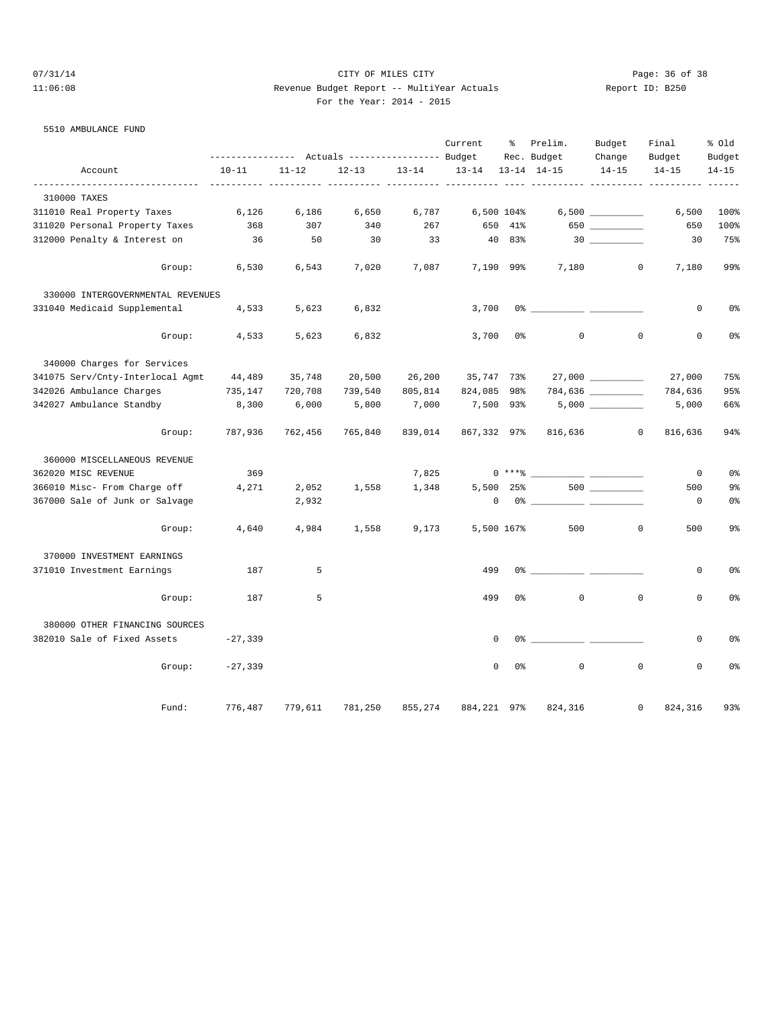# 07/31/14 Page: 36 of 38 11:06:08 Revenue Budget Report -- MultiYear Actuals Report ID: B250 For the Year: 2014 - 2015

#### 5510 AMBULANCE FUND

|                                   | ---------------- |           | Actuals ----------------- Budget |           | Current     | ႜ              | Prelim.<br>Rec. Budget | Budget<br>Change  | Final<br>Budget           | % old<br>Budget |
|-----------------------------------|------------------|-----------|----------------------------------|-----------|-------------|----------------|------------------------|-------------------|---------------------------|-----------------|
| Account                           | $10 - 11$        | $11 - 12$ | $12 - 13$                        | $13 - 14$ | $13 - 14$   |                | $13 - 14$ $14 - 15$    | $14 - 15$         | $14 - 15$                 | $14 - 15$       |
| 310000 TAXES                      |                  |           |                                  |           |             |                |                        |                   |                           |                 |
| 311010 Real Property Taxes        | 6,126            | 6,186     | 6,650                            | 6,787     |             | 6,500 104%     |                        |                   | 6,500                     | 100%            |
| 311020 Personal Property Taxes    | 368              | 307       | 340                              | 267       | 650         | $41\%$         |                        | 650               | 650                       | 100%            |
| 312000 Penalty & Interest on      | 36               | 50        | 30                               | 33        |             | 40 83%         |                        |                   | 30                        | 75%             |
| Group:                            | 6,530            | 6,543     | 7,020                            | 7,087     |             | 7,190 99%      | 7,180                  |                   | $\mathbf{0}$<br>7,180     | 99%             |
| 330000 INTERGOVERNMENTAL REVENUES |                  |           |                                  |           |             |                |                        |                   |                           |                 |
| 331040 Medicaid Supplemental      | 4,533            | 5,623     | 6,832                            |           | 3,700       |                |                        |                   | 0                         | 0 <sub>8</sub>  |
| Group:                            | 4,533            | 5,623     | 6,832                            |           | 3,700       | 0 <sup>8</sup> | $\mathbf 0$            | $\mathbf 0$       | $\mathbf 0$               | 0%              |
| 340000 Charges for Services       |                  |           |                                  |           |             |                |                        |                   |                           |                 |
| 341075 Serv/Cnty-Interlocal Agmt  | 44,489           | 35,748    | 20,500                           | 26,200    | 35,747 73%  |                |                        | 27,000 __________ | 27,000                    | 75%             |
| 342026 Ambulance Charges          | 735,147          | 720,708   | 739,540                          | 805,814   | 824,085 98% |                |                        | 784,636           | 784,636                   | 95%             |
| 342027 Ambulance Standby          | 8,300            | 6,000     | 5,800                            | 7,000     | 7,500 93%   |                |                        |                   | 5,000                     | 66%             |
| Group:                            | 787,936          | 762,456   | 765,840                          | 839,014   | 867,332 97% |                | 816,636                |                   | $\overline{0}$<br>816,636 | 94%             |
| 360000 MISCELLANEOUS REVENUE      |                  |           |                                  |           |             |                |                        |                   |                           |                 |
| 362020 MISC REVENUE               | 369              |           |                                  | 7,825     |             | $0***8$        |                        |                   | $^{\circ}$                | 0%              |
| 366010 Misc- From Charge off      | 4,271            | 2,052     | 1,558                            | 1,348     |             | 5,500 25%      |                        |                   | 500                       | 9 <sub>8</sub>  |
| 367000 Sale of Junk or Salvage    |                  | 2,932     |                                  |           | 0           | $0\%$ $-$      |                        |                   | $^{\circ}$                | 0 <sup>8</sup>  |
| Group:                            | 4,640            | 4,984     | 1,558                            | 9,173     |             | 5,500 167%     | 500                    | $\mathbf 0$       | 500                       | 9 <sub>8</sub>  |
| 370000 INVESTMENT EARNINGS        |                  |           |                                  |           |             |                |                        |                   |                           |                 |
| 371010 Investment Earnings        | 187              | 5         |                                  |           | 499         |                |                        |                   | 0                         | 0%              |
| Group:                            | 187              | 5         |                                  |           | 499         | 0%             | $\mathbf 0$            | $\mathbf 0$       | $\mathbf 0$               | 0 <sup>8</sup>  |
| 380000 OTHER FINANCING SOURCES    |                  |           |                                  |           |             |                |                        |                   |                           |                 |
| 382010 Sale of Fixed Assets       | $-27,339$        |           |                                  |           | $\Omega$    | 0 %            |                        |                   | $\mathbf 0$               | 0 <sup>°</sup>  |
| Group:                            | $-27,339$        |           |                                  |           | $\Omega$    | 0 <sup>8</sup> | $\mathbf 0$            | $\mathbf 0$       | $\Omega$                  | 0 <sup>8</sup>  |
| Fund:                             | 776,487          | 779,611   | 781,250                          | 855,274   | 884,221 97% |                | 824,316                |                   | 824,316<br>$\mathbf{0}$   | 93%             |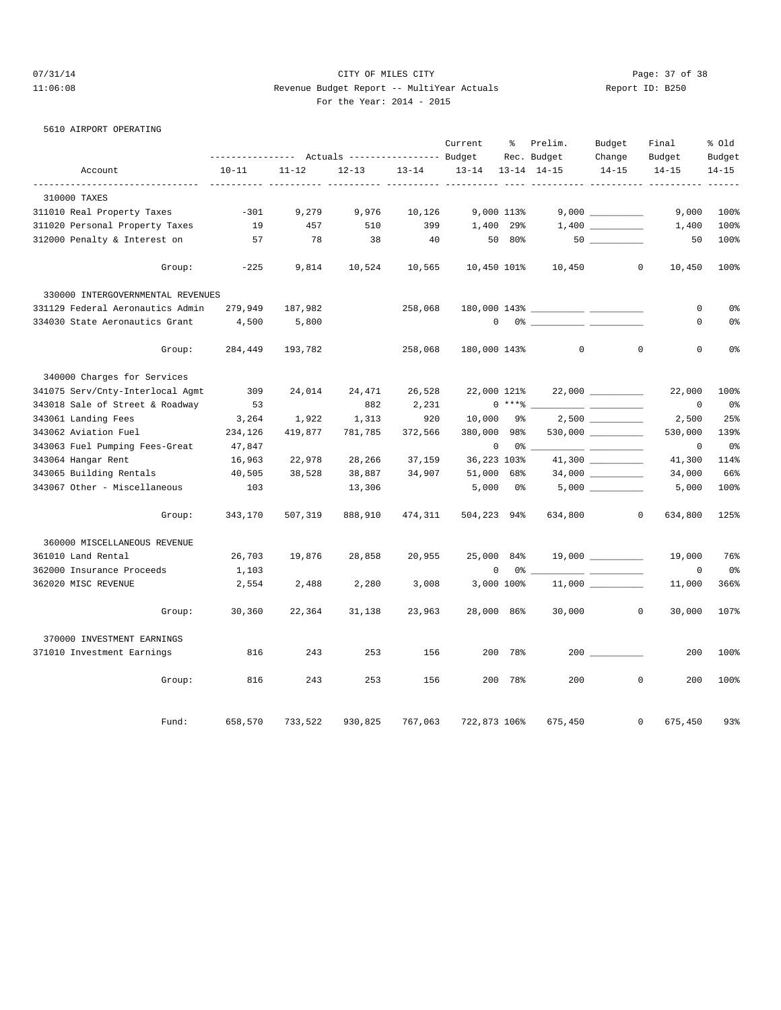# 07/31/14 Page: 37 of 38 11:06:08 Revenue Budget Report -- MultiYear Actuals Report ID: B250 For the Year: 2014 - 2015

#### 5610 AIRPORT OPERATING

|                                   |           |           | Actuals ----------------- Budget |           | Current      | ႜွ         | Prelim.<br>Rec. Budget | Budget<br>Change    | Final<br>Budget | % old<br>Budget |
|-----------------------------------|-----------|-----------|----------------------------------|-----------|--------------|------------|------------------------|---------------------|-----------------|-----------------|
| Account                           | $10 - 11$ | $11 - 12$ | $12 - 13$                        | $13 - 14$ | $13 - 14$    |            | $13 - 14$ $14 - 15$    | $14 - 15$           | $14 - 15$       | $14 - 15$       |
|                                   |           |           |                                  |           |              |            |                        |                     |                 |                 |
| 310000 TAXES                      |           |           |                                  |           |              |            |                        |                     |                 |                 |
| 311010 Real Property Taxes        | $-301$    | 9,279     | 9,976                            | 10,126    |              | 9,000 113% |                        |                     | 9,000           | 100%            |
| 311020 Personal Property Taxes    | 19        | 457       | 510                              | 399       |              | 1,400 29%  |                        |                     | 1,400           | 100%            |
| 312000 Penalty & Interest on      | 57        | 78        | 38                               | 40        |              | 50 80%     |                        |                     | 50              | 100%            |
| Group:                            | $-225$    | 9,814     | 10,524                           | 10,565    | 10,450 101%  |            | 10,450                 | $\circ$             | 10,450          | 100%            |
| 330000 INTERGOVERNMENTAL REVENUES |           |           |                                  |           |              |            |                        |                     |                 |                 |
| 331129 Federal Aeronautics Admin  | 279,949   | 187,982   |                                  | 258,068   |              |            |                        |                     | 0               | 0%              |
| 334030 State Aeronautics Grant    | 4,500     | 5,800     |                                  |           | $\mathbf{0}$ |            |                        |                     | 0               | 0%              |
| Group:                            | 284,449   | 193,782   |                                  | 258,068   | 180,000 143% |            | $\mathbf{0}$           | 0                   | $\mathbf 0$     | 0 <sup>°</sup>  |
| 340000 Charges for Services       |           |           |                                  |           |              |            |                        |                     |                 |                 |
| 341075 Serv/Cnty-Interlocal Agmt  | 309       | 24,014    | 24,471                           | 26,528    | 22,000 121%  |            |                        | $22,000$ __________ | 22,000          | 100%            |
| 343018 Sale of Street & Roadway   | 53        |           | 882                              | 2,231     |              | $0***8$    |                        |                     | 0               | 0%              |
| 343061 Landing Fees               | 3,264     | 1,922     | 1,313                            | 920       | 10,000       | 9%         |                        |                     | 2,500           | 25%             |
| 343062 Aviation Fuel              | 234,126   | 419,877   | 781,785                          | 372,566   | 380,000      | 98%        |                        | 530,000 __________  | 530,000         | 139%            |
| 343063 Fuel Pumping Fees-Great    | 47,847    |           |                                  |           | 0            | 0%         |                        |                     | $\mathbf 0$     | 0%              |
| 343064 Hangar Rent                | 16,963    | 22,978    | 28,266                           | 37,159    | 36,223 103%  |            |                        |                     | 41,300          | 114%            |
| 343065 Building Rentals           | 40,505    | 38,528    | 38,887                           | 34,907    | 51,000 68%   |            |                        |                     | 34,000          | 66%             |
| 343067 Other - Miscellaneous      | 103       |           | 13,306                           |           | 5,000        | 0%         |                        |                     | 5,000           | 100%            |
| Group:                            | 343,170   | 507,319   | 888,910                          | 474,311   | 504,223 94%  |            |                        | 634,800 0           | 634,800         | 125%            |
| 360000 MISCELLANEOUS REVENUE      |           |           |                                  |           |              |            |                        |                     |                 |                 |
| 361010 Land Rental                | 26,703    | 19,876    | 28,858                           | 20,955    | 25,000 84%   |            |                        |                     | 19,000          | 76%             |
| 362000 Insurance Proceeds         | 1,103     |           |                                  |           | 0            | 0 %        |                        |                     | 0               | 0%              |
| 362020 MISC REVENUE               | 2,554     | 2,488     | 2,280                            | 3,008     |              | 3,000 100% |                        |                     | 11,000          | 366%            |
| Group:                            | 30,360    | 22,364    | 31,138                           | 23,963    | 28,000 86%   |            | 30,000                 | $\mathbf{0}$        | 30,000          | 107%            |
| 370000 INVESTMENT EARNINGS        |           |           |                                  |           |              |            |                        |                     |                 |                 |
| 371010 Investment Earnings        | 816       | 243       | 253                              | 156       |              | 200 78%    |                        | 200                 | 200             | 100%            |
| Group:                            | 816       | 243       | 253                              | 156       |              | 200 78%    | 200                    | $\Omega$            | 200             | 100%            |
| Fund:                             | 658,570   | 733,522   | 930,825                          | 767,063   | 722,873 106% |            | 675,450                | $\circ$             | 675,450         | 93%             |